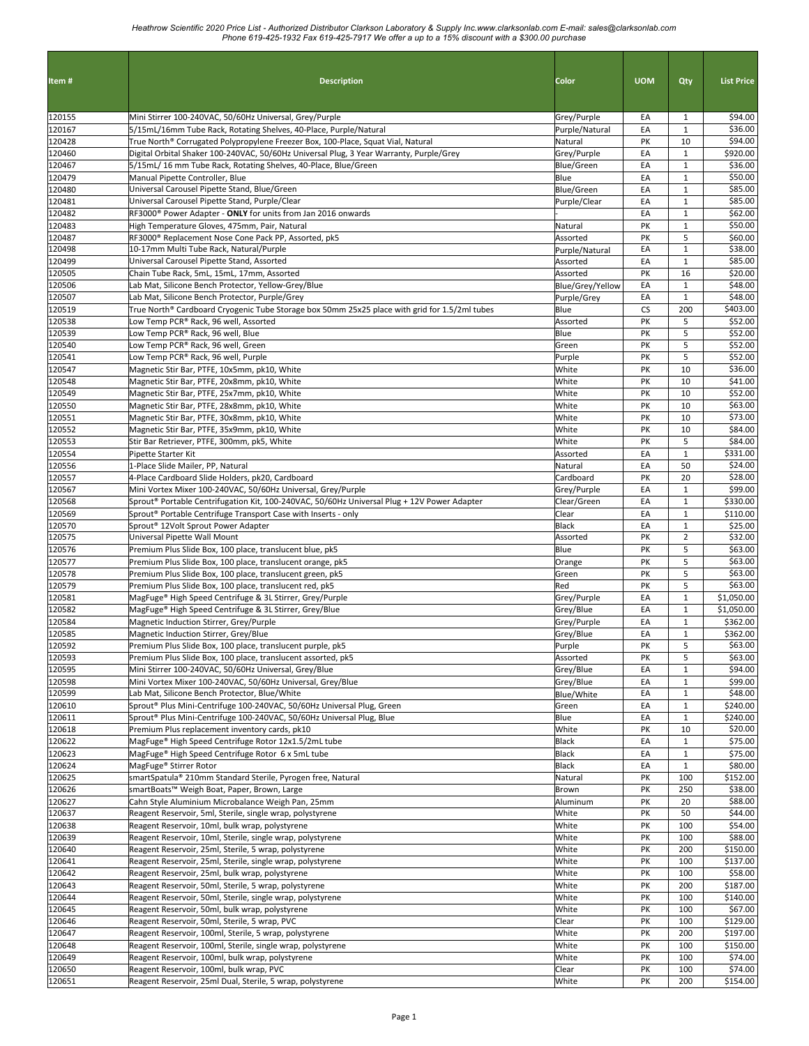| Item#            | <b>Description</b>                                                                                                     | <b>Color</b>                      | <b>UOM</b> | Qty                          | <b>List Price</b>   |
|------------------|------------------------------------------------------------------------------------------------------------------------|-----------------------------------|------------|------------------------------|---------------------|
| 120155           | Mini Stirrer 100-240VAC, 50/60Hz Universal, Grey/Purple                                                                | Grey/Purple                       | EA         | 1                            | \$94.00             |
| 120167           | 5/15mL/16mm Tube Rack, Rotating Shelves, 40-Place, Purple/Natural                                                      | Purple/Natural                    | EA         | $\mathbf{1}$                 | \$36.00             |
| 120428           | True North® Corrugated Polypropylene Freezer Box, 100-Place, Squat Vial, Natural                                       | Natural                           | PK         | 10                           | \$94.00             |
| 120460           | Digital Orbital Shaker 100-240VAC, 50/60Hz Universal Plug, 3 Year Warranty, Purple/Grey                                | Grey/Purple                       | EA         | $\mathbf{1}$                 | \$920.00            |
| 120467           | 5/15mL/ 16 mm Tube Rack, Rotating Shelves, 40-Place, Blue/Green                                                        | Blue/Green                        | EA         | $\mathbf{1}$                 | \$36.00             |
| 120479           | Manual Pipette Controller, Blue                                                                                        | Blue                              | EA         | $\mathbf{1}$                 | \$50.00             |
| 120480<br>120481 | Universal Carousel Pipette Stand, Blue/Green<br>Universal Carousel Pipette Stand, Purple/Clear                         | <b>Blue/Green</b><br>Purple/Clear | EA<br>EA   | $\mathbf{1}$<br>$\mathbf{1}$ | \$85.00<br>\$85.00  |
| 120482           | RF3000 <sup>®</sup> Power Adapter - ONLY for units from Jan 2016 onwards                                               |                                   | EA         | $\mathbf{1}$                 | \$62.00             |
| 120483           | High Temperature Gloves, 475mm, Pair, Natural                                                                          | Natural                           | PK         | $\mathbf{1}$                 | \$50.00             |
| 120487           | RF3000® Replacement Nose Cone Pack PP, Assorted, pk5                                                                   | Assorted                          | PK         | 5                            | \$60.00             |
| 120498           | 10-17mm Multi Tube Rack, Natural/Purple                                                                                | Purple/Natural                    | EA         | $\mathbf{1}$                 | \$38.00             |
| 120499           | Universal Carousel Pipette Stand, Assorted                                                                             | Assorted                          | EA         | $\mathbf{1}$                 | \$85.00             |
| 120505           | Chain Tube Rack, 5mL, 15mL, 17mm, Assorted                                                                             | Assorted                          | PK         | 16                           | \$20.00             |
| 120506<br>120507 | Lab Mat, Silicone Bench Protector, Yellow-Grey/Blue<br>Lab Mat, Silicone Bench Protector, Purple/Grey                  | Blue/Grey/Yellow                  | EA<br>EA   | $\mathbf{1}$<br>$\mathbf{1}$ | \$48.00<br>\$48.00  |
| 120519           | True North® Cardboard Cryogenic Tube Storage box 50mm 25x25 place with grid for 1.5/2ml tubes                          | Purple/Grey<br>Blue               | CS         | 200                          | \$403.00            |
| 120538           | Low Temp PCR® Rack, 96 well, Assorted                                                                                  | Assorted                          | PK         | 5                            | \$52.00             |
| 120539           | Low Temp PCR® Rack, 96 well, Blue                                                                                      | Blue                              | PK         | 5                            | \$52.00             |
| 120540           | Low Temp PCR® Rack, 96 well, Green                                                                                     | Green                             | PK         | 5                            | \$52.00             |
| 120541           | Low Temp PCR® Rack, 96 well, Purple                                                                                    | Purple                            | PΚ         | 5                            | \$52.00             |
| 120547           | Magnetic Stir Bar, PTFE, 10x5mm, pk10, White                                                                           | White                             | PK         | 10                           | \$36.00             |
| 120548           | Magnetic Stir Bar, PTFE, 20x8mm, pk10, White                                                                           | White                             | PΚ         | 10                           | \$41.00             |
| 120549           | Magnetic Stir Bar, PTFE, 25x7mm, pk10, White                                                                           | White                             | PK         | 10                           | \$52.00             |
| 120550           | Magnetic Stir Bar, PTFE, 28x8mm, pk10, White                                                                           | White                             | PK         | 10                           | \$63.00             |
| 120551           | Magnetic Stir Bar, PTFE, 30x8mm, pk10, White                                                                           | White                             | PK         | 10<br>10                     | \$73.00<br>\$84.00  |
| 120552<br>120553 | Magnetic Stir Bar, PTFE, 35x9mm, pk10, White<br>Stir Bar Retriever, PTFE, 300mm, pk5, White                            | White<br>White                    | PK<br>PK   | 5                            | \$84.00             |
| 120554           | Pipette Starter Kit                                                                                                    | Assorted                          | EA         | $\mathbf{1}$                 | \$331.00            |
| 120556           | 1-Place Slide Mailer, PP, Natural                                                                                      | Natural                           | EA         | 50                           | \$24.00             |
| 120557           | 4-Place Cardboard Slide Holders, pk20, Cardboard                                                                       | Cardboard                         | PK         | 20                           | \$28.00             |
| 120567           | Mini Vortex Mixer 100-240VAC, 50/60Hz Universal, Grey/Purple                                                           | Grey/Purple                       | EA         | $\mathbf{1}$                 | \$99.00             |
| 120568           | Sprout® Portable Centrifugation Kit, 100-240VAC, 50/60Hz Universal Plug + 12V Power Adapter                            | Clear/Green                       | EA         | $\mathbf{1}$                 | \$330.00            |
| 120569           | Sprout <sup>®</sup> Portable Centrifuge Transport Case with Inserts - only                                             | Clear                             | EA         | $\mathbf{1}$                 | \$110.00            |
| 120570           | Sprout <sup>®</sup> 12Volt Sprout Power Adapter                                                                        | <b>Black</b>                      | EA         | $\mathbf{1}$                 | \$25.00             |
| 120575           | Universal Pipette Wall Mount                                                                                           | Assorted<br>Blue                  | PK         | $\overline{2}$               | \$32.00<br>\$63.00  |
| 120576<br>120577 | Premium Plus Slide Box, 100 place, translucent blue, pk5<br>Premium Plus Slide Box, 100 place, translucent orange, pk5 | Orange                            | PK<br>PK   | 5<br>5                       | \$63.00             |
| 120578           | Premium Plus Slide Box, 100 place, translucent green, pk5                                                              | Green                             | PK         | 5                            | \$63.00             |
| 120579           | Premium Plus Slide Box, 100 place, translucent red, pk5                                                                | Red                               | PK         | 5                            | \$63.00             |
| 120581           | MagFuge® High Speed Centrifuge & 3L Stirrer, Grey/Purple                                                               | Grey/Purple                       | EA         | $\mathbf{1}$                 | \$1,050.00          |
| 120582           | MagFuge® High Speed Centrifuge & 3L Stirrer, Grey/Blue                                                                 | Grey/Blue                         | EA         | $\mathbf{1}$                 | \$1,050.00          |
| 120584           | Magnetic Induction Stirrer, Grey/Purple                                                                                | Grey/Purple                       | EA         | $\mathbf{1}$                 | \$362.00            |
| 120585           | Magnetic Induction Stirrer, Grey/Blue                                                                                  | Grey/Blue                         | EA         | $\mathbf{1}$                 | \$362.00            |
| 120592           | Premium Plus Slide Box, 100 place, translucent purple, pk5                                                             | Purple                            | PK         | 5                            | \$63.00             |
| 120593           | Premium Plus Slide Box, 100 place, translucent assorted, pk5<br>Mini Stirrer 100-240VAC, 50/60Hz Universal, Grey/Blue  | Assorted                          | PK         | 5                            | \$63.00             |
| 120595<br>120598 | Mini Vortex Mixer 100-240VAC, 50/60Hz Universal, Grey/Blue                                                             | Grey/Blue<br>Grey/Blue            | EA<br>EA   | $\mathbf{1}$<br>$\mathbf{1}$ | \$94.00<br>\$99.00  |
| 120599           | Lab Mat, Silicone Bench Protector, Blue/White                                                                          | Blue/White                        | EA         | $\mathbf{1}$                 | \$48.00             |
| 120610           | Sprout® Plus Mini-Centrifuge 100-240VAC, 50/60Hz Universal Plug, Green                                                 | Green                             | EA         | $\mathbf 1$                  | \$240.00            |
| 120611           | Sprout® Plus Mini-Centrifuge 100-240VAC, 50/60Hz Universal Plug, Blue                                                  | Blue                              | EA         | $\mathbf{1}$                 | \$240.00            |
| 120618           | Premium Plus replacement inventory cards, pk10                                                                         | White                             | PK         | 10                           | \$20.00             |
| 120622           | MagFuge® High Speed Centrifuge Rotor 12x1.5/2mL tube                                                                   | Black                             | EA         | $\mathbf{1}$                 | \$75.00             |
| 120623           | MagFuge® High Speed Centrifuge Rotor 6 x 5mL tube                                                                      | Black                             | EA         | $\mathbf{1}$                 | \$75.00             |
| 120624           | MagFuge® Stirrer Rotor                                                                                                 | Black                             | EA         | $\mathbf{1}$                 | \$80.00             |
| 120625<br>120626 | smartSpatula® 210mm Standard Sterile, Pyrogen free, Natural<br>smartBoats™ Weigh Boat, Paper, Brown, Large             | Natural                           | PK         | 100<br>250                   | \$152.00<br>\$38.00 |
| 120627           | Cahn Style Aluminium Microbalance Weigh Pan, 25mm                                                                      | Brown<br>Aluminum                 | PK<br>PK   | 20                           | \$88.00             |
| 120637           | Reagent Reservoir, 5ml, Sterile, single wrap, polystyrene                                                              | White                             | PK         | 50                           | \$44.00             |
| 120638           | Reagent Reservoir, 10ml, bulk wrap, polystyrene                                                                        | White                             | PK         | 100                          | \$54.00             |
| 120639           | Reagent Reservoir, 10ml, Sterile, single wrap, polystyrene                                                             | White                             | PK         | 100                          | \$88.00             |
| 120640           | Reagent Reservoir, 25ml, Sterile, 5 wrap, polystyrene                                                                  | White                             | PK         | 200                          | \$150.00            |
| 120641           | Reagent Reservoir, 25ml, Sterile, single wrap, polystyrene                                                             | White                             | PK         | 100                          | \$137.00            |
| 120642           | Reagent Reservoir, 25ml, bulk wrap, polystyrene                                                                        | White                             | PK         | 100                          | \$58.00             |
| 120643           | Reagent Reservoir, 50ml, Sterile, 5 wrap, polystyrene                                                                  | White                             | PK         | 200                          | \$187.00            |
| 120644           | Reagent Reservoir, 50ml, Sterile, single wrap, polystyrene                                                             | White                             | PK         | 100                          | \$140.00            |
| 120645<br>120646 | Reagent Reservoir, 50ml, bulk wrap, polystyrene<br>Reagent Reservoir, 50ml, Sterile, 5 wrap, PVC                       | White                             | PK<br>PΚ   | 100<br>100                   | \$67.00<br>\$129.00 |
| 120647           | Reagent Reservoir, 100ml, Sterile, 5 wrap, polystyrene                                                                 | Clear<br>White                    | PK         | 200                          | \$197.00            |
| 120648           | Reagent Reservoir, 100ml, Sterile, single wrap, polystyrene                                                            | White                             | PK         | 100                          | \$150.00            |
| 120649           | Reagent Reservoir, 100ml, bulk wrap, polystyrene                                                                       | White                             | PK         | 100                          | \$74.00             |
| 120650           | Reagent Reservoir, 100ml, bulk wrap, PVC                                                                               | Clear                             | PΚ         | 100                          | \$74.00             |
| 120651           | Reagent Reservoir, 25ml Dual, Sterile, 5 wrap, polystyrene                                                             | White                             | PK         | 200                          | \$154.00            |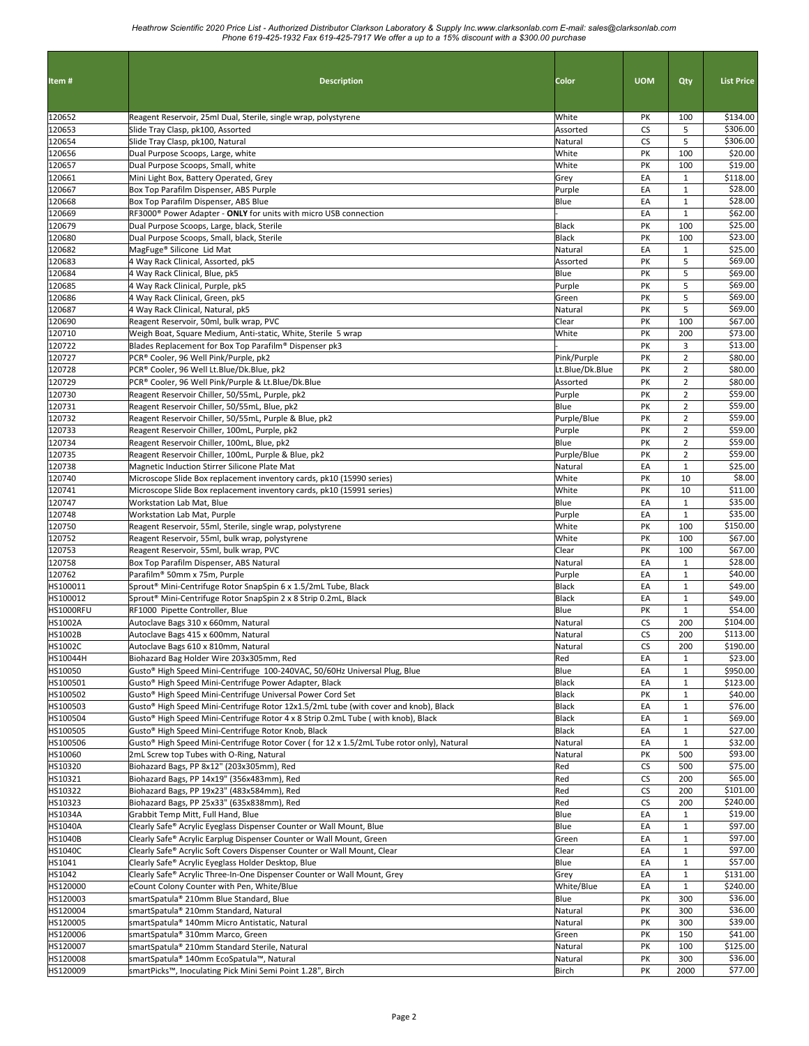| Item#                | <b>Description</b>                                                                                                                                             | <b>Color</b>                | <b>UOM</b> | Qty                              | <b>List Price</b>   |
|----------------------|----------------------------------------------------------------------------------------------------------------------------------------------------------------|-----------------------------|------------|----------------------------------|---------------------|
| 120652               | Reagent Reservoir, 25ml Dual, Sterile, single wrap, polystyrene                                                                                                | White                       | PK         | 100                              | \$134.00            |
| 120653               | Slide Tray Clasp, pk100, Assorted                                                                                                                              | Assorted                    | <b>CS</b>  | 5                                | \$306.00            |
| 120654               | Slide Tray Clasp, pk100, Natural                                                                                                                               | Natural                     | <b>CS</b>  | 5                                | \$306.00<br>\$20.00 |
| 120656<br>120657     | Dual Purpose Scoops, Large, white<br>Dual Purpose Scoops, Small, white                                                                                         | White<br>White              | PΚ<br>PK   | 100<br>100                       | \$19.00             |
| 120661               | Mini Light Box, Battery Operated, Grey                                                                                                                         | Grey                        | EA         | $\mathbf{1}$                     | \$118.00            |
| 120667               | Box Top Parafilm Dispenser, ABS Purple                                                                                                                         | Purple                      | EA         | $\mathbf{1}$                     | \$28.00             |
| 120668               | Box Top Parafilm Dispenser, ABS Blue                                                                                                                           | Blue                        | EA         | $\mathbf 1$                      | \$28.00             |
| 120669               | RF3000 <sup>®</sup> Power Adapter - ONLY for units with micro USB connection                                                                                   |                             | EA         | $\mathbf{1}$                     | \$62.00             |
| 120679               | Dual Purpose Scoops, Large, black, Sterile                                                                                                                     | Black                       | PK         | 100                              | \$25.00             |
| 120680               | Dual Purpose Scoops, Small, black, Sterile                                                                                                                     | Black                       | PK         | 100                              | \$23.00             |
| 120682               | MagFuge® Silicone Lid Mat                                                                                                                                      | Natural                     | EA         | $\mathbf{1}$<br>5                | \$25.00             |
| 120683<br>120684     | 4 Way Rack Clinical, Assorted, pk5<br>4 Way Rack Clinical, Blue, pk5                                                                                           | Assorted<br>Blue            | PK<br>PK   | 5                                | \$69.00<br>\$69.00  |
| 120685               | 4 Way Rack Clinical, Purple, pk5                                                                                                                               | Purple                      | PK         | 5                                | \$69.00             |
| 120686               | 4 Way Rack Clinical, Green, pk5                                                                                                                                | Green                       | PK         | 5                                | \$69.00             |
| 120687               | 4 Way Rack Clinical, Natural, pk5                                                                                                                              | Natural                     | PK         | 5                                | \$69.00             |
| 120690               | Reagent Reservoir, 50ml, bulk wrap, PVC                                                                                                                        | Clear                       | PK         | 100                              | \$67.00             |
| 120710               | Weigh Boat, Square Medium, Anti-static, White, Sterile 5 wrap                                                                                                  | White                       | PΚ         | 200                              | \$73.00             |
| 120722               | Blades Replacement for Box Top Parafilm® Dispenser pk3                                                                                                         |                             | PK         | 3                                | \$13.00             |
| 120727               | PCR® Cooler, 96 Well Pink/Purple, pk2                                                                                                                          | Pink/Purple                 | PΚ         | $\overline{2}$                   | \$80.00             |
| 120728<br>120729     | PCR® Cooler, 96 Well Lt.Blue/Dk.Blue, pk2<br>PCR® Cooler, 96 Well Pink/Purple & Lt.Blue/Dk.Blue                                                                | Lt.Blue/Dk.Blue<br>Assorted | PK<br>PK   | $\overline{2}$<br>$\overline{2}$ | \$80.00<br>\$80.00  |
| 120730               | Reagent Reservoir Chiller, 50/55mL, Purple, pk2                                                                                                                | Purple                      | PK         | $\overline{2}$                   | \$59.00             |
| 120731               | Reagent Reservoir Chiller, 50/55mL, Blue, pk2                                                                                                                  | Blue                        | PK         | $\overline{2}$                   | \$59.00             |
| 120732               | Reagent Reservoir Chiller, 50/55mL, Purple & Blue, pk2                                                                                                         | Purple/Blue                 | PK         | $\overline{2}$                   | \$59.00             |
| 120733               | Reagent Reservoir Chiller, 100mL, Purple, pk2                                                                                                                  | Purple                      | PK         | $\overline{2}$                   | \$59.00             |
| 120734               | Reagent Reservoir Chiller, 100mL, Blue, pk2                                                                                                                    | Blue                        | PK         | $\overline{2}$                   | \$59.00             |
| 120735               | Reagent Reservoir Chiller, 100mL, Purple & Blue, pk2                                                                                                           | Purple/Blue                 | PK         | $\overline{2}$                   | \$59.00             |
| 120738               | Magnetic Induction Stirrer Silicone Plate Mat                                                                                                                  | Natural                     | EA         | $\mathbf{1}$                     | \$25.00             |
| 120740               | Microscope Slide Box replacement inventory cards, pk10 (15990 series)                                                                                          | White                       | PK<br>PK   | 10<br>10                         | \$8.00<br>\$11.00   |
| 120741<br>120747     | Microscope Slide Box replacement inventory cards, pk10 (15991 series)<br>Workstation Lab Mat, Blue                                                             | White<br>Blue               | EA         | $\mathbf{1}$                     | \$35.00             |
| 120748               | Workstation Lab Mat, Purple                                                                                                                                    | Purple                      | EA         | $\mathbf{1}$                     | \$35.00             |
| 120750               | Reagent Reservoir, 55ml, Sterile, single wrap, polystyrene                                                                                                     | White                       | PK         | 100                              | \$150.00            |
| 120752               | Reagent Reservoir, 55ml, bulk wrap, polystyrene                                                                                                                | White                       | PK         | 100                              | \$67.00             |
| 120753               | Reagent Reservoir, 55ml, bulk wrap, PVC                                                                                                                        | Clear                       | PK         | 100                              | \$67.00             |
| 120758               | Box Top Parafilm Dispenser, ABS Natural                                                                                                                        | Natural                     | EA         | $\mathbf{1}$                     | \$28.00             |
| 120762               | Parafilm® 50mm x 75m, Purple                                                                                                                                   | Purple                      | EA         | $\mathbf{1}$                     | \$40.00             |
| HS100011<br>HS100012 | Sprout® Mini-Centrifuge Rotor SnapSpin 6 x 1.5/2mL Tube, Black<br>Sprout <sup>®</sup> Mini-Centrifuge Rotor SnapSpin 2 x 8 Strip 0.2mL, Black                  | Black<br>Black              | EA<br>EA   | $\mathbf{1}$<br>$\mathbf{1}$     | \$49.00<br>\$49.00  |
| HS1000RFU            | RF1000 Pipette Controller, Blue                                                                                                                                | Blue                        | PK         | $\mathbf{1}$                     | \$54.00             |
| <b>HS1002A</b>       | Autoclave Bags 310 x 660mm, Natural                                                                                                                            | Natural                     | <b>CS</b>  | 200                              | \$104.00            |
| <b>HS1002B</b>       | Autoclave Bags 415 x 600mm, Natural                                                                                                                            | Natural                     | <b>CS</b>  | 200                              | \$113.00            |
| HS1002C              | Autoclave Bags 610 x 810mm, Natural                                                                                                                            | Natural                     | ${\sf CS}$ | 200                              | \$190.00            |
| HS10044H             | Biohazard Bag Holder Wire 203x305mm, Red                                                                                                                       | Red                         | EA         | $\mathbf{1}$                     | \$23.00             |
| HS10050              | Gusto® High Speed Mini-Centrifuge 100-240VAC, 50/60Hz Universal Plug, Blue                                                                                     | Blue                        | EA         | $\mathbf{1}$                     | \$950.00            |
| HS100501             | Gusto <sup>®</sup> High Speed Mini-Centrifuge Power Adapter, Black                                                                                             | Black                       | EA         | $\mathbf{1}$                     | \$123.00            |
| HS100502<br>HS100503 | Gusto <sup>®</sup> High Speed Mini-Centrifuge Universal Power Cord Set<br>Gusto® High Speed Mini-Centrifuge Rotor 12x1.5/2mL tube (with cover and knob), Black | Black<br>Black              | PK<br>EA   | $\mathbf{1}$<br>$\mathbf{1}$     | \$40.00<br>\$76.00  |
| HS100504             | Gusto® High Speed Mini-Centrifuge Rotor 4 x 8 Strip 0.2mL Tube (with knob), Black                                                                              | Black                       | EA         | $\mathbf{1}$                     | \$69.00             |
| HS100505             | Gusto® High Speed Mini-Centrifuge Rotor Knob, Black                                                                                                            | Black                       | EA         | $\mathbf{1}$                     | \$27.00             |
| HS100506             | Gusto® High Speed Mini-Centrifuge Rotor Cover (for 12 x 1.5/2mL Tube rotor only), Natural                                                                      | Natural                     | EA         | $\mathbf{1}$                     | \$32.00             |
| HS10060              | 2mL Screw top Tubes with O-Ring, Natural                                                                                                                       | Natural                     | PK         | 500                              | \$93.00             |
| HS10320              | Biohazard Bags, PP 8x12" (203x305mm), Red                                                                                                                      | Red                         | CS         | 500                              | \$75.00             |
| HS10321              | Biohazard Bags, PP 14x19" (356x483mm), Red                                                                                                                     | Red                         | CS         | 200                              | \$65.00             |
| HS10322              | Biohazard Bags, PP 19x23" (483x584mm), Red                                                                                                                     | Red                         | CS         | 200                              | \$101.00            |
| HS10323<br>HS1034A   | Biohazard Bags, PP 25x33" (635x838mm), Red<br>Grabbit Temp Mitt, Full Hand, Blue                                                                               | Red<br>Blue                 | CS<br>EA   | 200<br>$\mathbf{1}$              | \$240.00<br>\$19.00 |
| <b>HS1040A</b>       | Clearly Safe® Acrylic Eyeglass Dispenser Counter or Wall Mount, Blue                                                                                           | Blue                        | EA         | $\mathbf{1}$                     | \$97.00             |
| <b>HS1040B</b>       | Clearly Safe® Acrylic Earplug Dispenser Counter or Wall Mount, Green                                                                                           | Green                       | EA         | $\mathbf{1}$                     | \$97.00             |
| <b>HS1040C</b>       | Clearly Safe® Acrylic Soft Covers Dispenser Counter or Wall Mount, Clear                                                                                       | Clear                       | EA         | $\mathbf{1}$                     | \$97.00             |
| HS1041               | Clearly Safe® Acrylic Eyeglass Holder Desktop, Blue                                                                                                            | Blue                        | EA         | $\mathbf{1}$                     | \$57.00             |
| HS1042               | Clearly Safe® Acrylic Three-In-One Dispenser Counter or Wall Mount, Grey                                                                                       | Grey                        | EA         | $\mathbf{1}$                     | \$131.00            |
| HS120000             | eCount Colony Counter with Pen, White/Blue                                                                                                                     | White/Blue                  | EA         | $\mathbf{1}$                     | \$240.00            |
| HS120003             | smartSpatula® 210mm Blue Standard, Blue                                                                                                                        | Blue                        | PΚ         | 300                              | \$36.00             |
| HS120004             | smartSpatula® 210mm Standard, Natural                                                                                                                          | Natural                     | PK         | 300                              | \$36.00<br>\$39.00  |
| HS120005<br>HS120006 | smartSpatula® 140mm Micro Antistatic, Natural<br>smartSpatula® 310mm Marco, Green                                                                              | Natural<br>Green            | PΚ<br>PΚ   | 300<br>150                       | \$41.00             |
| HS120007             | smartSpatula® 210mm Standard Sterile, Natural                                                                                                                  | Natural                     | PK         | 100                              | \$125.00            |
| HS120008             | smartSpatula® 140mm EcoSpatula™, Natural                                                                                                                       | Natural                     | PK         | 300                              | \$36.00             |
| HS120009             | smartPicks™, Inoculating Pick Mini Semi Point 1.28", Birch                                                                                                     | Birch                       | PΚ         | 2000                             | \$77.00             |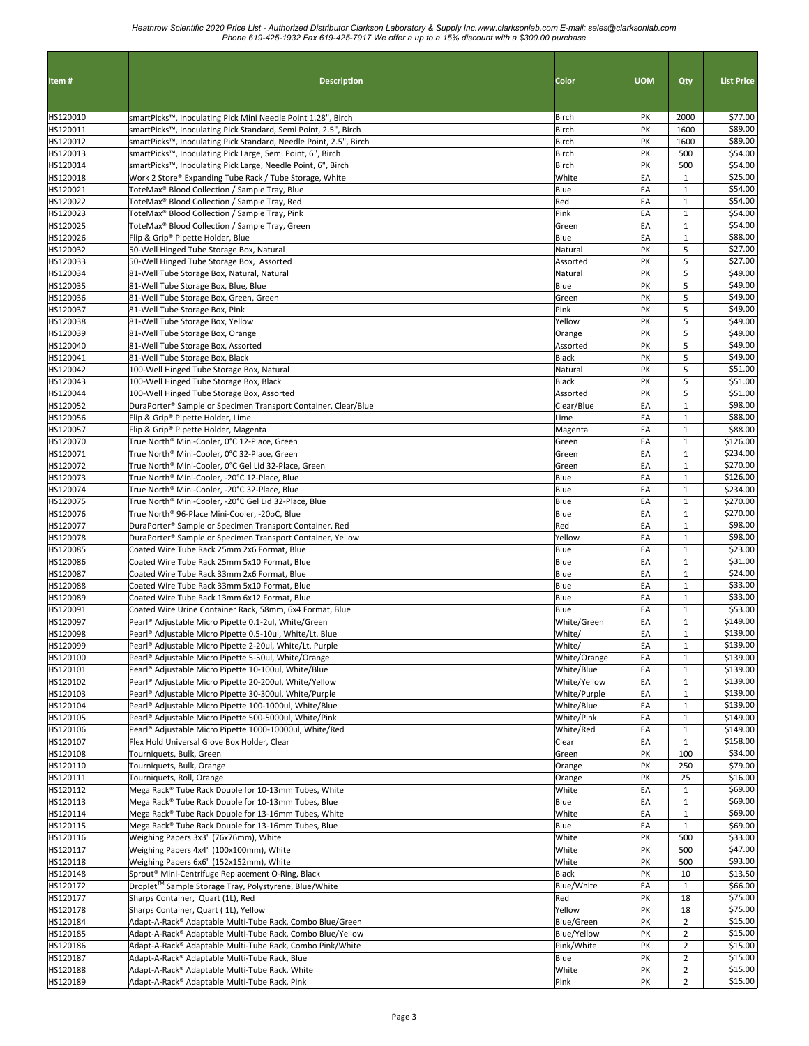| Item#                | <b>Description</b>                                                                                                              | Color                   | <b>UOM</b> | Qty                              | <b>List Price</b>    |
|----------------------|---------------------------------------------------------------------------------------------------------------------------------|-------------------------|------------|----------------------------------|----------------------|
|                      |                                                                                                                                 |                         |            |                                  |                      |
| HS120010             | smartPicks™, Inoculating Pick Mini Needle Point 1.28", Birch                                                                    | Birch                   | PΚ         | 2000                             | \$77.00              |
| HS120011             | smartPicks™, Inoculating Pick Standard, Semi Point, 2.5", Birch                                                                 | Birch                   | PΚ         | 1600                             | \$89.00              |
| HS120012<br>HS120013 | smartPicks™, Inoculating Pick Standard, Needle Point, 2.5", Birch<br>smartPicks™, Inoculating Pick Large, Semi Point, 6", Birch | Birch<br>Birch          | PK<br>PK   | 1600<br>500                      | \$89.00<br>\$54.00   |
| HS120014             | smartPicks™, Inoculating Pick Large, Needle Point, 6", Birch                                                                    | Birch                   | PK         | 500                              | \$54.00              |
| HS120018             | Work 2 Store® Expanding Tube Rack / Tube Storage, White                                                                         | White                   | EA         | $\mathbf{1}$                     | \$25.00              |
| HS120021             | ToteMax <sup>®</sup> Blood Collection / Sample Tray, Blue                                                                       | Blue                    | EA         | $\mathbf{1}$                     | \$54.00              |
| HS120022             | ToteMax® Blood Collection / Sample Tray, Red                                                                                    | Red                     | EA         | $\mathbf{1}$                     | \$54.00              |
| HS120023<br>HS120025 | ToteMax <sup>®</sup> Blood Collection / Sample Tray, Pink<br>ToteMax® Blood Collection / Sample Tray, Green                     | Pink<br>Green           | EA<br>EA   | $\mathbf{1}$<br>$\mathbf{1}$     | \$54.00<br>\$54.00   |
| HS120026             | Flip & Grip® Pipette Holder, Blue                                                                                               | Blue                    | EA         | $\mathbf 1$                      | \$88.00              |
| HS120032             | 50-Well Hinged Tube Storage Box, Natural                                                                                        | Natural                 | PK         | 5                                | \$27.00              |
| HS120033             | 50-Well Hinged Tube Storage Box, Assorted                                                                                       | Assorted                | PK         | 5                                | \$27.00              |
| HS120034<br>HS120035 | 81-Well Tube Storage Box, Natural, Natural<br>81-Well Tube Storage Box, Blue, Blue                                              | Natural<br>Blue         | PK<br>PK   | 5<br>5                           | \$49.00<br>\$49.00   |
| HS120036             | 81-Well Tube Storage Box, Green, Green                                                                                          | Green                   | PK         | 5                                | \$49.00              |
| HS120037             | 81-Well Tube Storage Box, Pink                                                                                                  | Pink                    | PK         | 5                                | \$49.00              |
| HS120038             | 81-Well Tube Storage Box, Yellow                                                                                                | Yellow                  | PK         | 5                                | \$49.00              |
| HS120039             | 81-Well Tube Storage Box, Orange                                                                                                | Orange                  | PK         | 5                                | \$49.00              |
| HS120040<br>HS120041 | 81-Well Tube Storage Box, Assorted<br>81-Well Tube Storage Box, Black                                                           | Assorted<br>Black       | PK<br>PK   | 5<br>5                           | \$49.00<br>\$49.00   |
| HS120042             | 100-Well Hinged Tube Storage Box, Natural                                                                                       | Natural                 | PK         | 5                                | \$51.00              |
| HS120043             | 100-Well Hinged Tube Storage Box, Black                                                                                         | Black                   | PK         | 5                                | \$51.00              |
| HS120044             | 100-Well Hinged Tube Storage Box, Assorted                                                                                      | Assorted                | PK         | 5                                | \$51.00              |
| HS120052             | DuraPorter® Sample or Specimen Transport Container, Clear/Blue                                                                  | Clear/Blue              | EA         | $\mathbf{1}$                     | \$98.00              |
| HS120056             | Flip & Grip® Pipette Holder, Lime                                                                                               | Lime                    | EA         | $\mathbf{1}$                     | \$88.00              |
| HS120057<br>HS120070 | Flip & Grip® Pipette Holder, Magenta<br>True North® Mini-Cooler, 0°C 12-Place, Green                                            | Magenta<br>Green        | EA<br>EA   | $\mathbf{1}$<br>$\mathbf{1}$     | \$88.00<br>\$126.00  |
| HS120071             | True North® Mini-Cooler, 0°C 32-Place, Green                                                                                    | Green                   | EA         | $\mathbf{1}$                     | \$234.00             |
| HS120072             | True North® Mini-Cooler, 0°C Gel Lid 32-Place, Green                                                                            | Green                   | EA         | $\mathbf{1}$                     | \$270.00             |
| HS120073             | True North® Mini-Cooler, -20°C 12-Place, Blue                                                                                   | Blue                    | EA         | $\mathbf{1}$                     | \$126.00             |
| HS120074             | True North® Mini-Cooler, -20°C 32-Place, Blue                                                                                   | Blue                    | EA         | $\mathbf{1}$                     | \$234.00             |
| HS120075<br>HS120076 | True North® Mini-Cooler, -20°C Gel Lid 32-Place, Blue<br>True North® 96-Place Mini-Cooler, -20oC, Blue                          | Blue<br>Blue            | EA<br>EA   | $\mathbf{1}$<br>$\mathbf{1}$     | \$270.00<br>\$270.00 |
| HS120077             | DuraPorter® Sample or Specimen Transport Container, Red                                                                         | Red                     | EA         | $\mathbf 1$                      | \$98.00              |
| HS120078             | DuraPorter® Sample or Specimen Transport Container, Yellow                                                                      | Yellow                  | EA         | $\mathbf{1}$                     | \$98.00              |
| HS120085             | Coated Wire Tube Rack 25mm 2x6 Format, Blue                                                                                     | Blue                    | EA         | $\mathbf 1$                      | \$23.00              |
| HS120086             | Coated Wire Tube Rack 25mm 5x10 Format, Blue                                                                                    | Blue                    | EA         | $\mathbf{1}$                     | \$31.00              |
| HS120087<br>HS120088 | Coated Wire Tube Rack 33mm 2x6 Format, Blue<br>Coated Wire Tube Rack 33mm 5x10 Format, Blue                                     | Blue<br>Blue            | EA<br>EA   | $\mathbf{1}$<br>$\mathbf{1}$     | \$24.00<br>\$33.00   |
| HS120089             | Coated Wire Tube Rack 13mm 6x12 Format, Blue                                                                                    | Blue                    | EA         | $\mathbf{1}$                     | \$33.00              |
| HS120091             | Coated Wire Urine Container Rack, 58mm, 6x4 Format, Blue                                                                        | Blue                    | EA         | $\mathbf{1}$                     | \$53.00              |
| HS120097             | Pearl® Adjustable Micro Pipette 0.1-2ul, White/Green                                                                            | White/Green             | EA         | $\mathbf{1}$                     | \$149.00             |
| HS120098             | Pearl® Adjustable Micro Pipette 0.5-10ul, White/Lt. Blue                                                                        | White/                  | EA         | $\mathbf{1}$                     | \$139.00             |
| HS120099<br>HS120100 | Pearl® Adjustable Micro Pipette 2-20ul, White/Lt. Purple<br>Pearl® Adjustable Micro Pipette 5-50ul, White/Orange                | White/<br>White/Orange  | EA<br>EA   | $\mathbf{1}$<br>$\mathbf{1}$     | \$139.00<br>\$139.00 |
| HS120101             | Pearl® Adjustable Micro Pipette 10-100ul, White/Blue                                                                            | White/Blue              | EA         | $\mathbf{1}$                     | \$139.00             |
| HS120102             | Pearl® Adjustable Micro Pipette 20-200ul, White/Yellow                                                                          | White/Yellow            | EA         | $\mathbf{1}$                     | \$139.00             |
| HS120103             | Pearl® Adjustable Micro Pipette 30-300ul, White/Purple                                                                          | White/Purple            | EA         | $\mathbf{1}$                     | \$139.00             |
| HS120104             | Pearl® Adjustable Micro Pipette 100-1000ul, White/Blue                                                                          | White/Blue              | EA         | $\mathbf{1}$                     | \$139.00             |
| HS120105<br>HS120106 | Pearl® Adjustable Micro Pipette 500-5000ul, White/Pink<br>Pearl® Adjustable Micro Pipette 1000-10000ul, White/Red               | White/Pink<br>White/Red | EA<br>EA   | $\mathbf{1}$<br>$\mathbf{1}$     | \$149.00<br>\$149.00 |
| HS120107             | Flex Hold Universal Glove Box Holder, Clear                                                                                     | Clear                   | EA         | $\mathbf{1}$                     | \$158.00             |
| HS120108             | Tourniquets, Bulk, Green                                                                                                        | Green                   | PK         | 100                              | \$34.00              |
| HS120110             | Tourniquets, Bulk, Orange                                                                                                       | Orange                  | PK         | 250                              | \$79.00              |
| HS120111             | Tourniquets, Roll, Orange                                                                                                       | Orange                  | PK         | 25                               | \$16.00              |
| HS120112<br>HS120113 | Mega Rack® Tube Rack Double for 10-13mm Tubes, White<br>Mega Rack® Tube Rack Double for 10-13mm Tubes, Blue                     | White<br>Blue           | EA<br>EA   | $\mathbf{1}$<br>$\mathbf{1}$     | \$69.00<br>\$69.00   |
| HS120114             | Mega Rack® Tube Rack Double for 13-16mm Tubes, White                                                                            | White                   | EA         | $\mathbf{1}$                     | \$69.00              |
| HS120115             | Mega Rack® Tube Rack Double for 13-16mm Tubes, Blue                                                                             | Blue                    | EA         | $\mathbf{1}$                     | \$69.00              |
| HS120116             | Weighing Papers 3x3" (76x76mm), White                                                                                           | White                   | PK         | 500                              | \$33.00              |
| HS120117             | Weighing Papers 4x4" (100x100mm), White                                                                                         | White                   | PΚ         | 500                              | \$47.00              |
| HS120118<br>HS120148 | Weighing Papers 6x6" (152x152mm), White<br>Sprout® Mini-Centrifuge Replacement O-Ring, Black                                    | White<br>Black          | PK<br>PK   | 500<br>10                        | \$93.00<br>\$13.50   |
| HS120172             | Droplet™ Sample Storage Tray, Polystyrene, Blue/White                                                                           | Blue/White              | EA         | $\mathbf{1}$                     | \$66.00              |
| HS120177             | Sharps Container, Quart (1L), Red                                                                                               | Red                     | PΚ         | 18                               | \$75.00              |
| HS120178             | Sharps Container, Quart (1L), Yellow                                                                                            | Yellow                  | PK         | 18                               | \$75.00              |
| HS120184             | Adapt-A-Rack® Adaptable Multi-Tube Rack, Combo Blue/Green                                                                       | Blue/Green              | PΚ         | $\overline{2}$                   | \$15.00              |
| HS120185             | Adapt-A-Rack® Adaptable Multi-Tube Rack, Combo Blue/Yellow                                                                      | <b>Blue/Yellow</b>      | PK         | $\overline{2}$<br>$\overline{2}$ | \$15.00<br>\$15.00   |
| HS120186<br>HS120187 | Adapt-A-Rack® Adaptable Multi-Tube Rack, Combo Pink/White<br>Adapt-A-Rack® Adaptable Multi-Tube Rack, Blue                      | Pink/White<br>Blue      | PK<br>PK   | $\overline{2}$                   | \$15.00              |
| HS120188             | Adapt-A-Rack® Adaptable Multi-Tube Rack, White                                                                                  | White                   | PK         | $\overline{2}$                   | \$15.00              |
| HS120189             | Adapt-A-Rack® Adaptable Multi-Tube Rack, Pink                                                                                   | Pink                    | PK         | $\overline{2}$                   | \$15.00              |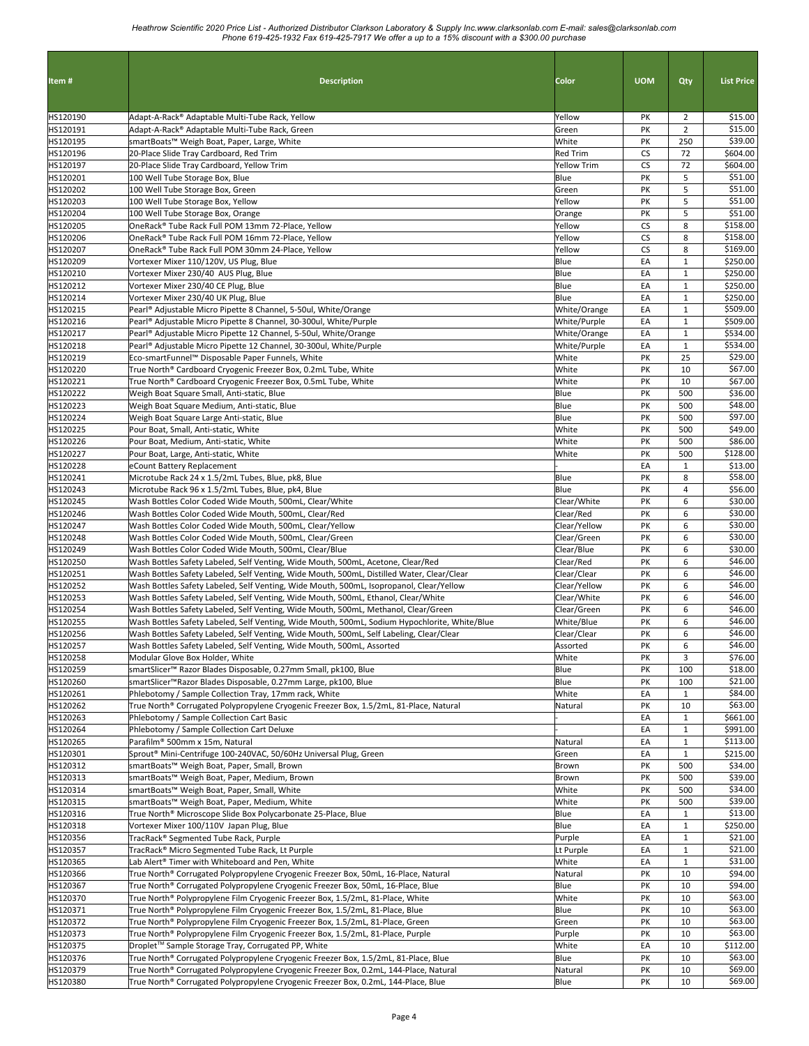| Item#                | <b>Description</b>                                                                                                                                                                        | Color                                 | <b>UOM</b>      | Qty                          | <b>List Price</b>    |
|----------------------|-------------------------------------------------------------------------------------------------------------------------------------------------------------------------------------------|---------------------------------------|-----------------|------------------------------|----------------------|
| HS120190             | Adapt-A-Rack® Adaptable Multi-Tube Rack, Yellow                                                                                                                                           | Yellow                                | PK              | $\overline{2}$               | \$15.00              |
| HS120191             | Adapt-A-Rack® Adaptable Multi-Tube Rack, Green                                                                                                                                            | Green                                 | PK              | $\overline{2}$               | \$15.00              |
| HS120195             | smartBoats™ Weigh Boat, Paper, Large, White                                                                                                                                               | White                                 | PK              | 250<br>72                    | \$39.00<br>\$604.00  |
| HS120196<br>HS120197 | 20-Place Slide Tray Cardboard, Red Trim<br>20-Place Slide Tray Cardboard, Yellow Trim                                                                                                     | <b>Red Trim</b><br><b>Yellow Trim</b> | CS<br><b>CS</b> | 72                           | \$604.00             |
| HS120201             | 100 Well Tube Storage Box, Blue                                                                                                                                                           | Blue                                  | PK              | 5                            | \$51.00              |
| HS120202             | 100 Well Tube Storage Box, Green                                                                                                                                                          | Green                                 | PK              | 5                            | \$51.00              |
| HS120203             | 100 Well Tube Storage Box, Yellow                                                                                                                                                         | Yellow                                | PK              | 5                            | \$51.00              |
| HS120204             | 100 Well Tube Storage Box, Orange                                                                                                                                                         | Orange                                | PK              | 5                            | \$51.00              |
| HS120205             | OneRack® Tube Rack Full POM 13mm 72-Place, Yellow                                                                                                                                         | Yellow                                | CS              | 8                            | \$158.00             |
| HS120206             | OneRack® Tube Rack Full POM 16mm 72-Place, Yellow                                                                                                                                         | Yellow                                | CS              | 8                            | \$158.00             |
| HS120207<br>HS120209 | OneRack® Tube Rack Full POM 30mm 24-Place, Yellow<br>Vortexer Mixer 110/120V, US Plug, Blue                                                                                               | Yellow<br>Blue                        | <b>CS</b><br>EA | 8<br>$\mathbf{1}$            | \$169.00<br>\$250.00 |
| HS120210             | Vortexer Mixer 230/40 AUS Plug, Blue                                                                                                                                                      | Blue                                  | EA              | $\mathbf{1}$                 | \$250.00             |
| HS120212             | Vortexer Mixer 230/40 CE Plug, Blue                                                                                                                                                       | Blue                                  | EA              | $\mathbf{1}$                 | \$250.00             |
| HS120214             | Vortexer Mixer 230/40 UK Plug, Blue                                                                                                                                                       | Blue                                  | EA              | $\mathbf{1}$                 | \$250.00             |
| HS120215             | Pearl® Adjustable Micro Pipette 8 Channel, 5-50ul, White/Orange                                                                                                                           | White/Orange                          | EA              | $\mathbf 1$                  | \$509.00             |
| HS120216             | Pearl <sup>®</sup> Adjustable Micro Pipette 8 Channel, 30-300ul, White/Purple                                                                                                             | White/Purple                          | EA              | $\mathbf{1}$                 | \$509.00             |
| HS120217             | Pearl® Adjustable Micro Pipette 12 Channel, 5-50ul, White/Orange                                                                                                                          | White/Orange                          | EA              | $\mathbf{1}$                 | \$534.00             |
| HS120218             | Pearl® Adjustable Micro Pipette 12 Channel, 30-300ul, White/Purple                                                                                                                        | White/Purple                          | EA              | $\mathbf{1}$                 | \$534.00             |
| HS120219             | Eco-smartFunnel™ Disposable Paper Funnels, White                                                                                                                                          | White                                 | PK              | 25                           | \$29.00              |
| HS120220<br>HS120221 | True North® Cardboard Cryogenic Freezer Box, 0.2mL Tube, White                                                                                                                            | White<br>White                        | PK<br>PK        | 10<br>10                     | \$67.00<br>\$67.00   |
| HS120222             | True North® Cardboard Cryogenic Freezer Box, 0.5mL Tube, White<br>Weigh Boat Square Small, Anti-static, Blue                                                                              | Blue                                  | PK              | 500                          | \$36.00              |
| HS120223             | Weigh Boat Square Medium, Anti-static, Blue                                                                                                                                               | Blue                                  | PK              | 500                          | \$48.00              |
| HS120224             | Weigh Boat Square Large Anti-static, Blue                                                                                                                                                 | Blue                                  | PK              | 500                          | \$97.00              |
| HS120225             | Pour Boat, Small, Anti-static, White                                                                                                                                                      | White                                 | PK              | 500                          | \$49.00              |
| HS120226             | Pour Boat, Medium, Anti-static, White                                                                                                                                                     | White                                 | PK              | 500                          | \$86.00              |
| HS120227             | Pour Boat, Large, Anti-static, White                                                                                                                                                      | White                                 | PK              | 500                          | \$128.00             |
| HS120228             | eCount Battery Replacement                                                                                                                                                                |                                       | EA              | $\mathbf{1}$                 | \$13.00              |
| HS120241             | Microtube Rack 24 x 1.5/2mL Tubes, Blue, pk8, Blue                                                                                                                                        | Blue                                  | PΚ              | 8                            | \$58.00              |
| HS120243             | Microtube Rack 96 x 1.5/2mL Tubes, Blue, pk4, Blue                                                                                                                                        | Blue                                  | PK              | 4                            | \$56.00              |
| HS120245<br>HS120246 | Wash Bottles Color Coded Wide Mouth, 500mL, Clear/White<br>Wash Bottles Color Coded Wide Mouth, 500mL, Clear/Red                                                                          | Clear/White<br>Clear/Red              | PK<br>PK        | 6<br>6                       | \$30.00<br>\$30.00   |
| HS120247             | Wash Bottles Color Coded Wide Mouth, 500mL, Clear/Yellow                                                                                                                                  | Clear/Yellow                          | PK              | 6                            | \$30.00              |
| HS120248             | Wash Bottles Color Coded Wide Mouth, 500mL, Clear/Green                                                                                                                                   | Clear/Green                           | PK              | 6                            | \$30.00              |
| HS120249             | Wash Bottles Color Coded Wide Mouth, 500mL, Clear/Blue                                                                                                                                    | Clear/Blue                            | PK              | 6                            | \$30.00              |
| HS120250             | Wash Bottles Safety Labeled, Self Venting, Wide Mouth, 500mL, Acetone, Clear/Red                                                                                                          | Clear/Red                             | PK              | 6                            | \$46.00              |
| HS120251             | Wash Bottles Safety Labeled, Self Venting, Wide Mouth, 500mL, Distilled Water, Clear/Clear                                                                                                | Clear/Clear                           | PK              | 6                            | \$46.00              |
| HS120252             | Wash Bottles Safety Labeled, Self Venting, Wide Mouth, 500mL, Isopropanol, Clear/Yellow                                                                                                   | Clear/Yellow                          | PK              | 6                            | \$46.00              |
| HS120253             | Wash Bottles Safety Labeled, Self Venting, Wide Mouth, 500mL, Ethanol, Clear/White                                                                                                        | Clear/White                           | PK              | 6                            | \$46.00              |
| HS120254             | Wash Bottles Safety Labeled, Self Venting, Wide Mouth, 500mL, Methanol, Clear/Green                                                                                                       | Clear/Green                           | PK              | 6                            | \$46.00<br>\$46.00   |
| HS120255<br>HS120256 | Wash Bottles Safety Labeled, Self Venting, Wide Mouth, 500mL, Sodium Hypochlorite, White/Blue<br>Wash Bottles Safety Labeled, Self Venting, Wide Mouth, 500mL, Self Labeling, Clear/Clear | White/Blue<br>Clear/Clear             | PK<br>PK        | 6<br>6                       | \$46.00              |
| HS120257             | Wash Bottles Safety Labeled, Self Venting, Wide Mouth, 500mL, Assorted                                                                                                                    | Assorted                              | PK              | 6                            | \$46.00              |
| HS120258             | Modular Glove Box Holder, White                                                                                                                                                           | White                                 | PK              | 3                            | \$76.00              |
| HS120259             | smartSlicer™ Razor Blades Disposable, 0.27mm Small, pk100, Blue                                                                                                                           | Blue                                  | PK              | 100                          | \$18.00              |
| HS120260             | smartSlicer™Razor Blades Disposable, 0.27mm Large, pk100, Blue                                                                                                                            | Blue                                  | PΚ              | 100                          | \$21.00              |
| HS120261             | Phlebotomy / Sample Collection Tray, 17mm rack, White                                                                                                                                     | White                                 | EA              | $\mathbf{1}$                 | \$84.00              |
| HS120262             | True North® Corrugated Polypropylene Cryogenic Freezer Box, 1.5/2mL, 81-Place, Natural                                                                                                    | Natural                               | PK              | 10                           | \$63.00              |
| HS120263             | Phlebotomy / Sample Collection Cart Basic                                                                                                                                                 |                                       | EA              | $\mathbf{1}$                 | \$661.00             |
| HS120264<br>HS120265 | Phlebotomy / Sample Collection Cart Deluxe<br>Parafilm® 500mm x 15m, Natural                                                                                                              | Natural                               | EA<br>EA        | $\mathbf{1}$<br>$\mathbf{1}$ | \$991.00<br>\$113.00 |
| HS120301             | Sprout® Mini-Centrifuge 100-240VAC, 50/60Hz Universal Plug, Green                                                                                                                         | Green                                 | EA              | $\mathbf{1}$                 | \$215.00             |
| HS120312             | smartBoats <sup>™</sup> Weigh Boat, Paper, Small, Brown                                                                                                                                   | Brown                                 | PK              | 500                          | \$34.00              |
| HS120313             | smartBoats™ Weigh Boat, Paper, Medium, Brown                                                                                                                                              | Brown                                 | PK              | 500                          | \$39.00              |
| HS120314             | smartBoats™ Weigh Boat, Paper, Small, White                                                                                                                                               | White                                 | PK              | 500                          | \$34.00              |
| HS120315             | smartBoats™ Weigh Boat, Paper, Medium, White                                                                                                                                              | White                                 | PK              | 500                          | \$39.00              |
| HS120316             | True North® Microscope Slide Box Polycarbonate 25-Place, Blue                                                                                                                             | Blue                                  | EA              | $\mathbf{1}$                 | \$13.00              |
| HS120318             | Vortexer Mixer 100/110V Japan Plug, Blue                                                                                                                                                  | Blue                                  | EA              | $\mathbf{1}$                 | \$250.00             |
| HS120356             | TracRack® Segmented Tube Rack, Purple                                                                                                                                                     | Purple                                | EA              | $\mathbf{1}$                 | \$21.00              |
| HS120357             | TracRack® Micro Segmented Tube Rack, Lt Purple                                                                                                                                            | Lt Purple                             | EA              | $\mathbf{1}$<br>$\mathbf{1}$ | \$21.00<br>\$31.00   |
| HS120365<br>HS120366 | Lab Alert® Timer with Whiteboard and Pen, White<br>True North® Corrugated Polypropylene Cryogenic Freezer Box, 50mL, 16-Place, Natural                                                    | White<br>Natural                      | EA<br>PΚ        | 10                           | \$94.00              |
| HS120367             | True North® Corrugated Polypropylene Cryogenic Freezer Box, 50mL, 16-Place, Blue                                                                                                          | Blue                                  | PK              | 10                           | \$94.00              |
| HS120370             | True North® Polypropylene Film Cryogenic Freezer Box, 1.5/2mL, 81-Place, White                                                                                                            | White                                 | PΚ              | 10                           | \$63.00              |
| HS120371             | True North® Polypropylene Film Cryogenic Freezer Box, 1.5/2mL, 81-Place, Blue                                                                                                             | Blue                                  | PK              | 10                           | \$63.00              |
| HS120372             | True North® Polypropylene Film Cryogenic Freezer Box, 1.5/2mL, 81-Place, Green                                                                                                            | Green                                 | PK              | 10                           | \$63.00              |
| HS120373             | True North® Polypropylene Film Cryogenic Freezer Box, 1.5/2mL, 81-Place, Purple                                                                                                           | Purple                                | PK              | 10                           | \$63.00              |
| HS120375             | Droplet™ Sample Storage Tray, Corrugated PP, White                                                                                                                                        | White                                 | EA              | 10                           | \$112.00             |
| HS120376             | True North® Corrugated Polypropylene Cryogenic Freezer Box, 1.5/2mL, 81-Place, Blue                                                                                                       | Blue                                  | PK              | 10                           | \$63.00              |
| HS120379             | True North® Corrugated Polypropylene Cryogenic Freezer Box, 0.2mL, 144-Place, Natural                                                                                                     | Natural                               | PΚ              | 10                           | \$69.00              |
| HS120380             | True North® Corrugated Polypropylene Cryogenic Freezer Box, 0.2mL, 144-Place, Blue                                                                                                        | Blue                                  | PK              | 10                           | \$69.00              |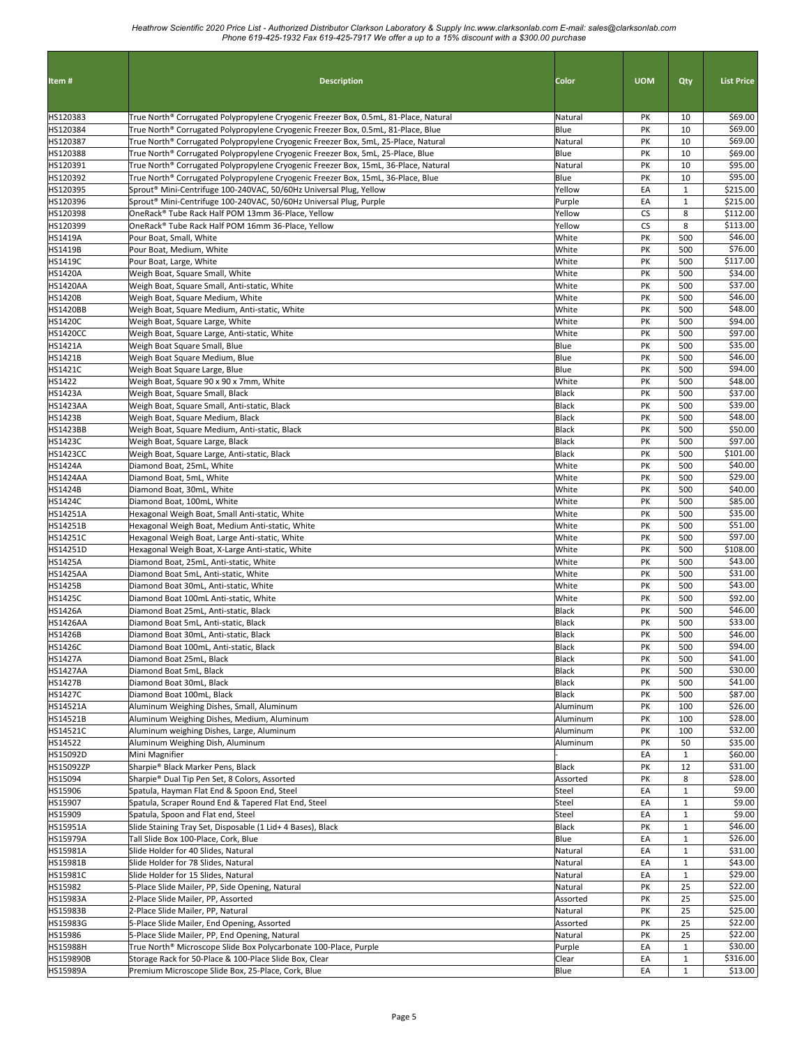| <b>Description</b><br>Color<br>Qty<br>\$69.00<br>True North® Corrugated Polypropylene Cryogenic Freezer Box, 0.5mL, 81-Place, Natural<br>Natural<br>PK<br>10<br>Blue<br>PK<br>10<br>\$69.00<br>True North® Corrugated Polypropylene Cryogenic Freezer Box, 0.5mL, 81-Place, Blue<br>PK<br>10<br>\$69.00<br>True North® Corrugated Polypropylene Cryogenic Freezer Box, 5mL, 25-Place, Natural<br>Natural<br>Blue<br>PK<br>10<br>\$69.00<br>HS120388<br>True North® Corrugated Polypropylene Cryogenic Freezer Box, 5mL, 25-Place, Blue<br>HS120391<br>PK<br>10<br>\$95.00<br>True North® Corrugated Polypropylene Cryogenic Freezer Box, 15mL, 36-Place, Natural<br>Natural<br>HS120392<br>Blue<br>PK<br>10<br>\$95.00<br>True North® Corrugated Polypropylene Cryogenic Freezer Box, 15mL, 36-Place, Blue<br>HS120395<br>Yellow<br>EA<br>\$215.00<br>Sprout® Mini-Centrifuge 100-240VAC, 50/60Hz Universal Plug, Yellow<br>$\mathbf{1}$<br>HS120396<br>EA<br>\$215.00<br>Sprout® Mini-Centrifuge 100-240VAC, 50/60Hz Universal Plug, Purple<br>Purple<br>$\mathbf{1}$<br>\$112.00<br>OneRack® Tube Rack Half POM 13mm 36-Place, Yellow<br>Yellow<br><b>CS</b><br>8<br>\$113.00<br>OneRack® Tube Rack Half POM 16mm 36-Place, Yellow<br>Yellow<br><b>CS</b><br>8<br>\$46.00<br>PK<br>500<br>Pour Boat, Small, White<br>White<br>\$76.00<br>White<br>PK<br>500<br>Pour Boat, Medium, White<br><b>HS1419C</b><br>White<br>PK<br>500<br>\$117.00<br>Pour Boat, Large, White<br>\$34.00<br><b>HS1420A</b><br>White<br>PK<br>500<br>Weigh Boat, Square Small, White<br>\$37.00<br><b>HS1420AA</b><br>White<br>PK<br>500<br>Weigh Boat, Square Small, Anti-static, White<br>\$46.00<br><b>HS1420B</b><br>White<br>PK<br>500<br>Weigh Boat, Square Medium, White<br>500<br>\$48.00<br><b>HS1420BB</b><br>Weigh Boat, Square Medium, Anti-static, White<br>White<br>PK<br>\$94.00<br>PK<br>500<br><b>HS1420C</b><br>Weigh Boat, Square Large, White<br>White<br>\$97.00<br><b>HS1420CC</b><br>Weigh Boat, Square Large, Anti-static, White<br>White<br>PK<br>500<br>\$35.00<br>PK<br>Weigh Boat Square Small, Blue<br>Blue<br>500<br>\$46.00<br>Blue<br>500<br>Weigh Boat Square Medium, Blue<br>PK<br>\$94.00<br>PK<br>Weigh Boat Square Large, Blue<br>Blue<br>500<br>\$48.00<br>Weigh Boat, Square 90 x 90 x 7mm, White<br>PK<br>500<br>White<br>\$37.00<br>PK<br>500<br>Weigh Boat, Square Small, Black<br><b>Black</b><br><b>HS1423AA</b><br>500<br>\$39.00<br>Weigh Boat, Square Small, Anti-static, Black<br>Black<br>PK<br>\$48.00<br>500<br><b>HS1423B</b><br>Weigh Boat, Square Medium, Black<br><b>Black</b><br>PK<br>\$50.00<br><b>HS1423BB</b><br><b>Black</b><br>PK<br>500<br>Weigh Boat, Square Medium, Anti-static, Black<br>\$97.00<br>500<br><b>HS1423C</b><br>Weigh Boat, Square Large, Black<br><b>Black</b><br>PK<br>\$101.00<br><b>HS1423CC</b><br>Black<br>PK<br>500<br>Weigh Boat, Square Large, Anti-static, Black<br>\$40.00<br>PK<br>500<br><b>HS1424A</b><br>Diamond Boat, 25mL, White<br>White<br>\$29.00<br>White<br>PK<br>500<br>Diamond Boat, 5mL, White<br>\$40.00<br>PK<br>500<br>Diamond Boat, 30mL, White<br>White<br>White<br>PK<br>500<br>\$85.00<br>Diamond Boat, 100mL, White<br>PK<br>500<br>\$35.00<br>Hexagonal Weigh Boat, Small Anti-static, White<br>White<br>PK<br>500<br>\$51.00<br>Hexagonal Weigh Boat, Medium Anti-static, White<br>White<br>\$97.00<br>PK<br>500<br>HS14251C<br>Hexagonal Weigh Boat, Large Anti-static, White<br>White<br>PK<br>500<br>\$108.00<br>HS14251D<br>Hexagonal Weigh Boat, X-Large Anti-static, White<br>White<br>\$43.00<br><b>HS1425A</b><br>White<br>PK<br>500<br>Diamond Boat, 25mL, Anti-static, White<br><b>HS1425AA</b><br>White<br>PK<br>\$31.00<br>Diamond Boat 5mL, Anti-static, White<br>500<br>PK<br>\$43.00<br><b>HS1425B</b><br>Diamond Boat 30mL, Anti-static, White<br>White<br>500<br>White<br>PK<br>500<br>\$92.00<br>Diamond Boat 100mL Anti-static. White<br>Diamond Boat 25mL, Anti-static, Black<br>Black<br>500<br>\$46.00<br>PK<br>\$33.00<br>PK<br>500<br>Diamond Boat 5mL, Anti-static, Black<br>Black<br>\$46.00<br>500<br>Diamond Boat 30mL, Anti-static, Black<br>Black<br>PK<br>\$94.00<br><b>HS1426C</b><br>Black<br>500<br>Diamond Boat 100mL, Anti-static, Black<br>PK<br>Black<br>\$41.00<br>Diamond Boat 25mL, Black<br>PK<br>500<br>\$30.00<br><b>HS1427AA</b><br>Diamond Boat 5mL, Black<br>Black<br>PK<br>500<br><b>HS1427B</b><br>Diamond Boat 30mL, Black<br>Black<br>\$41.00<br>PK<br>500<br>\$87.00<br><b>HS1427C</b><br>Diamond Boat 100mL, Black<br>Black<br>PK<br>500<br>HS14521A<br>Aluminum Weighing Dishes, Small, Aluminum<br>Aluminum<br>PK<br>100<br>\$26.00<br>\$28.00<br>Aluminum Weighing Dishes, Medium, Aluminum<br>Aluminum<br>PK<br>100<br>\$32.00<br>Aluminum<br>Aluminum weighing Dishes, Large, Aluminum<br>PK<br>100<br>\$35.00<br>50<br>Aluminum Weighing Dish, Aluminum<br>Aluminum<br>PK<br>\$60.00<br>Mini Magnifier<br>EA<br>$\mathbf{1}$<br>\$31.00<br>Sharpie® Black Marker Pens, Black<br>12<br><b>Black</b><br>PK<br>HS15094<br>PK<br>8<br>\$28.00<br>Sharpie® Dual Tip Pen Set, 8 Colors, Assorted<br>Assorted<br>\$9.00<br>HS15906<br>Spatula, Hayman Flat End & Spoon End, Steel<br>Steel<br>EA<br>$\mathbf{1}$<br>\$9.00<br>$\mathbf{1}$<br>HS15907<br>Spatula, Scraper Round End & Tapered Flat End, Steel<br>Steel<br>EA<br>$\mathbf{1}$<br>HS15909<br>Spatula, Spoon and Flat end, Steel<br>Steel<br>EA<br>\$9.00<br><b>Black</b><br>PK<br>$\mathbf{1}$<br>\$46.00<br>HS15951A<br>Slide Staining Tray Set, Disposable (1 Lid+ 4 Bases), Black<br>\$26.00<br>HS15979A<br>Tall Slide Box 100-Place, Cork, Blue<br>Blue<br>EA<br>$\mathbf{1}$<br>EA<br>$\mathbf{1}$<br>\$31.00<br>Slide Holder for 40 Slides, Natural<br>Natural<br>Slide Holder for 78 Slides, Natural<br>\$43.00<br>Natural<br>EA<br>$\mathbf{1}$<br>Slide Holder for 15 Slides, Natural<br>\$29.00<br>Natural<br>EA<br>$\mathbf{1}$<br>PK<br>25<br>\$22.00<br>5-Place Slide Mailer, PP, Side Opening, Natural<br>Natural<br>PK<br>25<br>2-Place Slide Mailer, PP, Assorted<br>Assorted<br>\$25.00<br>2-Place Slide Mailer, PP, Natural<br>PK<br>25<br>\$25.00<br>Natural<br>\$22.00<br>HS15983G<br>5-Place Slide Mailer, End Opening, Assorted<br>PK<br>25<br>Assorted<br>HS15986<br>5-Place Slide Mailer, PP, End Opening, Natural<br>25<br>\$22.00<br>PK<br>Natural<br>\$30.00<br><b>HS15988H</b><br>True North® Microscope Slide Box Polycarbonate 100-Place, Purple<br>$\mathbf{1}$<br>Purple<br>EA<br>HS159890B<br>Storage Rack for 50-Place & 100-Place Slide Box, Clear<br>$\mathbf{1}$<br>Clear<br>EA<br>\$316.00<br>\$13.00<br>HS15989A<br>Premium Microscope Slide Box, 25-Place, Cork, Blue<br>Blue<br>EA<br>$\mathbf{1}$ |                  |  |            |                   |
|-----------------------------------------------------------------------------------------------------------------------------------------------------------------------------------------------------------------------------------------------------------------------------------------------------------------------------------------------------------------------------------------------------------------------------------------------------------------------------------------------------------------------------------------------------------------------------------------------------------------------------------------------------------------------------------------------------------------------------------------------------------------------------------------------------------------------------------------------------------------------------------------------------------------------------------------------------------------------------------------------------------------------------------------------------------------------------------------------------------------------------------------------------------------------------------------------------------------------------------------------------------------------------------------------------------------------------------------------------------------------------------------------------------------------------------------------------------------------------------------------------------------------------------------------------------------------------------------------------------------------------------------------------------------------------------------------------------------------------------------------------------------------------------------------------------------------------------------------------------------------------------------------------------------------------------------------------------------------------------------------------------------------------------------------------------------------------------------------------------------------------------------------------------------------------------------------------------------------------------------------------------------------------------------------------------------------------------------------------------------------------------------------------------------------------------------------------------------------------------------------------------------------------------------------------------------------------------------------------------------------------------------------------------------------------------------------------------------------------------------------------------------------------------------------------------------------------------------------------------------------------------------------------------------------------------------------------------------------------------------------------------------------------------------------------------------------------------------------------------------------------------------------------------------------------------------------------------------------------------------------------------------------------------------------------------------------------------------------------------------------------------------------------------------------------------------------------------------------------------------------------------------------------------------------------------------------------------------------------------------------------------------------------------------------------------------------------------------------------------------------------------------------------------------------------------------------------------------------------------------------------------------------------------------------------------------------------------------------------------------------------------------------------------------------------------------------------------------------------------------------------------------------------------------------------------------------------------------------------------------------------------------------------------------------------------------------------------------------------------------------------------------------------------------------------------------------------------------------------------------------------------------------------------------------------------------------------------------------------------------------------------------------------------------------------------------------------------------------------------------------------------------------------------------------------------------------------------------------------------------------------------------------------------------------------------------------------------------------------------------------------------------------------------------------------------------------------------------------------------------------------------------------------------------------------------------------------------------------------------------------------------------------------------------------------------------------------------------------------------------------------------------------------------------------------------------------------------------------------------------------------------------------------------------------------------------------------------------------------------------------------------------------------------------------------------------------------------------------------------------------------------------------------------------------------------------------------------------------------------------------------------------------------------------------------------------------------------------------------------------------------------------------------------------------------------------------------------------------------------------------------------------------------------------------------------------------------------------------------------------------------------------------------------------------------------------------------------------------------------------------------------------------------------------------------------------------------------------------------------------------------------------------------------------------------------------------------------------------------------------------------------------------------------------------------------------------------------------------------------------------------------|------------------|--|------------|-------------------|
|                                                                                                                                                                                                                                                                                                                                                                                                                                                                                                                                                                                                                                                                                                                                                                                                                                                                                                                                                                                                                                                                                                                                                                                                                                                                                                                                                                                                                                                                                                                                                                                                                                                                                                                                                                                                                                                                                                                                                                                                                                                                                                                                                                                                                                                                                                                                                                                                                                                                                                                                                                                                                                                                                                                                                                                                                                                                                                                                                                                                                                                                                                                                                                                                                                                                                                                                                                                                                                                                                                                                                                                                                                                                                                                                                                                                                                                                                                                                                                                                                                                                                                                                                                                                                                                                                                                                                                                                                                                                                                                                                                                                                                                                                                                                                                                                                                                                                                                                                                                                                                                                                                                                                                                                                                                                                                                                                                                                                                                                                                                                                                                                                                                                                                                                                                                                                                                                                                                                                                                                                                                                                                                                                                                                                                                                                                                                                                                                                                                                                                                                                                                                                                                                                                                                                           | Item#            |  | <b>UOM</b> | <b>List Price</b> |
|                                                                                                                                                                                                                                                                                                                                                                                                                                                                                                                                                                                                                                                                                                                                                                                                                                                                                                                                                                                                                                                                                                                                                                                                                                                                                                                                                                                                                                                                                                                                                                                                                                                                                                                                                                                                                                                                                                                                                                                                                                                                                                                                                                                                                                                                                                                                                                                                                                                                                                                                                                                                                                                                                                                                                                                                                                                                                                                                                                                                                                                                                                                                                                                                                                                                                                                                                                                                                                                                                                                                                                                                                                                                                                                                                                                                                                                                                                                                                                                                                                                                                                                                                                                                                                                                                                                                                                                                                                                                                                                                                                                                                                                                                                                                                                                                                                                                                                                                                                                                                                                                                                                                                                                                                                                                                                                                                                                                                                                                                                                                                                                                                                                                                                                                                                                                                                                                                                                                                                                                                                                                                                                                                                                                                                                                                                                                                                                                                                                                                                                                                                                                                                                                                                                                                           | HS120383         |  |            |                   |
|                                                                                                                                                                                                                                                                                                                                                                                                                                                                                                                                                                                                                                                                                                                                                                                                                                                                                                                                                                                                                                                                                                                                                                                                                                                                                                                                                                                                                                                                                                                                                                                                                                                                                                                                                                                                                                                                                                                                                                                                                                                                                                                                                                                                                                                                                                                                                                                                                                                                                                                                                                                                                                                                                                                                                                                                                                                                                                                                                                                                                                                                                                                                                                                                                                                                                                                                                                                                                                                                                                                                                                                                                                                                                                                                                                                                                                                                                                                                                                                                                                                                                                                                                                                                                                                                                                                                                                                                                                                                                                                                                                                                                                                                                                                                                                                                                                                                                                                                                                                                                                                                                                                                                                                                                                                                                                                                                                                                                                                                                                                                                                                                                                                                                                                                                                                                                                                                                                                                                                                                                                                                                                                                                                                                                                                                                                                                                                                                                                                                                                                                                                                                                                                                                                                                                           | HS120384         |  |            |                   |
|                                                                                                                                                                                                                                                                                                                                                                                                                                                                                                                                                                                                                                                                                                                                                                                                                                                                                                                                                                                                                                                                                                                                                                                                                                                                                                                                                                                                                                                                                                                                                                                                                                                                                                                                                                                                                                                                                                                                                                                                                                                                                                                                                                                                                                                                                                                                                                                                                                                                                                                                                                                                                                                                                                                                                                                                                                                                                                                                                                                                                                                                                                                                                                                                                                                                                                                                                                                                                                                                                                                                                                                                                                                                                                                                                                                                                                                                                                                                                                                                                                                                                                                                                                                                                                                                                                                                                                                                                                                                                                                                                                                                                                                                                                                                                                                                                                                                                                                                                                                                                                                                                                                                                                                                                                                                                                                                                                                                                                                                                                                                                                                                                                                                                                                                                                                                                                                                                                                                                                                                                                                                                                                                                                                                                                                                                                                                                                                                                                                                                                                                                                                                                                                                                                                                                           | HS120387         |  |            |                   |
|                                                                                                                                                                                                                                                                                                                                                                                                                                                                                                                                                                                                                                                                                                                                                                                                                                                                                                                                                                                                                                                                                                                                                                                                                                                                                                                                                                                                                                                                                                                                                                                                                                                                                                                                                                                                                                                                                                                                                                                                                                                                                                                                                                                                                                                                                                                                                                                                                                                                                                                                                                                                                                                                                                                                                                                                                                                                                                                                                                                                                                                                                                                                                                                                                                                                                                                                                                                                                                                                                                                                                                                                                                                                                                                                                                                                                                                                                                                                                                                                                                                                                                                                                                                                                                                                                                                                                                                                                                                                                                                                                                                                                                                                                                                                                                                                                                                                                                                                                                                                                                                                                                                                                                                                                                                                                                                                                                                                                                                                                                                                                                                                                                                                                                                                                                                                                                                                                                                                                                                                                                                                                                                                                                                                                                                                                                                                                                                                                                                                                                                                                                                                                                                                                                                                                           |                  |  |            |                   |
|                                                                                                                                                                                                                                                                                                                                                                                                                                                                                                                                                                                                                                                                                                                                                                                                                                                                                                                                                                                                                                                                                                                                                                                                                                                                                                                                                                                                                                                                                                                                                                                                                                                                                                                                                                                                                                                                                                                                                                                                                                                                                                                                                                                                                                                                                                                                                                                                                                                                                                                                                                                                                                                                                                                                                                                                                                                                                                                                                                                                                                                                                                                                                                                                                                                                                                                                                                                                                                                                                                                                                                                                                                                                                                                                                                                                                                                                                                                                                                                                                                                                                                                                                                                                                                                                                                                                                                                                                                                                                                                                                                                                                                                                                                                                                                                                                                                                                                                                                                                                                                                                                                                                                                                                                                                                                                                                                                                                                                                                                                                                                                                                                                                                                                                                                                                                                                                                                                                                                                                                                                                                                                                                                                                                                                                                                                                                                                                                                                                                                                                                                                                                                                                                                                                                                           |                  |  |            |                   |
|                                                                                                                                                                                                                                                                                                                                                                                                                                                                                                                                                                                                                                                                                                                                                                                                                                                                                                                                                                                                                                                                                                                                                                                                                                                                                                                                                                                                                                                                                                                                                                                                                                                                                                                                                                                                                                                                                                                                                                                                                                                                                                                                                                                                                                                                                                                                                                                                                                                                                                                                                                                                                                                                                                                                                                                                                                                                                                                                                                                                                                                                                                                                                                                                                                                                                                                                                                                                                                                                                                                                                                                                                                                                                                                                                                                                                                                                                                                                                                                                                                                                                                                                                                                                                                                                                                                                                                                                                                                                                                                                                                                                                                                                                                                                                                                                                                                                                                                                                                                                                                                                                                                                                                                                                                                                                                                                                                                                                                                                                                                                                                                                                                                                                                                                                                                                                                                                                                                                                                                                                                                                                                                                                                                                                                                                                                                                                                                                                                                                                                                                                                                                                                                                                                                                                           |                  |  |            |                   |
|                                                                                                                                                                                                                                                                                                                                                                                                                                                                                                                                                                                                                                                                                                                                                                                                                                                                                                                                                                                                                                                                                                                                                                                                                                                                                                                                                                                                                                                                                                                                                                                                                                                                                                                                                                                                                                                                                                                                                                                                                                                                                                                                                                                                                                                                                                                                                                                                                                                                                                                                                                                                                                                                                                                                                                                                                                                                                                                                                                                                                                                                                                                                                                                                                                                                                                                                                                                                                                                                                                                                                                                                                                                                                                                                                                                                                                                                                                                                                                                                                                                                                                                                                                                                                                                                                                                                                                                                                                                                                                                                                                                                                                                                                                                                                                                                                                                                                                                                                                                                                                                                                                                                                                                                                                                                                                                                                                                                                                                                                                                                                                                                                                                                                                                                                                                                                                                                                                                                                                                                                                                                                                                                                                                                                                                                                                                                                                                                                                                                                                                                                                                                                                                                                                                                                           |                  |  |            |                   |
|                                                                                                                                                                                                                                                                                                                                                                                                                                                                                                                                                                                                                                                                                                                                                                                                                                                                                                                                                                                                                                                                                                                                                                                                                                                                                                                                                                                                                                                                                                                                                                                                                                                                                                                                                                                                                                                                                                                                                                                                                                                                                                                                                                                                                                                                                                                                                                                                                                                                                                                                                                                                                                                                                                                                                                                                                                                                                                                                                                                                                                                                                                                                                                                                                                                                                                                                                                                                                                                                                                                                                                                                                                                                                                                                                                                                                                                                                                                                                                                                                                                                                                                                                                                                                                                                                                                                                                                                                                                                                                                                                                                                                                                                                                                                                                                                                                                                                                                                                                                                                                                                                                                                                                                                                                                                                                                                                                                                                                                                                                                                                                                                                                                                                                                                                                                                                                                                                                                                                                                                                                                                                                                                                                                                                                                                                                                                                                                                                                                                                                                                                                                                                                                                                                                                                           | HS120398         |  |            |                   |
|                                                                                                                                                                                                                                                                                                                                                                                                                                                                                                                                                                                                                                                                                                                                                                                                                                                                                                                                                                                                                                                                                                                                                                                                                                                                                                                                                                                                                                                                                                                                                                                                                                                                                                                                                                                                                                                                                                                                                                                                                                                                                                                                                                                                                                                                                                                                                                                                                                                                                                                                                                                                                                                                                                                                                                                                                                                                                                                                                                                                                                                                                                                                                                                                                                                                                                                                                                                                                                                                                                                                                                                                                                                                                                                                                                                                                                                                                                                                                                                                                                                                                                                                                                                                                                                                                                                                                                                                                                                                                                                                                                                                                                                                                                                                                                                                                                                                                                                                                                                                                                                                                                                                                                                                                                                                                                                                                                                                                                                                                                                                                                                                                                                                                                                                                                                                                                                                                                                                                                                                                                                                                                                                                                                                                                                                                                                                                                                                                                                                                                                                                                                                                                                                                                                                                           | HS120399         |  |            |                   |
|                                                                                                                                                                                                                                                                                                                                                                                                                                                                                                                                                                                                                                                                                                                                                                                                                                                                                                                                                                                                                                                                                                                                                                                                                                                                                                                                                                                                                                                                                                                                                                                                                                                                                                                                                                                                                                                                                                                                                                                                                                                                                                                                                                                                                                                                                                                                                                                                                                                                                                                                                                                                                                                                                                                                                                                                                                                                                                                                                                                                                                                                                                                                                                                                                                                                                                                                                                                                                                                                                                                                                                                                                                                                                                                                                                                                                                                                                                                                                                                                                                                                                                                                                                                                                                                                                                                                                                                                                                                                                                                                                                                                                                                                                                                                                                                                                                                                                                                                                                                                                                                                                                                                                                                                                                                                                                                                                                                                                                                                                                                                                                                                                                                                                                                                                                                                                                                                                                                                                                                                                                                                                                                                                                                                                                                                                                                                                                                                                                                                                                                                                                                                                                                                                                                                                           | <b>HS1419A</b>   |  |            |                   |
|                                                                                                                                                                                                                                                                                                                                                                                                                                                                                                                                                                                                                                                                                                                                                                                                                                                                                                                                                                                                                                                                                                                                                                                                                                                                                                                                                                                                                                                                                                                                                                                                                                                                                                                                                                                                                                                                                                                                                                                                                                                                                                                                                                                                                                                                                                                                                                                                                                                                                                                                                                                                                                                                                                                                                                                                                                                                                                                                                                                                                                                                                                                                                                                                                                                                                                                                                                                                                                                                                                                                                                                                                                                                                                                                                                                                                                                                                                                                                                                                                                                                                                                                                                                                                                                                                                                                                                                                                                                                                                                                                                                                                                                                                                                                                                                                                                                                                                                                                                                                                                                                                                                                                                                                                                                                                                                                                                                                                                                                                                                                                                                                                                                                                                                                                                                                                                                                                                                                                                                                                                                                                                                                                                                                                                                                                                                                                                                                                                                                                                                                                                                                                                                                                                                                                           | <b>HS1419B</b>   |  |            |                   |
|                                                                                                                                                                                                                                                                                                                                                                                                                                                                                                                                                                                                                                                                                                                                                                                                                                                                                                                                                                                                                                                                                                                                                                                                                                                                                                                                                                                                                                                                                                                                                                                                                                                                                                                                                                                                                                                                                                                                                                                                                                                                                                                                                                                                                                                                                                                                                                                                                                                                                                                                                                                                                                                                                                                                                                                                                                                                                                                                                                                                                                                                                                                                                                                                                                                                                                                                                                                                                                                                                                                                                                                                                                                                                                                                                                                                                                                                                                                                                                                                                                                                                                                                                                                                                                                                                                                                                                                                                                                                                                                                                                                                                                                                                                                                                                                                                                                                                                                                                                                                                                                                                                                                                                                                                                                                                                                                                                                                                                                                                                                                                                                                                                                                                                                                                                                                                                                                                                                                                                                                                                                                                                                                                                                                                                                                                                                                                                                                                                                                                                                                                                                                                                                                                                                                                           |                  |  |            |                   |
|                                                                                                                                                                                                                                                                                                                                                                                                                                                                                                                                                                                                                                                                                                                                                                                                                                                                                                                                                                                                                                                                                                                                                                                                                                                                                                                                                                                                                                                                                                                                                                                                                                                                                                                                                                                                                                                                                                                                                                                                                                                                                                                                                                                                                                                                                                                                                                                                                                                                                                                                                                                                                                                                                                                                                                                                                                                                                                                                                                                                                                                                                                                                                                                                                                                                                                                                                                                                                                                                                                                                                                                                                                                                                                                                                                                                                                                                                                                                                                                                                                                                                                                                                                                                                                                                                                                                                                                                                                                                                                                                                                                                                                                                                                                                                                                                                                                                                                                                                                                                                                                                                                                                                                                                                                                                                                                                                                                                                                                                                                                                                                                                                                                                                                                                                                                                                                                                                                                                                                                                                                                                                                                                                                                                                                                                                                                                                                                                                                                                                                                                                                                                                                                                                                                                                           |                  |  |            |                   |
|                                                                                                                                                                                                                                                                                                                                                                                                                                                                                                                                                                                                                                                                                                                                                                                                                                                                                                                                                                                                                                                                                                                                                                                                                                                                                                                                                                                                                                                                                                                                                                                                                                                                                                                                                                                                                                                                                                                                                                                                                                                                                                                                                                                                                                                                                                                                                                                                                                                                                                                                                                                                                                                                                                                                                                                                                                                                                                                                                                                                                                                                                                                                                                                                                                                                                                                                                                                                                                                                                                                                                                                                                                                                                                                                                                                                                                                                                                                                                                                                                                                                                                                                                                                                                                                                                                                                                                                                                                                                                                                                                                                                                                                                                                                                                                                                                                                                                                                                                                                                                                                                                                                                                                                                                                                                                                                                                                                                                                                                                                                                                                                                                                                                                                                                                                                                                                                                                                                                                                                                                                                                                                                                                                                                                                                                                                                                                                                                                                                                                                                                                                                                                                                                                                                                                           |                  |  |            |                   |
|                                                                                                                                                                                                                                                                                                                                                                                                                                                                                                                                                                                                                                                                                                                                                                                                                                                                                                                                                                                                                                                                                                                                                                                                                                                                                                                                                                                                                                                                                                                                                                                                                                                                                                                                                                                                                                                                                                                                                                                                                                                                                                                                                                                                                                                                                                                                                                                                                                                                                                                                                                                                                                                                                                                                                                                                                                                                                                                                                                                                                                                                                                                                                                                                                                                                                                                                                                                                                                                                                                                                                                                                                                                                                                                                                                                                                                                                                                                                                                                                                                                                                                                                                                                                                                                                                                                                                                                                                                                                                                                                                                                                                                                                                                                                                                                                                                                                                                                                                                                                                                                                                                                                                                                                                                                                                                                                                                                                                                                                                                                                                                                                                                                                                                                                                                                                                                                                                                                                                                                                                                                                                                                                                                                                                                                                                                                                                                                                                                                                                                                                                                                                                                                                                                                                                           |                  |  |            |                   |
|                                                                                                                                                                                                                                                                                                                                                                                                                                                                                                                                                                                                                                                                                                                                                                                                                                                                                                                                                                                                                                                                                                                                                                                                                                                                                                                                                                                                                                                                                                                                                                                                                                                                                                                                                                                                                                                                                                                                                                                                                                                                                                                                                                                                                                                                                                                                                                                                                                                                                                                                                                                                                                                                                                                                                                                                                                                                                                                                                                                                                                                                                                                                                                                                                                                                                                                                                                                                                                                                                                                                                                                                                                                                                                                                                                                                                                                                                                                                                                                                                                                                                                                                                                                                                                                                                                                                                                                                                                                                                                                                                                                                                                                                                                                                                                                                                                                                                                                                                                                                                                                                                                                                                                                                                                                                                                                                                                                                                                                                                                                                                                                                                                                                                                                                                                                                                                                                                                                                                                                                                                                                                                                                                                                                                                                                                                                                                                                                                                                                                                                                                                                                                                                                                                                                                           |                  |  |            |                   |
|                                                                                                                                                                                                                                                                                                                                                                                                                                                                                                                                                                                                                                                                                                                                                                                                                                                                                                                                                                                                                                                                                                                                                                                                                                                                                                                                                                                                                                                                                                                                                                                                                                                                                                                                                                                                                                                                                                                                                                                                                                                                                                                                                                                                                                                                                                                                                                                                                                                                                                                                                                                                                                                                                                                                                                                                                                                                                                                                                                                                                                                                                                                                                                                                                                                                                                                                                                                                                                                                                                                                                                                                                                                                                                                                                                                                                                                                                                                                                                                                                                                                                                                                                                                                                                                                                                                                                                                                                                                                                                                                                                                                                                                                                                                                                                                                                                                                                                                                                                                                                                                                                                                                                                                                                                                                                                                                                                                                                                                                                                                                                                                                                                                                                                                                                                                                                                                                                                                                                                                                                                                                                                                                                                                                                                                                                                                                                                                                                                                                                                                                                                                                                                                                                                                                                           |                  |  |            |                   |
|                                                                                                                                                                                                                                                                                                                                                                                                                                                                                                                                                                                                                                                                                                                                                                                                                                                                                                                                                                                                                                                                                                                                                                                                                                                                                                                                                                                                                                                                                                                                                                                                                                                                                                                                                                                                                                                                                                                                                                                                                                                                                                                                                                                                                                                                                                                                                                                                                                                                                                                                                                                                                                                                                                                                                                                                                                                                                                                                                                                                                                                                                                                                                                                                                                                                                                                                                                                                                                                                                                                                                                                                                                                                                                                                                                                                                                                                                                                                                                                                                                                                                                                                                                                                                                                                                                                                                                                                                                                                                                                                                                                                                                                                                                                                                                                                                                                                                                                                                                                                                                                                                                                                                                                                                                                                                                                                                                                                                                                                                                                                                                                                                                                                                                                                                                                                                                                                                                                                                                                                                                                                                                                                                                                                                                                                                                                                                                                                                                                                                                                                                                                                                                                                                                                                                           | HS1421A          |  |            |                   |
|                                                                                                                                                                                                                                                                                                                                                                                                                                                                                                                                                                                                                                                                                                                                                                                                                                                                                                                                                                                                                                                                                                                                                                                                                                                                                                                                                                                                                                                                                                                                                                                                                                                                                                                                                                                                                                                                                                                                                                                                                                                                                                                                                                                                                                                                                                                                                                                                                                                                                                                                                                                                                                                                                                                                                                                                                                                                                                                                                                                                                                                                                                                                                                                                                                                                                                                                                                                                                                                                                                                                                                                                                                                                                                                                                                                                                                                                                                                                                                                                                                                                                                                                                                                                                                                                                                                                                                                                                                                                                                                                                                                                                                                                                                                                                                                                                                                                                                                                                                                                                                                                                                                                                                                                                                                                                                                                                                                                                                                                                                                                                                                                                                                                                                                                                                                                                                                                                                                                                                                                                                                                                                                                                                                                                                                                                                                                                                                                                                                                                                                                                                                                                                                                                                                                                           | HS1421B          |  |            |                   |
|                                                                                                                                                                                                                                                                                                                                                                                                                                                                                                                                                                                                                                                                                                                                                                                                                                                                                                                                                                                                                                                                                                                                                                                                                                                                                                                                                                                                                                                                                                                                                                                                                                                                                                                                                                                                                                                                                                                                                                                                                                                                                                                                                                                                                                                                                                                                                                                                                                                                                                                                                                                                                                                                                                                                                                                                                                                                                                                                                                                                                                                                                                                                                                                                                                                                                                                                                                                                                                                                                                                                                                                                                                                                                                                                                                                                                                                                                                                                                                                                                                                                                                                                                                                                                                                                                                                                                                                                                                                                                                                                                                                                                                                                                                                                                                                                                                                                                                                                                                                                                                                                                                                                                                                                                                                                                                                                                                                                                                                                                                                                                                                                                                                                                                                                                                                                                                                                                                                                                                                                                                                                                                                                                                                                                                                                                                                                                                                                                                                                                                                                                                                                                                                                                                                                                           | <b>HS1421C</b>   |  |            |                   |
|                                                                                                                                                                                                                                                                                                                                                                                                                                                                                                                                                                                                                                                                                                                                                                                                                                                                                                                                                                                                                                                                                                                                                                                                                                                                                                                                                                                                                                                                                                                                                                                                                                                                                                                                                                                                                                                                                                                                                                                                                                                                                                                                                                                                                                                                                                                                                                                                                                                                                                                                                                                                                                                                                                                                                                                                                                                                                                                                                                                                                                                                                                                                                                                                                                                                                                                                                                                                                                                                                                                                                                                                                                                                                                                                                                                                                                                                                                                                                                                                                                                                                                                                                                                                                                                                                                                                                                                                                                                                                                                                                                                                                                                                                                                                                                                                                                                                                                                                                                                                                                                                                                                                                                                                                                                                                                                                                                                                                                                                                                                                                                                                                                                                                                                                                                                                                                                                                                                                                                                                                                                                                                                                                                                                                                                                                                                                                                                                                                                                                                                                                                                                                                                                                                                                                           | HS1422           |  |            |                   |
|                                                                                                                                                                                                                                                                                                                                                                                                                                                                                                                                                                                                                                                                                                                                                                                                                                                                                                                                                                                                                                                                                                                                                                                                                                                                                                                                                                                                                                                                                                                                                                                                                                                                                                                                                                                                                                                                                                                                                                                                                                                                                                                                                                                                                                                                                                                                                                                                                                                                                                                                                                                                                                                                                                                                                                                                                                                                                                                                                                                                                                                                                                                                                                                                                                                                                                                                                                                                                                                                                                                                                                                                                                                                                                                                                                                                                                                                                                                                                                                                                                                                                                                                                                                                                                                                                                                                                                                                                                                                                                                                                                                                                                                                                                                                                                                                                                                                                                                                                                                                                                                                                                                                                                                                                                                                                                                                                                                                                                                                                                                                                                                                                                                                                                                                                                                                                                                                                                                                                                                                                                                                                                                                                                                                                                                                                                                                                                                                                                                                                                                                                                                                                                                                                                                                                           | <b>HS1423A</b>   |  |            |                   |
|                                                                                                                                                                                                                                                                                                                                                                                                                                                                                                                                                                                                                                                                                                                                                                                                                                                                                                                                                                                                                                                                                                                                                                                                                                                                                                                                                                                                                                                                                                                                                                                                                                                                                                                                                                                                                                                                                                                                                                                                                                                                                                                                                                                                                                                                                                                                                                                                                                                                                                                                                                                                                                                                                                                                                                                                                                                                                                                                                                                                                                                                                                                                                                                                                                                                                                                                                                                                                                                                                                                                                                                                                                                                                                                                                                                                                                                                                                                                                                                                                                                                                                                                                                                                                                                                                                                                                                                                                                                                                                                                                                                                                                                                                                                                                                                                                                                                                                                                                                                                                                                                                                                                                                                                                                                                                                                                                                                                                                                                                                                                                                                                                                                                                                                                                                                                                                                                                                                                                                                                                                                                                                                                                                                                                                                                                                                                                                                                                                                                                                                                                                                                                                                                                                                                                           |                  |  |            |                   |
|                                                                                                                                                                                                                                                                                                                                                                                                                                                                                                                                                                                                                                                                                                                                                                                                                                                                                                                                                                                                                                                                                                                                                                                                                                                                                                                                                                                                                                                                                                                                                                                                                                                                                                                                                                                                                                                                                                                                                                                                                                                                                                                                                                                                                                                                                                                                                                                                                                                                                                                                                                                                                                                                                                                                                                                                                                                                                                                                                                                                                                                                                                                                                                                                                                                                                                                                                                                                                                                                                                                                                                                                                                                                                                                                                                                                                                                                                                                                                                                                                                                                                                                                                                                                                                                                                                                                                                                                                                                                                                                                                                                                                                                                                                                                                                                                                                                                                                                                                                                                                                                                                                                                                                                                                                                                                                                                                                                                                                                                                                                                                                                                                                                                                                                                                                                                                                                                                                                                                                                                                                                                                                                                                                                                                                                                                                                                                                                                                                                                                                                                                                                                                                                                                                                                                           |                  |  |            |                   |
|                                                                                                                                                                                                                                                                                                                                                                                                                                                                                                                                                                                                                                                                                                                                                                                                                                                                                                                                                                                                                                                                                                                                                                                                                                                                                                                                                                                                                                                                                                                                                                                                                                                                                                                                                                                                                                                                                                                                                                                                                                                                                                                                                                                                                                                                                                                                                                                                                                                                                                                                                                                                                                                                                                                                                                                                                                                                                                                                                                                                                                                                                                                                                                                                                                                                                                                                                                                                                                                                                                                                                                                                                                                                                                                                                                                                                                                                                                                                                                                                                                                                                                                                                                                                                                                                                                                                                                                                                                                                                                                                                                                                                                                                                                                                                                                                                                                                                                                                                                                                                                                                                                                                                                                                                                                                                                                                                                                                                                                                                                                                                                                                                                                                                                                                                                                                                                                                                                                                                                                                                                                                                                                                                                                                                                                                                                                                                                                                                                                                                                                                                                                                                                                                                                                                                           |                  |  |            |                   |
|                                                                                                                                                                                                                                                                                                                                                                                                                                                                                                                                                                                                                                                                                                                                                                                                                                                                                                                                                                                                                                                                                                                                                                                                                                                                                                                                                                                                                                                                                                                                                                                                                                                                                                                                                                                                                                                                                                                                                                                                                                                                                                                                                                                                                                                                                                                                                                                                                                                                                                                                                                                                                                                                                                                                                                                                                                                                                                                                                                                                                                                                                                                                                                                                                                                                                                                                                                                                                                                                                                                                                                                                                                                                                                                                                                                                                                                                                                                                                                                                                                                                                                                                                                                                                                                                                                                                                                                                                                                                                                                                                                                                                                                                                                                                                                                                                                                                                                                                                                                                                                                                                                                                                                                                                                                                                                                                                                                                                                                                                                                                                                                                                                                                                                                                                                                                                                                                                                                                                                                                                                                                                                                                                                                                                                                                                                                                                                                                                                                                                                                                                                                                                                                                                                                                                           |                  |  |            |                   |
|                                                                                                                                                                                                                                                                                                                                                                                                                                                                                                                                                                                                                                                                                                                                                                                                                                                                                                                                                                                                                                                                                                                                                                                                                                                                                                                                                                                                                                                                                                                                                                                                                                                                                                                                                                                                                                                                                                                                                                                                                                                                                                                                                                                                                                                                                                                                                                                                                                                                                                                                                                                                                                                                                                                                                                                                                                                                                                                                                                                                                                                                                                                                                                                                                                                                                                                                                                                                                                                                                                                                                                                                                                                                                                                                                                                                                                                                                                                                                                                                                                                                                                                                                                                                                                                                                                                                                                                                                                                                                                                                                                                                                                                                                                                                                                                                                                                                                                                                                                                                                                                                                                                                                                                                                                                                                                                                                                                                                                                                                                                                                                                                                                                                                                                                                                                                                                                                                                                                                                                                                                                                                                                                                                                                                                                                                                                                                                                                                                                                                                                                                                                                                                                                                                                                                           |                  |  |            |                   |
|                                                                                                                                                                                                                                                                                                                                                                                                                                                                                                                                                                                                                                                                                                                                                                                                                                                                                                                                                                                                                                                                                                                                                                                                                                                                                                                                                                                                                                                                                                                                                                                                                                                                                                                                                                                                                                                                                                                                                                                                                                                                                                                                                                                                                                                                                                                                                                                                                                                                                                                                                                                                                                                                                                                                                                                                                                                                                                                                                                                                                                                                                                                                                                                                                                                                                                                                                                                                                                                                                                                                                                                                                                                                                                                                                                                                                                                                                                                                                                                                                                                                                                                                                                                                                                                                                                                                                                                                                                                                                                                                                                                                                                                                                                                                                                                                                                                                                                                                                                                                                                                                                                                                                                                                                                                                                                                                                                                                                                                                                                                                                                                                                                                                                                                                                                                                                                                                                                                                                                                                                                                                                                                                                                                                                                                                                                                                                                                                                                                                                                                                                                                                                                                                                                                                                           | <b>HS1424AA</b>  |  |            |                   |
|                                                                                                                                                                                                                                                                                                                                                                                                                                                                                                                                                                                                                                                                                                                                                                                                                                                                                                                                                                                                                                                                                                                                                                                                                                                                                                                                                                                                                                                                                                                                                                                                                                                                                                                                                                                                                                                                                                                                                                                                                                                                                                                                                                                                                                                                                                                                                                                                                                                                                                                                                                                                                                                                                                                                                                                                                                                                                                                                                                                                                                                                                                                                                                                                                                                                                                                                                                                                                                                                                                                                                                                                                                                                                                                                                                                                                                                                                                                                                                                                                                                                                                                                                                                                                                                                                                                                                                                                                                                                                                                                                                                                                                                                                                                                                                                                                                                                                                                                                                                                                                                                                                                                                                                                                                                                                                                                                                                                                                                                                                                                                                                                                                                                                                                                                                                                                                                                                                                                                                                                                                                                                                                                                                                                                                                                                                                                                                                                                                                                                                                                                                                                                                                                                                                                                           | <b>HS1424B</b>   |  |            |                   |
|                                                                                                                                                                                                                                                                                                                                                                                                                                                                                                                                                                                                                                                                                                                                                                                                                                                                                                                                                                                                                                                                                                                                                                                                                                                                                                                                                                                                                                                                                                                                                                                                                                                                                                                                                                                                                                                                                                                                                                                                                                                                                                                                                                                                                                                                                                                                                                                                                                                                                                                                                                                                                                                                                                                                                                                                                                                                                                                                                                                                                                                                                                                                                                                                                                                                                                                                                                                                                                                                                                                                                                                                                                                                                                                                                                                                                                                                                                                                                                                                                                                                                                                                                                                                                                                                                                                                                                                                                                                                                                                                                                                                                                                                                                                                                                                                                                                                                                                                                                                                                                                                                                                                                                                                                                                                                                                                                                                                                                                                                                                                                                                                                                                                                                                                                                                                                                                                                                                                                                                                                                                                                                                                                                                                                                                                                                                                                                                                                                                                                                                                                                                                                                                                                                                                                           | HS1424C          |  |            |                   |
|                                                                                                                                                                                                                                                                                                                                                                                                                                                                                                                                                                                                                                                                                                                                                                                                                                                                                                                                                                                                                                                                                                                                                                                                                                                                                                                                                                                                                                                                                                                                                                                                                                                                                                                                                                                                                                                                                                                                                                                                                                                                                                                                                                                                                                                                                                                                                                                                                                                                                                                                                                                                                                                                                                                                                                                                                                                                                                                                                                                                                                                                                                                                                                                                                                                                                                                                                                                                                                                                                                                                                                                                                                                                                                                                                                                                                                                                                                                                                                                                                                                                                                                                                                                                                                                                                                                                                                                                                                                                                                                                                                                                                                                                                                                                                                                                                                                                                                                                                                                                                                                                                                                                                                                                                                                                                                                                                                                                                                                                                                                                                                                                                                                                                                                                                                                                                                                                                                                                                                                                                                                                                                                                                                                                                                                                                                                                                                                                                                                                                                                                                                                                                                                                                                                                                           | HS14251A         |  |            |                   |
|                                                                                                                                                                                                                                                                                                                                                                                                                                                                                                                                                                                                                                                                                                                                                                                                                                                                                                                                                                                                                                                                                                                                                                                                                                                                                                                                                                                                                                                                                                                                                                                                                                                                                                                                                                                                                                                                                                                                                                                                                                                                                                                                                                                                                                                                                                                                                                                                                                                                                                                                                                                                                                                                                                                                                                                                                                                                                                                                                                                                                                                                                                                                                                                                                                                                                                                                                                                                                                                                                                                                                                                                                                                                                                                                                                                                                                                                                                                                                                                                                                                                                                                                                                                                                                                                                                                                                                                                                                                                                                                                                                                                                                                                                                                                                                                                                                                                                                                                                                                                                                                                                                                                                                                                                                                                                                                                                                                                                                                                                                                                                                                                                                                                                                                                                                                                                                                                                                                                                                                                                                                                                                                                                                                                                                                                                                                                                                                                                                                                                                                                                                                                                                                                                                                                                           | HS14251B         |  |            |                   |
|                                                                                                                                                                                                                                                                                                                                                                                                                                                                                                                                                                                                                                                                                                                                                                                                                                                                                                                                                                                                                                                                                                                                                                                                                                                                                                                                                                                                                                                                                                                                                                                                                                                                                                                                                                                                                                                                                                                                                                                                                                                                                                                                                                                                                                                                                                                                                                                                                                                                                                                                                                                                                                                                                                                                                                                                                                                                                                                                                                                                                                                                                                                                                                                                                                                                                                                                                                                                                                                                                                                                                                                                                                                                                                                                                                                                                                                                                                                                                                                                                                                                                                                                                                                                                                                                                                                                                                                                                                                                                                                                                                                                                                                                                                                                                                                                                                                                                                                                                                                                                                                                                                                                                                                                                                                                                                                                                                                                                                                                                                                                                                                                                                                                                                                                                                                                                                                                                                                                                                                                                                                                                                                                                                                                                                                                                                                                                                                                                                                                                                                                                                                                                                                                                                                                                           |                  |  |            |                   |
|                                                                                                                                                                                                                                                                                                                                                                                                                                                                                                                                                                                                                                                                                                                                                                                                                                                                                                                                                                                                                                                                                                                                                                                                                                                                                                                                                                                                                                                                                                                                                                                                                                                                                                                                                                                                                                                                                                                                                                                                                                                                                                                                                                                                                                                                                                                                                                                                                                                                                                                                                                                                                                                                                                                                                                                                                                                                                                                                                                                                                                                                                                                                                                                                                                                                                                                                                                                                                                                                                                                                                                                                                                                                                                                                                                                                                                                                                                                                                                                                                                                                                                                                                                                                                                                                                                                                                                                                                                                                                                                                                                                                                                                                                                                                                                                                                                                                                                                                                                                                                                                                                                                                                                                                                                                                                                                                                                                                                                                                                                                                                                                                                                                                                                                                                                                                                                                                                                                                                                                                                                                                                                                                                                                                                                                                                                                                                                                                                                                                                                                                                                                                                                                                                                                                                           |                  |  |            |                   |
|                                                                                                                                                                                                                                                                                                                                                                                                                                                                                                                                                                                                                                                                                                                                                                                                                                                                                                                                                                                                                                                                                                                                                                                                                                                                                                                                                                                                                                                                                                                                                                                                                                                                                                                                                                                                                                                                                                                                                                                                                                                                                                                                                                                                                                                                                                                                                                                                                                                                                                                                                                                                                                                                                                                                                                                                                                                                                                                                                                                                                                                                                                                                                                                                                                                                                                                                                                                                                                                                                                                                                                                                                                                                                                                                                                                                                                                                                                                                                                                                                                                                                                                                                                                                                                                                                                                                                                                                                                                                                                                                                                                                                                                                                                                                                                                                                                                                                                                                                                                                                                                                                                                                                                                                                                                                                                                                                                                                                                                                                                                                                                                                                                                                                                                                                                                                                                                                                                                                                                                                                                                                                                                                                                                                                                                                                                                                                                                                                                                                                                                                                                                                                                                                                                                                                           |                  |  |            |                   |
|                                                                                                                                                                                                                                                                                                                                                                                                                                                                                                                                                                                                                                                                                                                                                                                                                                                                                                                                                                                                                                                                                                                                                                                                                                                                                                                                                                                                                                                                                                                                                                                                                                                                                                                                                                                                                                                                                                                                                                                                                                                                                                                                                                                                                                                                                                                                                                                                                                                                                                                                                                                                                                                                                                                                                                                                                                                                                                                                                                                                                                                                                                                                                                                                                                                                                                                                                                                                                                                                                                                                                                                                                                                                                                                                                                                                                                                                                                                                                                                                                                                                                                                                                                                                                                                                                                                                                                                                                                                                                                                                                                                                                                                                                                                                                                                                                                                                                                                                                                                                                                                                                                                                                                                                                                                                                                                                                                                                                                                                                                                                                                                                                                                                                                                                                                                                                                                                                                                                                                                                                                                                                                                                                                                                                                                                                                                                                                                                                                                                                                                                                                                                                                                                                                                                                           |                  |  |            |                   |
|                                                                                                                                                                                                                                                                                                                                                                                                                                                                                                                                                                                                                                                                                                                                                                                                                                                                                                                                                                                                                                                                                                                                                                                                                                                                                                                                                                                                                                                                                                                                                                                                                                                                                                                                                                                                                                                                                                                                                                                                                                                                                                                                                                                                                                                                                                                                                                                                                                                                                                                                                                                                                                                                                                                                                                                                                                                                                                                                                                                                                                                                                                                                                                                                                                                                                                                                                                                                                                                                                                                                                                                                                                                                                                                                                                                                                                                                                                                                                                                                                                                                                                                                                                                                                                                                                                                                                                                                                                                                                                                                                                                                                                                                                                                                                                                                                                                                                                                                                                                                                                                                                                                                                                                                                                                                                                                                                                                                                                                                                                                                                                                                                                                                                                                                                                                                                                                                                                                                                                                                                                                                                                                                                                                                                                                                                                                                                                                                                                                                                                                                                                                                                                                                                                                                                           | <b>HS1425C</b>   |  |            |                   |
|                                                                                                                                                                                                                                                                                                                                                                                                                                                                                                                                                                                                                                                                                                                                                                                                                                                                                                                                                                                                                                                                                                                                                                                                                                                                                                                                                                                                                                                                                                                                                                                                                                                                                                                                                                                                                                                                                                                                                                                                                                                                                                                                                                                                                                                                                                                                                                                                                                                                                                                                                                                                                                                                                                                                                                                                                                                                                                                                                                                                                                                                                                                                                                                                                                                                                                                                                                                                                                                                                                                                                                                                                                                                                                                                                                                                                                                                                                                                                                                                                                                                                                                                                                                                                                                                                                                                                                                                                                                                                                                                                                                                                                                                                                                                                                                                                                                                                                                                                                                                                                                                                                                                                                                                                                                                                                                                                                                                                                                                                                                                                                                                                                                                                                                                                                                                                                                                                                                                                                                                                                                                                                                                                                                                                                                                                                                                                                                                                                                                                                                                                                                                                                                                                                                                                           | <b>HS1426A</b>   |  |            |                   |
|                                                                                                                                                                                                                                                                                                                                                                                                                                                                                                                                                                                                                                                                                                                                                                                                                                                                                                                                                                                                                                                                                                                                                                                                                                                                                                                                                                                                                                                                                                                                                                                                                                                                                                                                                                                                                                                                                                                                                                                                                                                                                                                                                                                                                                                                                                                                                                                                                                                                                                                                                                                                                                                                                                                                                                                                                                                                                                                                                                                                                                                                                                                                                                                                                                                                                                                                                                                                                                                                                                                                                                                                                                                                                                                                                                                                                                                                                                                                                                                                                                                                                                                                                                                                                                                                                                                                                                                                                                                                                                                                                                                                                                                                                                                                                                                                                                                                                                                                                                                                                                                                                                                                                                                                                                                                                                                                                                                                                                                                                                                                                                                                                                                                                                                                                                                                                                                                                                                                                                                                                                                                                                                                                                                                                                                                                                                                                                                                                                                                                                                                                                                                                                                                                                                                                           | <b>HS1426AA</b>  |  |            |                   |
|                                                                                                                                                                                                                                                                                                                                                                                                                                                                                                                                                                                                                                                                                                                                                                                                                                                                                                                                                                                                                                                                                                                                                                                                                                                                                                                                                                                                                                                                                                                                                                                                                                                                                                                                                                                                                                                                                                                                                                                                                                                                                                                                                                                                                                                                                                                                                                                                                                                                                                                                                                                                                                                                                                                                                                                                                                                                                                                                                                                                                                                                                                                                                                                                                                                                                                                                                                                                                                                                                                                                                                                                                                                                                                                                                                                                                                                                                                                                                                                                                                                                                                                                                                                                                                                                                                                                                                                                                                                                                                                                                                                                                                                                                                                                                                                                                                                                                                                                                                                                                                                                                                                                                                                                                                                                                                                                                                                                                                                                                                                                                                                                                                                                                                                                                                                                                                                                                                                                                                                                                                                                                                                                                                                                                                                                                                                                                                                                                                                                                                                                                                                                                                                                                                                                                           | <b>HS1426B</b>   |  |            |                   |
|                                                                                                                                                                                                                                                                                                                                                                                                                                                                                                                                                                                                                                                                                                                                                                                                                                                                                                                                                                                                                                                                                                                                                                                                                                                                                                                                                                                                                                                                                                                                                                                                                                                                                                                                                                                                                                                                                                                                                                                                                                                                                                                                                                                                                                                                                                                                                                                                                                                                                                                                                                                                                                                                                                                                                                                                                                                                                                                                                                                                                                                                                                                                                                                                                                                                                                                                                                                                                                                                                                                                                                                                                                                                                                                                                                                                                                                                                                                                                                                                                                                                                                                                                                                                                                                                                                                                                                                                                                                                                                                                                                                                                                                                                                                                                                                                                                                                                                                                                                                                                                                                                                                                                                                                                                                                                                                                                                                                                                                                                                                                                                                                                                                                                                                                                                                                                                                                                                                                                                                                                                                                                                                                                                                                                                                                                                                                                                                                                                                                                                                                                                                                                                                                                                                                                           |                  |  |            |                   |
|                                                                                                                                                                                                                                                                                                                                                                                                                                                                                                                                                                                                                                                                                                                                                                                                                                                                                                                                                                                                                                                                                                                                                                                                                                                                                                                                                                                                                                                                                                                                                                                                                                                                                                                                                                                                                                                                                                                                                                                                                                                                                                                                                                                                                                                                                                                                                                                                                                                                                                                                                                                                                                                                                                                                                                                                                                                                                                                                                                                                                                                                                                                                                                                                                                                                                                                                                                                                                                                                                                                                                                                                                                                                                                                                                                                                                                                                                                                                                                                                                                                                                                                                                                                                                                                                                                                                                                                                                                                                                                                                                                                                                                                                                                                                                                                                                                                                                                                                                                                                                                                                                                                                                                                                                                                                                                                                                                                                                                                                                                                                                                                                                                                                                                                                                                                                                                                                                                                                                                                                                                                                                                                                                                                                                                                                                                                                                                                                                                                                                                                                                                                                                                                                                                                                                           | <b>HS1427A</b>   |  |            |                   |
|                                                                                                                                                                                                                                                                                                                                                                                                                                                                                                                                                                                                                                                                                                                                                                                                                                                                                                                                                                                                                                                                                                                                                                                                                                                                                                                                                                                                                                                                                                                                                                                                                                                                                                                                                                                                                                                                                                                                                                                                                                                                                                                                                                                                                                                                                                                                                                                                                                                                                                                                                                                                                                                                                                                                                                                                                                                                                                                                                                                                                                                                                                                                                                                                                                                                                                                                                                                                                                                                                                                                                                                                                                                                                                                                                                                                                                                                                                                                                                                                                                                                                                                                                                                                                                                                                                                                                                                                                                                                                                                                                                                                                                                                                                                                                                                                                                                                                                                                                                                                                                                                                                                                                                                                                                                                                                                                                                                                                                                                                                                                                                                                                                                                                                                                                                                                                                                                                                                                                                                                                                                                                                                                                                                                                                                                                                                                                                                                                                                                                                                                                                                                                                                                                                                                                           |                  |  |            |                   |
|                                                                                                                                                                                                                                                                                                                                                                                                                                                                                                                                                                                                                                                                                                                                                                                                                                                                                                                                                                                                                                                                                                                                                                                                                                                                                                                                                                                                                                                                                                                                                                                                                                                                                                                                                                                                                                                                                                                                                                                                                                                                                                                                                                                                                                                                                                                                                                                                                                                                                                                                                                                                                                                                                                                                                                                                                                                                                                                                                                                                                                                                                                                                                                                                                                                                                                                                                                                                                                                                                                                                                                                                                                                                                                                                                                                                                                                                                                                                                                                                                                                                                                                                                                                                                                                                                                                                                                                                                                                                                                                                                                                                                                                                                                                                                                                                                                                                                                                                                                                                                                                                                                                                                                                                                                                                                                                                                                                                                                                                                                                                                                                                                                                                                                                                                                                                                                                                                                                                                                                                                                                                                                                                                                                                                                                                                                                                                                                                                                                                                                                                                                                                                                                                                                                                                           |                  |  |            |                   |
|                                                                                                                                                                                                                                                                                                                                                                                                                                                                                                                                                                                                                                                                                                                                                                                                                                                                                                                                                                                                                                                                                                                                                                                                                                                                                                                                                                                                                                                                                                                                                                                                                                                                                                                                                                                                                                                                                                                                                                                                                                                                                                                                                                                                                                                                                                                                                                                                                                                                                                                                                                                                                                                                                                                                                                                                                                                                                                                                                                                                                                                                                                                                                                                                                                                                                                                                                                                                                                                                                                                                                                                                                                                                                                                                                                                                                                                                                                                                                                                                                                                                                                                                                                                                                                                                                                                                                                                                                                                                                                                                                                                                                                                                                                                                                                                                                                                                                                                                                                                                                                                                                                                                                                                                                                                                                                                                                                                                                                                                                                                                                                                                                                                                                                                                                                                                                                                                                                                                                                                                                                                                                                                                                                                                                                                                                                                                                                                                                                                                                                                                                                                                                                                                                                                                                           |                  |  |            |                   |
|                                                                                                                                                                                                                                                                                                                                                                                                                                                                                                                                                                                                                                                                                                                                                                                                                                                                                                                                                                                                                                                                                                                                                                                                                                                                                                                                                                                                                                                                                                                                                                                                                                                                                                                                                                                                                                                                                                                                                                                                                                                                                                                                                                                                                                                                                                                                                                                                                                                                                                                                                                                                                                                                                                                                                                                                                                                                                                                                                                                                                                                                                                                                                                                                                                                                                                                                                                                                                                                                                                                                                                                                                                                                                                                                                                                                                                                                                                                                                                                                                                                                                                                                                                                                                                                                                                                                                                                                                                                                                                                                                                                                                                                                                                                                                                                                                                                                                                                                                                                                                                                                                                                                                                                                                                                                                                                                                                                                                                                                                                                                                                                                                                                                                                                                                                                                                                                                                                                                                                                                                                                                                                                                                                                                                                                                                                                                                                                                                                                                                                                                                                                                                                                                                                                                                           | HS14521B         |  |            |                   |
|                                                                                                                                                                                                                                                                                                                                                                                                                                                                                                                                                                                                                                                                                                                                                                                                                                                                                                                                                                                                                                                                                                                                                                                                                                                                                                                                                                                                                                                                                                                                                                                                                                                                                                                                                                                                                                                                                                                                                                                                                                                                                                                                                                                                                                                                                                                                                                                                                                                                                                                                                                                                                                                                                                                                                                                                                                                                                                                                                                                                                                                                                                                                                                                                                                                                                                                                                                                                                                                                                                                                                                                                                                                                                                                                                                                                                                                                                                                                                                                                                                                                                                                                                                                                                                                                                                                                                                                                                                                                                                                                                                                                                                                                                                                                                                                                                                                                                                                                                                                                                                                                                                                                                                                                                                                                                                                                                                                                                                                                                                                                                                                                                                                                                                                                                                                                                                                                                                                                                                                                                                                                                                                                                                                                                                                                                                                                                                                                                                                                                                                                                                                                                                                                                                                                                           | HS14521C         |  |            |                   |
|                                                                                                                                                                                                                                                                                                                                                                                                                                                                                                                                                                                                                                                                                                                                                                                                                                                                                                                                                                                                                                                                                                                                                                                                                                                                                                                                                                                                                                                                                                                                                                                                                                                                                                                                                                                                                                                                                                                                                                                                                                                                                                                                                                                                                                                                                                                                                                                                                                                                                                                                                                                                                                                                                                                                                                                                                                                                                                                                                                                                                                                                                                                                                                                                                                                                                                                                                                                                                                                                                                                                                                                                                                                                                                                                                                                                                                                                                                                                                                                                                                                                                                                                                                                                                                                                                                                                                                                                                                                                                                                                                                                                                                                                                                                                                                                                                                                                                                                                                                                                                                                                                                                                                                                                                                                                                                                                                                                                                                                                                                                                                                                                                                                                                                                                                                                                                                                                                                                                                                                                                                                                                                                                                                                                                                                                                                                                                                                                                                                                                                                                                                                                                                                                                                                                                           | HS14522          |  |            |                   |
|                                                                                                                                                                                                                                                                                                                                                                                                                                                                                                                                                                                                                                                                                                                                                                                                                                                                                                                                                                                                                                                                                                                                                                                                                                                                                                                                                                                                                                                                                                                                                                                                                                                                                                                                                                                                                                                                                                                                                                                                                                                                                                                                                                                                                                                                                                                                                                                                                                                                                                                                                                                                                                                                                                                                                                                                                                                                                                                                                                                                                                                                                                                                                                                                                                                                                                                                                                                                                                                                                                                                                                                                                                                                                                                                                                                                                                                                                                                                                                                                                                                                                                                                                                                                                                                                                                                                                                                                                                                                                                                                                                                                                                                                                                                                                                                                                                                                                                                                                                                                                                                                                                                                                                                                                                                                                                                                                                                                                                                                                                                                                                                                                                                                                                                                                                                                                                                                                                                                                                                                                                                                                                                                                                                                                                                                                                                                                                                                                                                                                                                                                                                                                                                                                                                                                           | HS15092D         |  |            |                   |
|                                                                                                                                                                                                                                                                                                                                                                                                                                                                                                                                                                                                                                                                                                                                                                                                                                                                                                                                                                                                                                                                                                                                                                                                                                                                                                                                                                                                                                                                                                                                                                                                                                                                                                                                                                                                                                                                                                                                                                                                                                                                                                                                                                                                                                                                                                                                                                                                                                                                                                                                                                                                                                                                                                                                                                                                                                                                                                                                                                                                                                                                                                                                                                                                                                                                                                                                                                                                                                                                                                                                                                                                                                                                                                                                                                                                                                                                                                                                                                                                                                                                                                                                                                                                                                                                                                                                                                                                                                                                                                                                                                                                                                                                                                                                                                                                                                                                                                                                                                                                                                                                                                                                                                                                                                                                                                                                                                                                                                                                                                                                                                                                                                                                                                                                                                                                                                                                                                                                                                                                                                                                                                                                                                                                                                                                                                                                                                                                                                                                                                                                                                                                                                                                                                                                                           | <b>HS15092ZP</b> |  |            |                   |
|                                                                                                                                                                                                                                                                                                                                                                                                                                                                                                                                                                                                                                                                                                                                                                                                                                                                                                                                                                                                                                                                                                                                                                                                                                                                                                                                                                                                                                                                                                                                                                                                                                                                                                                                                                                                                                                                                                                                                                                                                                                                                                                                                                                                                                                                                                                                                                                                                                                                                                                                                                                                                                                                                                                                                                                                                                                                                                                                                                                                                                                                                                                                                                                                                                                                                                                                                                                                                                                                                                                                                                                                                                                                                                                                                                                                                                                                                                                                                                                                                                                                                                                                                                                                                                                                                                                                                                                                                                                                                                                                                                                                                                                                                                                                                                                                                                                                                                                                                                                                                                                                                                                                                                                                                                                                                                                                                                                                                                                                                                                                                                                                                                                                                                                                                                                                                                                                                                                                                                                                                                                                                                                                                                                                                                                                                                                                                                                                                                                                                                                                                                                                                                                                                                                                                           |                  |  |            |                   |
|                                                                                                                                                                                                                                                                                                                                                                                                                                                                                                                                                                                                                                                                                                                                                                                                                                                                                                                                                                                                                                                                                                                                                                                                                                                                                                                                                                                                                                                                                                                                                                                                                                                                                                                                                                                                                                                                                                                                                                                                                                                                                                                                                                                                                                                                                                                                                                                                                                                                                                                                                                                                                                                                                                                                                                                                                                                                                                                                                                                                                                                                                                                                                                                                                                                                                                                                                                                                                                                                                                                                                                                                                                                                                                                                                                                                                                                                                                                                                                                                                                                                                                                                                                                                                                                                                                                                                                                                                                                                                                                                                                                                                                                                                                                                                                                                                                                                                                                                                                                                                                                                                                                                                                                                                                                                                                                                                                                                                                                                                                                                                                                                                                                                                                                                                                                                                                                                                                                                                                                                                                                                                                                                                                                                                                                                                                                                                                                                                                                                                                                                                                                                                                                                                                                                                           |                  |  |            |                   |
|                                                                                                                                                                                                                                                                                                                                                                                                                                                                                                                                                                                                                                                                                                                                                                                                                                                                                                                                                                                                                                                                                                                                                                                                                                                                                                                                                                                                                                                                                                                                                                                                                                                                                                                                                                                                                                                                                                                                                                                                                                                                                                                                                                                                                                                                                                                                                                                                                                                                                                                                                                                                                                                                                                                                                                                                                                                                                                                                                                                                                                                                                                                                                                                                                                                                                                                                                                                                                                                                                                                                                                                                                                                                                                                                                                                                                                                                                                                                                                                                                                                                                                                                                                                                                                                                                                                                                                                                                                                                                                                                                                                                                                                                                                                                                                                                                                                                                                                                                                                                                                                                                                                                                                                                                                                                                                                                                                                                                                                                                                                                                                                                                                                                                                                                                                                                                                                                                                                                                                                                                                                                                                                                                                                                                                                                                                                                                                                                                                                                                                                                                                                                                                                                                                                                                           |                  |  |            |                   |
|                                                                                                                                                                                                                                                                                                                                                                                                                                                                                                                                                                                                                                                                                                                                                                                                                                                                                                                                                                                                                                                                                                                                                                                                                                                                                                                                                                                                                                                                                                                                                                                                                                                                                                                                                                                                                                                                                                                                                                                                                                                                                                                                                                                                                                                                                                                                                                                                                                                                                                                                                                                                                                                                                                                                                                                                                                                                                                                                                                                                                                                                                                                                                                                                                                                                                                                                                                                                                                                                                                                                                                                                                                                                                                                                                                                                                                                                                                                                                                                                                                                                                                                                                                                                                                                                                                                                                                                                                                                                                                                                                                                                                                                                                                                                                                                                                                                                                                                                                                                                                                                                                                                                                                                                                                                                                                                                                                                                                                                                                                                                                                                                                                                                                                                                                                                                                                                                                                                                                                                                                                                                                                                                                                                                                                                                                                                                                                                                                                                                                                                                                                                                                                                                                                                                                           |                  |  |            |                   |
|                                                                                                                                                                                                                                                                                                                                                                                                                                                                                                                                                                                                                                                                                                                                                                                                                                                                                                                                                                                                                                                                                                                                                                                                                                                                                                                                                                                                                                                                                                                                                                                                                                                                                                                                                                                                                                                                                                                                                                                                                                                                                                                                                                                                                                                                                                                                                                                                                                                                                                                                                                                                                                                                                                                                                                                                                                                                                                                                                                                                                                                                                                                                                                                                                                                                                                                                                                                                                                                                                                                                                                                                                                                                                                                                                                                                                                                                                                                                                                                                                                                                                                                                                                                                                                                                                                                                                                                                                                                                                                                                                                                                                                                                                                                                                                                                                                                                                                                                                                                                                                                                                                                                                                                                                                                                                                                                                                                                                                                                                                                                                                                                                                                                                                                                                                                                                                                                                                                                                                                                                                                                                                                                                                                                                                                                                                                                                                                                                                                                                                                                                                                                                                                                                                                                                           |                  |  |            |                   |
|                                                                                                                                                                                                                                                                                                                                                                                                                                                                                                                                                                                                                                                                                                                                                                                                                                                                                                                                                                                                                                                                                                                                                                                                                                                                                                                                                                                                                                                                                                                                                                                                                                                                                                                                                                                                                                                                                                                                                                                                                                                                                                                                                                                                                                                                                                                                                                                                                                                                                                                                                                                                                                                                                                                                                                                                                                                                                                                                                                                                                                                                                                                                                                                                                                                                                                                                                                                                                                                                                                                                                                                                                                                                                                                                                                                                                                                                                                                                                                                                                                                                                                                                                                                                                                                                                                                                                                                                                                                                                                                                                                                                                                                                                                                                                                                                                                                                                                                                                                                                                                                                                                                                                                                                                                                                                                                                                                                                                                                                                                                                                                                                                                                                                                                                                                                                                                                                                                                                                                                                                                                                                                                                                                                                                                                                                                                                                                                                                                                                                                                                                                                                                                                                                                                                                           | HS15981A         |  |            |                   |
|                                                                                                                                                                                                                                                                                                                                                                                                                                                                                                                                                                                                                                                                                                                                                                                                                                                                                                                                                                                                                                                                                                                                                                                                                                                                                                                                                                                                                                                                                                                                                                                                                                                                                                                                                                                                                                                                                                                                                                                                                                                                                                                                                                                                                                                                                                                                                                                                                                                                                                                                                                                                                                                                                                                                                                                                                                                                                                                                                                                                                                                                                                                                                                                                                                                                                                                                                                                                                                                                                                                                                                                                                                                                                                                                                                                                                                                                                                                                                                                                                                                                                                                                                                                                                                                                                                                                                                                                                                                                                                                                                                                                                                                                                                                                                                                                                                                                                                                                                                                                                                                                                                                                                                                                                                                                                                                                                                                                                                                                                                                                                                                                                                                                                                                                                                                                                                                                                                                                                                                                                                                                                                                                                                                                                                                                                                                                                                                                                                                                                                                                                                                                                                                                                                                                                           | HS15981B         |  |            |                   |
|                                                                                                                                                                                                                                                                                                                                                                                                                                                                                                                                                                                                                                                                                                                                                                                                                                                                                                                                                                                                                                                                                                                                                                                                                                                                                                                                                                                                                                                                                                                                                                                                                                                                                                                                                                                                                                                                                                                                                                                                                                                                                                                                                                                                                                                                                                                                                                                                                                                                                                                                                                                                                                                                                                                                                                                                                                                                                                                                                                                                                                                                                                                                                                                                                                                                                                                                                                                                                                                                                                                                                                                                                                                                                                                                                                                                                                                                                                                                                                                                                                                                                                                                                                                                                                                                                                                                                                                                                                                                                                                                                                                                                                                                                                                                                                                                                                                                                                                                                                                                                                                                                                                                                                                                                                                                                                                                                                                                                                                                                                                                                                                                                                                                                                                                                                                                                                                                                                                                                                                                                                                                                                                                                                                                                                                                                                                                                                                                                                                                                                                                                                                                                                                                                                                                                           | HS15981C         |  |            |                   |
|                                                                                                                                                                                                                                                                                                                                                                                                                                                                                                                                                                                                                                                                                                                                                                                                                                                                                                                                                                                                                                                                                                                                                                                                                                                                                                                                                                                                                                                                                                                                                                                                                                                                                                                                                                                                                                                                                                                                                                                                                                                                                                                                                                                                                                                                                                                                                                                                                                                                                                                                                                                                                                                                                                                                                                                                                                                                                                                                                                                                                                                                                                                                                                                                                                                                                                                                                                                                                                                                                                                                                                                                                                                                                                                                                                                                                                                                                                                                                                                                                                                                                                                                                                                                                                                                                                                                                                                                                                                                                                                                                                                                                                                                                                                                                                                                                                                                                                                                                                                                                                                                                                                                                                                                                                                                                                                                                                                                                                                                                                                                                                                                                                                                                                                                                                                                                                                                                                                                                                                                                                                                                                                                                                                                                                                                                                                                                                                                                                                                                                                                                                                                                                                                                                                                                           | HS15982          |  |            |                   |
|                                                                                                                                                                                                                                                                                                                                                                                                                                                                                                                                                                                                                                                                                                                                                                                                                                                                                                                                                                                                                                                                                                                                                                                                                                                                                                                                                                                                                                                                                                                                                                                                                                                                                                                                                                                                                                                                                                                                                                                                                                                                                                                                                                                                                                                                                                                                                                                                                                                                                                                                                                                                                                                                                                                                                                                                                                                                                                                                                                                                                                                                                                                                                                                                                                                                                                                                                                                                                                                                                                                                                                                                                                                                                                                                                                                                                                                                                                                                                                                                                                                                                                                                                                                                                                                                                                                                                                                                                                                                                                                                                                                                                                                                                                                                                                                                                                                                                                                                                                                                                                                                                                                                                                                                                                                                                                                                                                                                                                                                                                                                                                                                                                                                                                                                                                                                                                                                                                                                                                                                                                                                                                                                                                                                                                                                                                                                                                                                                                                                                                                                                                                                                                                                                                                                                           | HS15983A         |  |            |                   |
|                                                                                                                                                                                                                                                                                                                                                                                                                                                                                                                                                                                                                                                                                                                                                                                                                                                                                                                                                                                                                                                                                                                                                                                                                                                                                                                                                                                                                                                                                                                                                                                                                                                                                                                                                                                                                                                                                                                                                                                                                                                                                                                                                                                                                                                                                                                                                                                                                                                                                                                                                                                                                                                                                                                                                                                                                                                                                                                                                                                                                                                                                                                                                                                                                                                                                                                                                                                                                                                                                                                                                                                                                                                                                                                                                                                                                                                                                                                                                                                                                                                                                                                                                                                                                                                                                                                                                                                                                                                                                                                                                                                                                                                                                                                                                                                                                                                                                                                                                                                                                                                                                                                                                                                                                                                                                                                                                                                                                                                                                                                                                                                                                                                                                                                                                                                                                                                                                                                                                                                                                                                                                                                                                                                                                                                                                                                                                                                                                                                                                                                                                                                                                                                                                                                                                           | HS15983B         |  |            |                   |
|                                                                                                                                                                                                                                                                                                                                                                                                                                                                                                                                                                                                                                                                                                                                                                                                                                                                                                                                                                                                                                                                                                                                                                                                                                                                                                                                                                                                                                                                                                                                                                                                                                                                                                                                                                                                                                                                                                                                                                                                                                                                                                                                                                                                                                                                                                                                                                                                                                                                                                                                                                                                                                                                                                                                                                                                                                                                                                                                                                                                                                                                                                                                                                                                                                                                                                                                                                                                                                                                                                                                                                                                                                                                                                                                                                                                                                                                                                                                                                                                                                                                                                                                                                                                                                                                                                                                                                                                                                                                                                                                                                                                                                                                                                                                                                                                                                                                                                                                                                                                                                                                                                                                                                                                                                                                                                                                                                                                                                                                                                                                                                                                                                                                                                                                                                                                                                                                                                                                                                                                                                                                                                                                                                                                                                                                                                                                                                                                                                                                                                                                                                                                                                                                                                                                                           |                  |  |            |                   |
|                                                                                                                                                                                                                                                                                                                                                                                                                                                                                                                                                                                                                                                                                                                                                                                                                                                                                                                                                                                                                                                                                                                                                                                                                                                                                                                                                                                                                                                                                                                                                                                                                                                                                                                                                                                                                                                                                                                                                                                                                                                                                                                                                                                                                                                                                                                                                                                                                                                                                                                                                                                                                                                                                                                                                                                                                                                                                                                                                                                                                                                                                                                                                                                                                                                                                                                                                                                                                                                                                                                                                                                                                                                                                                                                                                                                                                                                                                                                                                                                                                                                                                                                                                                                                                                                                                                                                                                                                                                                                                                                                                                                                                                                                                                                                                                                                                                                                                                                                                                                                                                                                                                                                                                                                                                                                                                                                                                                                                                                                                                                                                                                                                                                                                                                                                                                                                                                                                                                                                                                                                                                                                                                                                                                                                                                                                                                                                                                                                                                                                                                                                                                                                                                                                                                                           |                  |  |            |                   |
|                                                                                                                                                                                                                                                                                                                                                                                                                                                                                                                                                                                                                                                                                                                                                                                                                                                                                                                                                                                                                                                                                                                                                                                                                                                                                                                                                                                                                                                                                                                                                                                                                                                                                                                                                                                                                                                                                                                                                                                                                                                                                                                                                                                                                                                                                                                                                                                                                                                                                                                                                                                                                                                                                                                                                                                                                                                                                                                                                                                                                                                                                                                                                                                                                                                                                                                                                                                                                                                                                                                                                                                                                                                                                                                                                                                                                                                                                                                                                                                                                                                                                                                                                                                                                                                                                                                                                                                                                                                                                                                                                                                                                                                                                                                                                                                                                                                                                                                                                                                                                                                                                                                                                                                                                                                                                                                                                                                                                                                                                                                                                                                                                                                                                                                                                                                                                                                                                                                                                                                                                                                                                                                                                                                                                                                                                                                                                                                                                                                                                                                                                                                                                                                                                                                                                           |                  |  |            |                   |
|                                                                                                                                                                                                                                                                                                                                                                                                                                                                                                                                                                                                                                                                                                                                                                                                                                                                                                                                                                                                                                                                                                                                                                                                                                                                                                                                                                                                                                                                                                                                                                                                                                                                                                                                                                                                                                                                                                                                                                                                                                                                                                                                                                                                                                                                                                                                                                                                                                                                                                                                                                                                                                                                                                                                                                                                                                                                                                                                                                                                                                                                                                                                                                                                                                                                                                                                                                                                                                                                                                                                                                                                                                                                                                                                                                                                                                                                                                                                                                                                                                                                                                                                                                                                                                                                                                                                                                                                                                                                                                                                                                                                                                                                                                                                                                                                                                                                                                                                                                                                                                                                                                                                                                                                                                                                                                                                                                                                                                                                                                                                                                                                                                                                                                                                                                                                                                                                                                                                                                                                                                                                                                                                                                                                                                                                                                                                                                                                                                                                                                                                                                                                                                                                                                                                                           |                  |  |            |                   |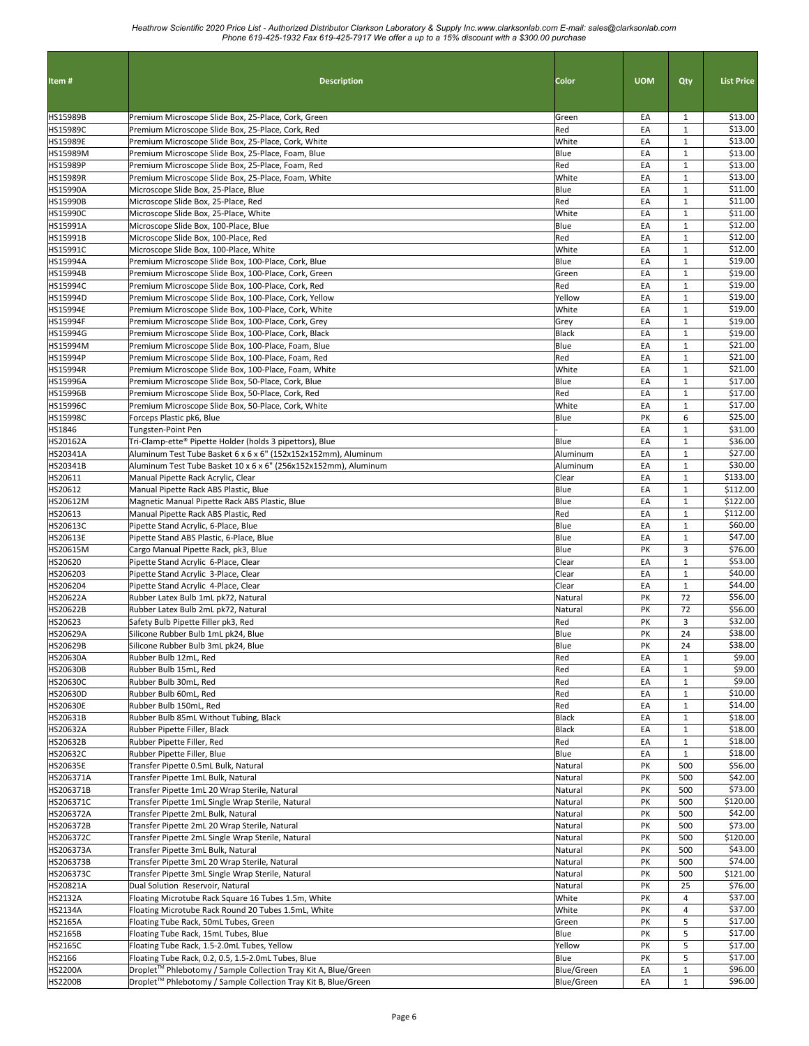| Item#                              | <b>Description</b>                                                                                         | Color              | <b>UOM</b> |                              | <b>List Price</b>  |
|------------------------------------|------------------------------------------------------------------------------------------------------------|--------------------|------------|------------------------------|--------------------|
|                                    |                                                                                                            |                    |            | Qty                          |                    |
| HS15989B                           | Premium Microscope Slide Box, 25-Place, Cork, Green                                                        | Green              | EA         | 1                            | \$13.00            |
| <b>HS15989C</b>                    | Premium Microscope Slide Box, 25-Place, Cork, Red                                                          | Red                | EA         | $1\,$                        | \$13.00            |
| HS15989E                           | Premium Microscope Slide Box, 25-Place, Cork, White                                                        | White              | EA         | $\mathbf{1}$                 | \$13.00            |
| HS15989M                           | Premium Microscope Slide Box, 25-Place, Foam, Blue                                                         | Blue               | EA         | $\mathbf 1$                  | \$13.00            |
| HS15989P<br>HS15989R               | Premium Microscope Slide Box, 25-Place, Foam, Red<br>Premium Microscope Slide Box, 25-Place, Foam, White   | Red<br>White       | EA<br>EA   | $\mathbf{1}$<br>$\mathbf{1}$ | \$13.00<br>\$13.00 |
| HS15990A                           | Microscope Slide Box, 25-Place, Blue                                                                       | Blue               | EA         | $\mathbf{1}$                 | \$11.00            |
| <b>HS15990B</b>                    | Microscope Slide Box, 25-Place, Red                                                                        | Red                | EA         | $\mathbf{1}$                 | \$11.00            |
| <b>HS15990C</b>                    | Microscope Slide Box, 25-Place, White                                                                      | White              | EA         | $\mathbf{1}$                 | \$11.00            |
| HS15991A                           | Microscope Slide Box, 100-Place, Blue                                                                      | Blue               | EA         | $\mathbf{1}$                 | \$12.00            |
| HS15991B                           | Microscope Slide Box, 100-Place, Red                                                                       | Red                | EA         | $\mathbf{1}$                 | \$12.00            |
| HS15991C                           | Microscope Slide Box, 100-Place, White                                                                     | White              | EA         | $\mathbf{1}$                 | \$12.00            |
| <b>HS15994A</b>                    | Premium Microscope Slide Box, 100-Place, Cork, Blue                                                        | Blue               | EA         | $\mathbf{1}$                 | \$19.00            |
| HS15994B<br>HS15994C               | Premium Microscope Slide Box, 100-Place, Cork, Green<br>Premium Microscope Slide Box, 100-Place, Cork, Red | Green<br>Red       | EA<br>EA   | $\mathbf{1}$<br>$\mathbf{1}$ | \$19.00<br>\$19.00 |
| HS15994D                           | Premium Microscope Slide Box, 100-Place, Cork, Yellow                                                      | Yellow             | EA         | $\mathbf{1}$                 | \$19.00            |
| HS15994E                           | Premium Microscope Slide Box, 100-Place, Cork, White                                                       | White              | EA         | $\mathbf{1}$                 | \$19.00            |
| <b>HS15994F</b>                    | Premium Microscope Slide Box, 100-Place, Cork, Grey                                                        | Grey               | EA         | $\mathbf{1}$                 | \$19.00            |
| HS15994G                           | Premium Microscope Slide Box, 100-Place, Cork, Black                                                       | Black              | EA         | $\mathbf{1}$                 | \$19.00            |
| HS15994M                           | Premium Microscope Slide Box, 100-Place, Foam, Blue                                                        | Blue               | EA         | $\mathbf{1}$                 | \$21.00            |
| HS15994P                           | Premium Microscope Slide Box, 100-Place, Foam, Red                                                         | Red                | EA         | $\mathbf{1}$                 | \$21.00            |
| HS15994R                           | Premium Microscope Slide Box, 100-Place, Foam, White                                                       | White              | EA         | $\mathbf{1}$                 | \$21.00            |
| <b>HS15996A</b>                    | Premium Microscope Slide Box, 50-Place, Cork, Blue                                                         | Blue               | EA         | $\mathbf{1}$                 | \$17.00            |
| HS15996B                           | Premium Microscope Slide Box, 50-Place, Cork, Red                                                          | Red                | EA         | $\mathbf{1}$                 | \$17.00            |
| <b>HS15996C</b><br><b>HS15998C</b> | Premium Microscope Slide Box, 50-Place, Cork, White<br>Forceps Plastic pk6, Blue                           | White<br>Blue      | EA<br>PK   | $\mathbf{1}$<br>6            | \$17.00<br>\$25.00 |
| HS1846                             | Tungsten-Point Pen                                                                                         |                    | EA         | $\mathbf{1}$                 | \$31.00            |
| HS20162A                           | Tri-Clamp-ette® Pipette Holder (holds 3 pipettors), Blue                                                   | Blue               | EA         | $\mathbf{1}$                 | \$36.00            |
| HS20341A                           | Aluminum Test Tube Basket 6 x 6 x 6" (152x152x152mm), Aluminum                                             | Aluminum           | EA         | $\mathbf{1}$                 | \$27.00            |
| HS20341B                           | Aluminum Test Tube Basket 10 x 6 x 6" (256x152x152mm), Aluminum                                            | Aluminum           | EA         | $\mathbf{1}$                 | \$30.00            |
| HS20611                            | Manual Pipette Rack Acrylic, Clear                                                                         | Clear              | EA         | $\mathbf{1}$                 | \$133.00           |
| HS20612                            | Manual Pipette Rack ABS Plastic, Blue                                                                      | Blue               | EA         | $\mathbf{1}$                 | \$112.00           |
| HS20612M                           | Magnetic Manual Pipette Rack ABS Plastic, Blue                                                             | Blue               | EA         | $\mathbf{1}$                 | \$122.00           |
| HS20613                            | Manual Pipette Rack ABS Plastic, Red                                                                       | Red                | EA         | $\mathbf{1}$                 | \$112.00           |
| HS20613C                           | Pipette Stand Acrylic, 6-Place, Blue                                                                       | Blue               | EA         | $\mathbf{1}$<br>$\mathbf{1}$ | \$60.00<br>\$47.00 |
| HS20613E<br>HS20615M               | Pipette Stand ABS Plastic, 6-Place, Blue<br>Cargo Manual Pipette Rack, pk3, Blue                           | Blue<br>Blue       | EA<br>PK   | 3                            | \$76.00            |
| HS20620                            | Pipette Stand Acrylic 6-Place, Clear                                                                       | Clear              | EA         | $\mathbf{1}$                 | \$53.00            |
| HS206203                           | Pipette Stand Acrylic 3-Place, Clear                                                                       | Clear              | EA         | $\mathbf{1}$                 | \$40.00            |
| HS206204                           | Pipette Stand Acrylic 4-Place, Clear                                                                       | Clear              | EA         | $\mathbf{1}$                 | \$44.00            |
| HS20622A                           | Rubber Latex Bulb 1mL pk72, Natural                                                                        | Natural            | PK         | 72                           | \$56.00            |
| HS20622B                           | Rubber Latex Bulb 2mL pk72, Natural                                                                        | Natural            | PK         | 72                           | \$56.00            |
| HS20623                            | Safety Bulb Pipette Filler pk3, Red                                                                        | Red                | PK         | 3                            | \$32.00            |
| HS20629A                           | Silicone Rubber Bulb 1mL pk24, Blue                                                                        | Blue               | PK         | 24                           | \$38.00            |
| <b>HS20629B</b>                    | Silicone Rubber Bulb 3mL pk24, Blue<br>Rubber Bulb 12mL, Red                                               | Blue<br>Red        | PK<br>EA   | 24<br>$\mathbf{1}$           | \$38.00<br>\$9.00  |
| HS20630A<br>HS20630B               | Rubber Bulb 15mL, Red                                                                                      | Red                | EA         | $\mathbf{1}$                 | \$9.00             |
| HS20630C                           | Rubber Bulb 30mL, Red                                                                                      | Red                | EA         | $\mathbf{1}$                 | \$9.00             |
| HS20630D                           | Rubber Bulb 60mL, Red                                                                                      | Red                | EA         | $\mathbf{1}$                 | \$10.00            |
| HS20630E                           | Rubber Bulb 150mL, Red                                                                                     | Red                | EA         | $\mathbf{1}$                 | \$14.00            |
| HS20631B                           | Rubber Bulb 85mL Without Tubing, Black                                                                     | Black              | EA         | $\mathbf{1}$                 | \$18.00            |
| HS20632A                           | Rubber Pipette Filler, Black                                                                               | <b>Black</b>       | EA         | $\mathbf{1}$                 | \$18.00            |
| HS20632B                           | Rubber Pipette Filler, Red                                                                                 | Red                | EA         | $\mathbf{1}$                 | \$18.00            |
| HS20632C                           | Rubber Pipette Filler, Blue                                                                                | Blue               | EA         | $\mathbf{1}$                 | \$18.00            |
| HS20635E<br>HS206371A              | Transfer Pipette 0.5mL Bulk, Natural<br>Transfer Pipette 1mL Bulk, Natural                                 | Natural<br>Natural | PK<br>PK   | 500<br>500                   | \$56.00<br>\$42.00 |
| HS206371B                          | Transfer Pipette 1mL 20 Wrap Sterile, Natural                                                              | Natural            | PK         | 500                          | \$73.00            |
| HS206371C                          | Transfer Pipette 1mL Single Wrap Sterile, Natural                                                          | Natural            | PΚ         | 500                          | \$120.00           |
| HS206372A                          | Transfer Pipette 2mL Bulk, Natural                                                                         | Natural            | PK         | 500                          | \$42.00            |
| HS206372B                          | Transfer Pipette 2mL 20 Wrap Sterile, Natural                                                              | Natural            | PΚ         | 500                          | \$73.00            |
| HS206372C                          | Transfer Pipette 2mL Single Wrap Sterile, Natural                                                          | Natural            | PK         | 500                          | \$120.00           |
| HS206373A                          | Transfer Pipette 3mL Bulk, Natural                                                                         | Natural            | PΚ         | 500                          | \$43.00            |
| HS206373B                          | Transfer Pipette 3mL 20 Wrap Sterile, Natural                                                              | Natural            | PK         | 500                          | \$74.00            |
| HS206373C                          | Transfer Pipette 3mL Single Wrap Sterile, Natural                                                          | Natural            | PΚ         | 500                          | \$121.00           |
| HS20821A                           | Dual Solution Reservoir, Natural                                                                           | Natural            | PΚ         | 25                           | \$76.00<br>\$37.00 |
| <b>HS2132A</b><br>HS2134A          | Floating Microtube Rack Square 16 Tubes 1.5m, White<br>Floating Microtube Rack Round 20 Tubes 1.5mL, White | White<br>White     | PΚ<br>PK   | 4<br>4                       | \$37.00            |
| <b>HS2165A</b>                     | Floating Tube Rack, 50mL Tubes, Green                                                                      | Green              | PK         | 5                            | \$17.00            |
| <b>HS2165B</b>                     | Floating Tube Rack, 15mL Tubes, Blue                                                                       | Blue               | PK         | 5                            | \$17.00            |
| <b>HS2165C</b>                     | Floating Tube Rack, 1.5-2.0mL Tubes, Yellow                                                                | Yellow             | PK         | 5                            | \$17.00            |
| HS2166                             | Floating Tube Rack, 0.2, 0.5, 1.5-2.0mL Tubes, Blue                                                        | Blue               | PK         | 5                            | \$17.00            |
| <b>HS2200A</b>                     | Droplet <sup>™</sup> Phlebotomy / Sample Collection Tray Kit A, Blue/Green                                 | Blue/Green         | EA         | $\mathbf{1}$                 | \$96.00            |
| <b>HS2200B</b>                     | Droplet™ Phlebotomy / Sample Collection Tray Kit B, Blue/Green                                             | Blue/Green         | EA         | $\mathbf{1}$                 | \$96.00            |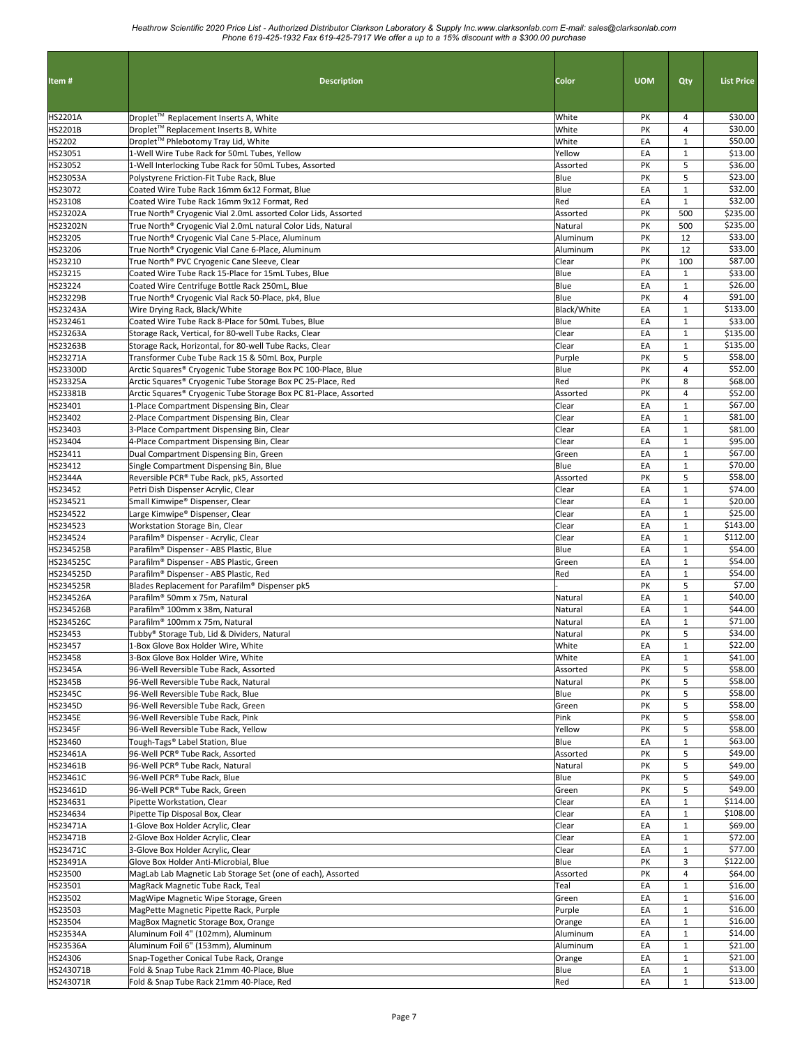| Item#                    | <b>Description</b>                                                                                                | Color               | <b>UOM</b> | Qty                          | <b>List Price</b>   |
|--------------------------|-------------------------------------------------------------------------------------------------------------------|---------------------|------------|------------------------------|---------------------|
|                          |                                                                                                                   |                     |            |                              |                     |
| HS2201A                  | Droplet™ Replacement Inserts A, White                                                                             | White               | PK         | 4                            | \$30.00             |
| <b>HS2201B</b><br>HS2202 | Droplet™ Replacement Inserts B, White<br>Droplet™ Phlebotomy Tray Lid, White                                      | White<br>White      | PK<br>EA   | 4<br>$\mathbf{1}$            | \$30.00<br>\$50.00  |
| HS23051                  | 1-Well Wire Tube Rack for 50mL Tubes, Yellow                                                                      | Yellow              | EA         | $\mathbf{1}$                 | \$13.00             |
| HS23052                  | 1-Well Interlocking Tube Rack for 50mL Tubes, Assorted                                                            | Assorted            | PK         | 5                            | \$36.00             |
| <b>HS23053A</b>          | Polystyrene Friction-Fit Tube Rack, Blue                                                                          | Blue                | PK         | 5                            | \$23.00             |
| HS23072                  | Coated Wire Tube Rack 16mm 6x12 Format, Blue                                                                      | Blue                | EA         | $\mathbf{1}$                 | \$32.00             |
| HS23108                  | Coated Wire Tube Rack 16mm 9x12 Format, Red                                                                       | Red                 | EA         | $\mathbf{1}$                 | \$32.00             |
| HS23202A                 | True North® Cryogenic Vial 2.0mL assorted Color Lids, Assorted                                                    | Assorted            | PΚ         | 500                          | \$235.00            |
| HS23202N<br>HS23205      | True North® Cryogenic Vial 2.0mL natural Color Lids, Natural<br>True North® Cryogenic Vial Cane 5-Place, Aluminum | Natural<br>Aluminum | PK<br>PΚ   | 500<br>12                    | \$235.00<br>\$33.00 |
| HS23206                  | True North® Cryogenic Vial Cane 6-Place, Aluminum                                                                 | Aluminum            | PK         | 12                           | \$33.00             |
| HS23210                  | True North® PVC Cryogenic Cane Sleeve, Clear                                                                      | Clear               | PΚ         | 100                          | \$87.00             |
| HS23215                  | Coated Wire Tube Rack 15-Place for 15mL Tubes, Blue                                                               | Blue                | EA         | $\mathbf{1}$                 | \$33.00             |
| HS23224                  | Coated Wire Centrifuge Bottle Rack 250mL, Blue                                                                    | Blue                | EA         | $\mathbf{1}$                 | \$26.00             |
| HS23229B                 | True North® Cryogenic Vial Rack 50-Place, pk4, Blue                                                               | Blue                | PK         | 4                            | \$91.00             |
| <b>HS23243A</b>          | Wire Drying Rack, Black/White                                                                                     | <b>Black/White</b>  | EA         | $\mathbf 1$                  | \$133.00            |
| HS232461                 | Coated Wire Tube Rack 8-Place for 50mL Tubes, Blue                                                                | Blue                | EA         | $\mathbf{1}$                 | \$33.00             |
| HS23263A                 | Storage Rack, Vertical, for 80-well Tube Racks, Clear                                                             | Clear               | EA         | $\mathbf{1}$                 | \$135.00            |
| HS23263B<br>HS23271A     | Storage Rack, Horizontal, for 80-well Tube Racks, Clear<br>Transformer Cube Tube Rack 15 & 50mL Box, Purple       | Clear<br>Purple     | EA<br>PK   | $\mathbf{1}$<br>5            | \$135.00<br>\$58.00 |
| HS23300D                 | Arctic Squares® Cryogenic Tube Storage Box PC 100-Place, Blue                                                     | Blue                | PK         | 4                            | \$52.00             |
| HS23325A                 | Arctic Squares® Cryogenic Tube Storage Box PC 25-Place, Red                                                       | Red                 | PΚ         | 8                            | \$68.00             |
| HS23381B                 | Arctic Squares® Cryogenic Tube Storage Box PC 81-Place, Assorted                                                  | Assorted            | PK         | 4                            | \$52.00             |
| HS23401                  | 1-Place Compartment Dispensing Bin, Clear                                                                         | Clear               | EA         | $\mathbf{1}$                 | \$67.00             |
| HS23402                  | 2-Place Compartment Dispensing Bin, Clear                                                                         | Clear               | EA         | $\mathbf{1}$                 | \$81.00             |
| HS23403                  | 3-Place Compartment Dispensing Bin, Clear                                                                         | Clear               | EA         | $\mathbf{1}$                 | \$81.00             |
| HS23404                  | 4-Place Compartment Dispensing Bin, Clear                                                                         | Clear               | EA         | $\mathbf{1}$                 | \$95.00             |
| HS23411                  | Dual Compartment Dispensing Bin, Green                                                                            | Green               | EA         | $\mathbf{1}$                 | \$67.00             |
| HS23412                  | Single Compartment Dispensing Bin, Blue                                                                           | Blue                | EA         | $\mathbf{1}$                 | \$70.00             |
| <b>HS2344A</b>           | Reversible PCR® Tube Rack, pk5, Assorted                                                                          | Assorted            | PΚ         | 5                            | \$58.00             |
| HS23452<br>HS234521      | Petri Dish Dispenser Acrylic, Clear<br>Small Kimwipe® Dispenser, Clear                                            | Clear<br>Clear      | EA<br>EA   | $\mathbf{1}$<br>$\mathbf{1}$ | \$74.00<br>\$20.00  |
| HS234522                 | Large Kimwipe® Dispenser, Clear                                                                                   | Clear               | EA         | $\mathbf{1}$                 | \$25.00             |
| HS234523                 | Workstation Storage Bin, Clear                                                                                    | Clear               | EA         | $\mathbf{1}$                 | \$143.00            |
| HS234524                 | Parafilm® Dispenser - Acrylic, Clear                                                                              | Clear               | EA         | $\mathbf{1}$                 | \$112.00            |
| HS234525B                | Parafilm® Dispenser - ABS Plastic, Blue                                                                           | Blue                | EA         | $\mathbf{1}$                 | \$54.00             |
| HS234525C                | Parafilm® Dispenser - ABS Plastic, Green                                                                          | Green               | EA         | $\mathbf{1}$                 | \$54.00             |
| HS234525D                | Parafilm® Dispenser - ABS Plastic, Red                                                                            | Red                 | EA         | $\mathbf{1}$                 | \$54.00             |
| HS234525R                | Blades Replacement for Parafilm® Dispenser pk5                                                                    |                     | PK         | 5                            | \$7.00              |
| HS234526A                | Parafilm® 50mm x 75m, Natural                                                                                     | Natural             | EA         | $\mathbf{1}$                 | \$40.00             |
| HS234526B                | Parafilm <sup>®</sup> 100mm x 38m. Natural                                                                        | Natural             | EA         | $\mathbf{1}$                 | \$44.00             |
| HS234526C<br>HS23453     | Parafilm® 100mm x 75m, Natural<br>Tubby® Storage Tub, Lid & Dividers, Natural                                     | Natural<br>Natural  | EA<br>PK   | $\mathbf{1}$<br>5            | \$71.00<br>\$34.00  |
| HS23457                  | 1-Box Glove Box Holder Wire, White                                                                                | White               | EA         | $\mathbf 1$                  | \$22.00             |
| HS23458                  | 3-Box Glove Box Holder Wire, White                                                                                | White               | EA         | $\mathbf{1}$                 | \$41.00             |
| <b>HS2345A</b>           | 96-Well Reversible Tube Rack, Assorted                                                                            | Assorted            | PK         | 5                            | \$58.00             |
| <b>HS2345B</b>           | 96-Well Reversible Tube Rack, Natural                                                                             | Natural             | PK         | 5                            | \$58.00             |
| <b>HS2345C</b>           | 96-Well Reversible Tube Rack, Blue                                                                                | Blue                | PK         | 5                            | \$58.00             |
| <b>HS2345D</b>           | 96-Well Reversible Tube Rack, Green                                                                               | Green               | PK         | 5                            | \$58.00             |
| <b>HS2345E</b>           | 96-Well Reversible Tube Rack, Pink                                                                                | Pink                | PK         | 5                            | \$58.00             |
| <b>HS2345F</b>           | 96-Well Reversible Tube Rack, Yellow                                                                              | Yellow              | PK         | 5                            | \$58.00             |
| HS23460                  | Tough-Tags® Label Station, Blue                                                                                   | Blue                | EA         | $\mathbf{1}$                 | \$63.00             |
| HS23461A<br>HS23461B     | 96-Well PCR® Tube Rack, Assorted<br>96-Well PCR® Tube Rack, Natural                                               | Assorted<br>Natural | PK<br>PK   | 5<br>5                       | \$49.00<br>\$49.00  |
| HS23461C                 | 96-Well PCR® Tube Rack, Blue                                                                                      | Blue                | PK         | 5                            | \$49.00             |
| HS23461D                 | 96-Well PCR® Tube Rack, Green                                                                                     | Green               | PK         | 5                            | \$49.00             |
| HS234631                 | Pipette Workstation, Clear                                                                                        | Clear               | EA         | $\mathbf{1}$                 | \$114.00            |
| HS234634                 | Pipette Tip Disposal Box, Clear                                                                                   | Clear               | EA         | $\mathbf 1$                  | \$108.00            |
| HS23471A                 | 1-Glove Box Holder Acrylic, Clear                                                                                 | Clear               | EA         | $\mathbf{1}$                 | \$69.00             |
| HS23471B                 | 2-Glove Box Holder Acrylic, Clear                                                                                 | Clear               | EA         | $\mathbf{1}$                 | \$72.00             |
| HS23471C                 | 3-Glove Box Holder Acrylic, Clear                                                                                 | Clear               | EA         | $\mathbf{1}$                 | \$77.00             |
| HS23491A                 | Glove Box Holder Anti-Microbial, Blue                                                                             | Blue                | PK         | 3                            | \$122.00            |
| HS23500                  | MagLab Lab Magnetic Lab Storage Set (one of each), Assorted                                                       | Assorted            | PΚ         | 4                            | \$64.00             |
| HS23501<br>HS23502       | MagRack Magnetic Tube Rack, Teal<br>MagWipe Magnetic Wipe Storage, Green                                          | Teal<br>Green       | EA<br>EA   | $\mathbf{1}$<br>$\mathbf{1}$ | \$16.00<br>\$16.00  |
| HS23503                  | MagPette Magnetic Pipette Rack, Purple                                                                            | Purple              | EA         | $\mathbf 1$                  | \$16.00             |
| HS23504                  | MagBox Magnetic Storage Box, Orange                                                                               | Orange              | EA         | $\mathbf{1}$                 | \$16.00             |
| <b>HS23534A</b>          | Aluminum Foil 4" (102mm), Aluminum                                                                                | Aluminum            | EA         | $\mathbf{1}$                 | \$14.00             |
| HS23536A                 | Aluminum Foil 6" (153mm), Aluminum                                                                                | Aluminum            | EA         | $\mathbf 1$                  | \$21.00             |
| HS24306                  | Snap-Together Conical Tube Rack, Orange                                                                           | Orange              | EA         | $\mathbf{1}$                 | \$21.00             |
| HS243071B                | Fold & Snap Tube Rack 21mm 40-Place, Blue                                                                         | Blue                | EA         | $\mathbf{1}$                 | \$13.00             |
| HS243071R                | Fold & Snap Tube Rack 21mm 40-Place, Red                                                                          | Red                 | EA         | $\mathbf{1}$                 | \$13.00             |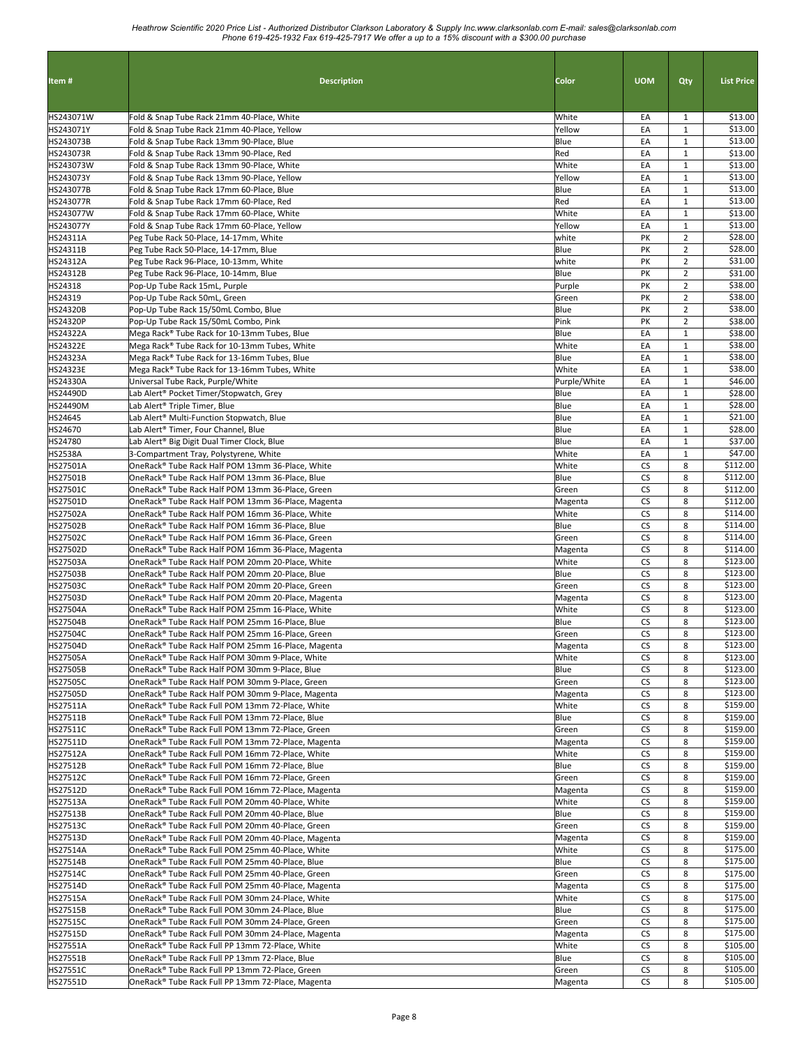| Item#                       | <b>Description</b>                                                                                     | Color            | <b>UOM</b>             | Qty                              | <b>List Price</b>    |
|-----------------------------|--------------------------------------------------------------------------------------------------------|------------------|------------------------|----------------------------------|----------------------|
|                             |                                                                                                        |                  |                        |                                  |                      |
| HS243071W                   | Fold & Snap Tube Rack 21mm 40-Place, White                                                             | White            | EA                     | 1                                | \$13.00              |
| HS243071Y<br>HS243073B      | Fold & Snap Tube Rack 21mm 40-Place, Yellow<br>Fold & Snap Tube Rack 13mm 90-Place, Blue               | Yellow<br>Blue   | EA<br>EA               | $\mathbf{1}$<br>$\mathbf{1}$     | \$13.00<br>\$13.00   |
| HS243073R                   | Fold & Snap Tube Rack 13mm 90-Place, Red                                                               | Red              | EA                     | $\mathbf{1}$                     | \$13.00              |
| HS243073W                   | Fold & Snap Tube Rack 13mm 90-Place, White                                                             | White            | EA                     | $\mathbf{1}$                     | \$13.00              |
| HS243073Y                   | Fold & Snap Tube Rack 13mm 90-Place, Yellow                                                            | Yellow           | EA                     | $\mathbf{1}$                     | \$13.00              |
| HS243077B                   | Fold & Snap Tube Rack 17mm 60-Place, Blue                                                              | Blue             | EA                     | $\mathbf{1}$                     | \$13.00              |
| HS243077R<br>HS243077W      | Fold & Snap Tube Rack 17mm 60-Place, Red<br>Fold & Snap Tube Rack 17mm 60-Place, White                 | Red<br>White     | EA<br>EA               | $\mathbf{1}$<br>$\mathbf{1}$     | \$13.00<br>\$13.00   |
| HS243077Y                   | Fold & Snap Tube Rack 17mm 60-Place, Yellow                                                            | Yellow           | EA                     | $\mathbf{1}$                     | \$13.00              |
| HS24311A                    | Peg Tube Rack 50-Place, 14-17mm, White                                                                 | white            | PΚ                     | $\overline{2}$                   | \$28.00              |
| HS24311B                    | Peg Tube Rack 50-Place, 14-17mm, Blue                                                                  | Blue             | PK                     | $\overline{2}$                   | \$28.00              |
| HS24312A                    | Peg Tube Rack 96-Place, 10-13mm, White                                                                 | white            | PK                     | $\overline{2}$                   | \$31.00<br>\$31.00   |
| HS24312B<br>HS24318         | Peg Tube Rack 96-Place, 10-14mm, Blue<br>Pop-Up Tube Rack 15mL, Purple                                 | Blue<br>Purple   | PK<br>PK               | $\overline{2}$<br>$\overline{2}$ | \$38.00              |
| HS24319                     | Pop-Up Tube Rack 50mL, Green                                                                           | Green            | PK                     | $\overline{2}$                   | \$38.00              |
| HS24320B                    | Pop-Up Tube Rack 15/50mL Combo, Blue                                                                   | Blue             | PK                     | $\overline{2}$                   | \$38.00              |
| <b>HS24320P</b>             | Pop-Up Tube Rack 15/50mL Combo, Pink                                                                   | Pink             | PK                     | $\overline{2}$                   | \$38.00              |
| HS24322A                    | Mega Rack® Tube Rack for 10-13mm Tubes, Blue                                                           | Blue             | EA                     | $\mathbf{1}$                     | \$38.00              |
| HS24322E<br>HS24323A        | Mega Rack® Tube Rack for 10-13mm Tubes, White<br>Mega Rack® Tube Rack for 13-16mm Tubes, Blue          | White<br>Blue    | EA<br>EA               | $\mathbf{1}$<br>$\mathbf{1}$     | \$38.00<br>\$38.00   |
| HS24323E                    | Mega Rack® Tube Rack for 13-16mm Tubes, White                                                          | White            | EA                     | $\mathbf{1}$                     | \$38.00              |
| HS24330A                    | Universal Tube Rack, Purple/White                                                                      | Purple/White     | EA                     | $\mathbf{1}$                     | \$46.00              |
| HS24490D                    | Lab Alert® Pocket Timer/Stopwatch, Grey                                                                | Blue             | EA                     | $\mathbf{1}$                     | \$28.00              |
| <b>HS24490M</b>             | Lab Alert® Triple Timer, Blue                                                                          | Blue             | EA                     | $\mathbf{1}$                     | \$28.00              |
| HS24645                     | Lab Alert® Multi-Function Stopwatch, Blue<br>Lab Alert® Timer, Four Channel, Blue                      | Blue<br>Blue     | EA<br>EA               | $\mathbf{1}$<br>$\mathbf{1}$     | \$21.00<br>\$28.00   |
| HS24670<br>HS24780          | Lab Alert® Big Digit Dual Timer Clock, Blue                                                            | Blue             | EA                     | $\mathbf{1}$                     | \$37.00              |
| <b>HS2538A</b>              | 3-Compartment Tray, Polystyrene, White                                                                 | White            | EA                     | $\mathbf{1}$                     | \$47.00              |
| HS27501A                    | OneRack® Tube Rack Half POM 13mm 36-Place, White                                                       | White            | CS                     | 8                                | \$112.00             |
| HS27501B                    | OneRack® Tube Rack Half POM 13mm 36-Place, Blue                                                        | Blue             | CS                     | 8                                | \$112.00             |
| HS27501C                    | OneRack® Tube Rack Half POM 13mm 36-Place, Green                                                       | Green            | CS                     | 8                                | \$112.00<br>\$112.00 |
| HS27501D<br>HS27502A        | OneRack® Tube Rack Half POM 13mm 36-Place, Magenta<br>OneRack® Tube Rack Half POM 16mm 36-Place, White | Magenta<br>White | <b>CS</b><br><b>CS</b> | 8<br>8                           | \$114.00             |
| HS27502B                    | OneRack® Tube Rack Half POM 16mm 36-Place, Blue                                                        | Blue             | <b>CS</b>              | 8                                | \$114.00             |
| HS27502C                    | OneRack® Tube Rack Half POM 16mm 36-Place, Green                                                       | Green            | CS                     | 8                                | \$114.00             |
| HS27502D                    | OneRack® Tube Rack Half POM 16mm 36-Place, Magenta                                                     | Magenta          | CS                     | 8                                | \$114.00             |
| HS27503A                    | OneRack® Tube Rack Half POM 20mm 20-Place, White                                                       | White            | CS                     | 8                                | \$123.00             |
| HS27503B<br><b>HS27503C</b> | OneRack® Tube Rack Half POM 20mm 20-Place, Blue<br>OneRack® Tube Rack Half POM 20mm 20-Place, Green    | Blue<br>Green    | CS<br>CS               | 8<br>8                           | \$123.00<br>\$123.00 |
| HS27503D                    | OneRack® Tube Rack Half POM 20mm 20-Place, Magenta                                                     | Magenta          | CS                     | 8                                | \$123.00             |
| <b>HS27504A</b>             | OneRack® Tube Rack Half POM 25mm 16-Place, White                                                       | White            | CS                     | 8                                | \$123.00             |
| HS27504B                    | OneRack® Tube Rack Half POM 25mm 16-Place, Blue                                                        | Blue             | CS                     | 8                                | \$123.00             |
| <b>HS27504C</b>             | OneRack® Tube Rack Half POM 25mm 16-Place, Green                                                       | Green            | <b>CS</b>              | 8                                | \$123.00             |
| HS27504D<br>HS27505A        | OneRack® Tube Rack Half POM 25mm 16-Place, Magenta<br>OneRack® Tube Rack Half POM 30mm 9-Place, White  | Magenta<br>White | ${\sf CS}$<br>CS       | 8<br>8                           | \$123.00<br>\$123.00 |
| HS27505B                    | OneRack® Tube Rack Half POM 30mm 9-Place, Blue                                                         | Blue             | CS                     | 8                                | \$123.00             |
| HS27505C                    | OneRack® Tube Rack Half POM 30mm 9-Place, Green                                                        | Green            | CS                     | 8                                | \$123.00             |
| HS27505D                    | OneRack® Tube Rack Half POM 30mm 9-Place, Magenta                                                      | Magenta          | CS                     | 8                                | \$123.00             |
| HS27511A                    | OneRack® Tube Rack Full POM 13mm 72-Place, White                                                       | White            | CS                     | 8                                | \$159.00             |
| HS27511B<br><b>HS27511C</b> | OneRack® Tube Rack Full POM 13mm 72-Place, Blue<br>OneRack® Tube Rack Full POM 13mm 72-Place, Green    | Blue<br>Green    | CS<br>CS               | 8<br>8                           | \$159.00<br>\$159.00 |
| HS27511D                    | OneRack® Tube Rack Full POM 13mm 72-Place, Magenta                                                     | Magenta          | CS                     | 8                                | \$159.00             |
| HS27512A                    | OneRack® Tube Rack Full POM 16mm 72-Place, White                                                       | White            | CS                     | 8                                | \$159.00             |
| HS27512B                    | OneRack® Tube Rack Full POM 16mm 72-Place, Blue                                                        | Blue             | CS                     | 8                                | \$159.00             |
| HS27512C                    | OneRack® Tube Rack Full POM 16mm 72-Place, Green                                                       | Green            | CS                     | 8                                | \$159.00             |
| HS27512D                    | OneRack® Tube Rack Full POM 16mm 72-Place, Magenta<br>OneRack® Tube Rack Full POM 20mm 40-Place, White | Magenta<br>White | CS<br>CS               | 8<br>8                           | \$159.00<br>\$159.00 |
| HS27513A<br>HS27513B        | OneRack® Tube Rack Full POM 20mm 40-Place, Blue                                                        | Blue             | CS                     | 8                                | \$159.00             |
| HS27513C                    | OneRack® Tube Rack Full POM 20mm 40-Place, Green                                                       | Green            | CS                     | 8                                | \$159.00             |
| HS27513D                    | OneRack® Tube Rack Full POM 20mm 40-Place, Magenta                                                     | Magenta          | CS                     | 8                                | \$159.00             |
| HS27514A                    | OneRack® Tube Rack Full POM 25mm 40-Place, White                                                       | White            | CS                     | 8                                | \$175.00             |
| HS27514B                    | OneRack® Tube Rack Full POM 25mm 40-Place, Blue                                                        | Blue             | CS                     | 8                                | \$175.00             |
| HS27514C<br>HS27514D        | OneRack® Tube Rack Full POM 25mm 40-Place, Green<br>OneRack® Tube Rack Full POM 25mm 40-Place, Magenta | Green<br>Magenta | CS<br>CS               | 8<br>8                           | \$175.00<br>\$175.00 |
| HS27515A                    | OneRack® Tube Rack Full POM 30mm 24-Place, White                                                       | White            | CS                     | 8                                | \$175.00             |
| HS27515B                    | OneRack® Tube Rack Full POM 30mm 24-Place, Blue                                                        | Blue             | CS                     | 8                                | \$175.00             |
| HS27515C                    | OneRack® Tube Rack Full POM 30mm 24-Place, Green                                                       | Green            | CS                     | 8                                | \$175.00             |
| HS27515D                    | OneRack® Tube Rack Full POM 30mm 24-Place, Magenta                                                     | Magenta          | CS                     | 8                                | \$175.00             |
| HS27551A<br>HS27551B        | OneRack® Tube Rack Full PP 13mm 72-Place, White<br>OneRack® Tube Rack Full PP 13mm 72-Place, Blue      | White<br>Blue    | CS<br>CS               | 8<br>8                           | \$105.00<br>\$105.00 |
| HS27551C                    | OneRack® Tube Rack Full PP 13mm 72-Place, Green                                                        | Green            | CS                     | 8                                | \$105.00             |
| HS27551D                    | OneRack® Tube Rack Full PP 13mm 72-Place, Magenta                                                      | Magenta          | CS                     | 8                                | \$105.00             |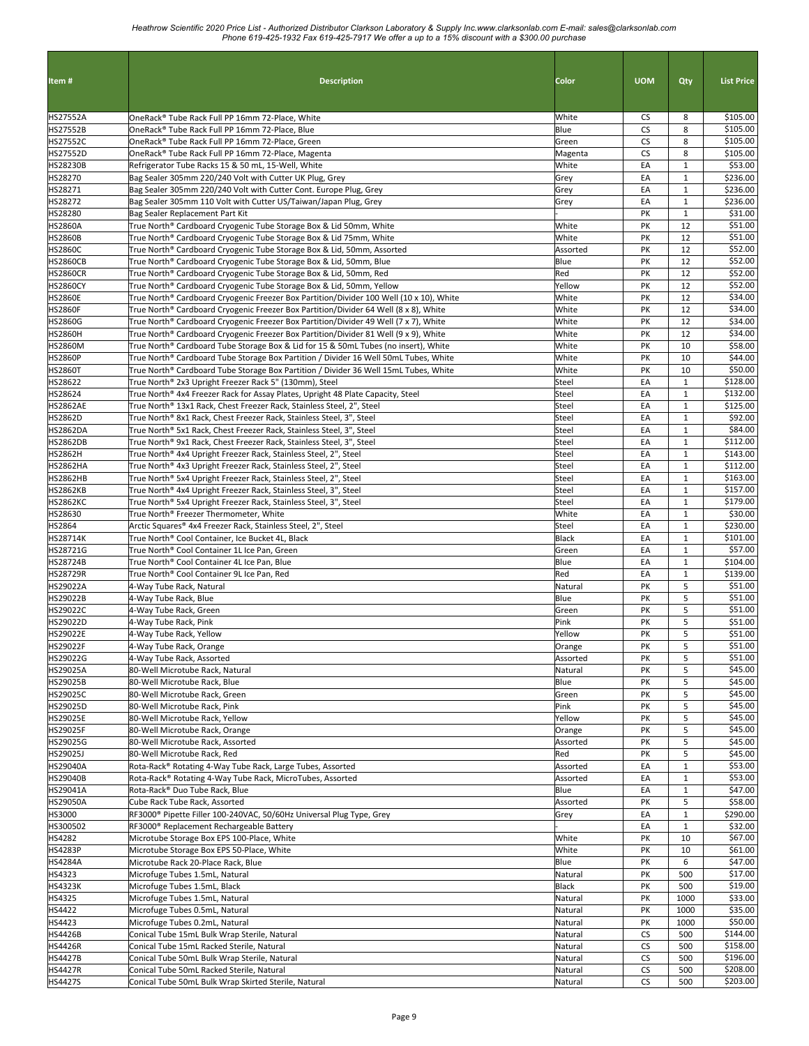| Item#                              | <b>Description</b>                                                                                                                                                           | Color              | <b>UOM</b>      | Qty                          | <b>List Price</b>    |
|------------------------------------|------------------------------------------------------------------------------------------------------------------------------------------------------------------------------|--------------------|-----------------|------------------------------|----------------------|
|                                    |                                                                                                                                                                              |                    |                 |                              |                      |
| <b>HS27552A</b>                    | OneRack® Tube Rack Full PP 16mm 72-Place, White                                                                                                                              | White              | CS              | 8                            | \$105.00             |
| <b>HS27552B</b>                    | OneRack® Tube Rack Full PP 16mm 72-Place, Blue                                                                                                                               | Blue               | <b>CS</b>       | 8                            | \$105.00             |
| <b>HS27552C</b>                    | OneRack® Tube Rack Full PP 16mm 72-Place, Green                                                                                                                              | Green              | <b>CS</b>       | 8                            | \$105.00             |
| HS27552D<br><b>HS28230B</b>        | OneRack® Tube Rack Full PP 16mm 72-Place, Magenta<br>Refrigerator Tube Racks 15 & 50 mL, 15-Well, White                                                                      | Magenta<br>White   | <b>CS</b><br>EA | 8<br>$\mathbf{1}$            | \$105.00<br>\$53.00  |
| HS28270                            | Bag Sealer 305mm 220/240 Volt with Cutter UK Plug, Grey                                                                                                                      | Grey               | EA              | $\mathbf{1}$                 | \$236.00             |
| HS28271                            | Bag Sealer 305mm 220/240 Volt with Cutter Cont. Europe Plug, Grey                                                                                                            | Grey               | EA              | $\mathbf{1}$                 | \$236.00             |
| HS28272                            | Bag Sealer 305mm 110 Volt with Cutter US/Taiwan/Japan Plug, Grey                                                                                                             | Grey               | EA              | $\mathbf{1}$                 | \$236.00             |
| HS28280                            | Bag Sealer Replacement Part Kit                                                                                                                                              |                    | PK              | $\mathbf{1}$                 | \$31.00              |
| <b>HS2860A</b><br><b>HS2860B</b>   | True North® Cardboard Cryogenic Tube Storage Box & Lid 50mm, White<br>True North® Cardboard Cryogenic Tube Storage Box & Lid 75mm, White                                     | White<br>White     | PK<br>PK        | 12<br>12                     | \$51.00<br>\$51.00   |
| <b>HS2860C</b>                     | True North® Cardboard Cryogenic Tube Storage Box & Lid, 50mm, Assorted                                                                                                       | Assorted           | PK              | 12                           | \$52.00              |
| <b>HS2860CB</b>                    | True North® Cardboard Cryogenic Tube Storage Box & Lid, 50mm, Blue                                                                                                           | Blue               | PK              | 12                           | \$52.00              |
| <b>HS2860CR</b>                    | True North® Cardboard Cryogenic Tube Storage Box & Lid, 50mm, Red                                                                                                            | Red                | PK              | 12                           | \$52.00              |
| <b>HS2860CY</b>                    | True North® Cardboard Cryogenic Tube Storage Box & Lid, 50mm, Yellow                                                                                                         | Yellow             | PK              | 12                           | \$52.00              |
| <b>HS2860E</b>                     | True North® Cardboard Cryogenic Freezer Box Partition/Divider 100 Well (10 x 10), White                                                                                      | White<br>White     | PK<br>PK        | 12<br>12                     | \$34.00              |
| <b>HS2860F</b><br>HS2860G          | True North® Cardboard Cryogenic Freezer Box Partition/Divider 64 Well (8 x 8), White<br>True North® Cardboard Cryogenic Freezer Box Partition/Divider 49 Well (7 x 7), White | White              | PK              | 12                           | \$34.00<br>\$34.00   |
| <b>HS2860H</b>                     | True North® Cardboard Cryogenic Freezer Box Partition/Divider 81 Well (9 x 9), White                                                                                         | White              | PK              | 12                           | \$34.00              |
| <b>HS2860M</b>                     | True North® Cardboard Tube Storage Box & Lid for 15 & 50mL Tubes (no insert), White                                                                                          | White              | PK              | 10                           | \$58.00              |
| <b>HS2860P</b>                     | True North® Cardboard Tube Storage Box Partition / Divider 16 Well 50mL Tubes, White                                                                                         | White              | PΚ              | 10                           | \$44.00              |
| <b>HS2860T</b>                     | True North® Cardboard Tube Storage Box Partition / Divider 36 Well 15mL Tubes, White                                                                                         | White              | PK              | 10                           | \$50.00              |
| HS28622                            | True North® 2x3 Upright Freezer Rack 5" (130mm), Steel                                                                                                                       | Steel              | EA              | $\mathbf{1}$                 | \$128.00             |
| HS28624<br><b>HS2862AE</b>         | True North® 4x4 Freezer Rack for Assay Plates, Upright 48 Plate Capacity, Steel<br>True North® 13x1 Rack, Chest Freezer Rack, Stainless Steel, 2", Steel                     | Steel<br>Steel     | EA<br>EA        | $\mathbf{1}$<br>$\mathbf{1}$ | \$132.00<br>\$125.00 |
| <b>HS2862D</b>                     | True North® 8x1 Rack, Chest Freezer Rack, Stainless Steel, 3", Steel                                                                                                         | Steel              | EA              | $\mathbf{1}$                 | \$92.00              |
| <b>HS2862DA</b>                    | True North® 5x1 Rack, Chest Freezer Rack, Stainless Steel, 3", Steel                                                                                                         | Steel              | EA              | $\mathbf 1$                  | \$84.00              |
| <b>HS2862DB</b>                    | True North® 9x1 Rack, Chest Freezer Rack, Stainless Steel, 3", Steel                                                                                                         | Steel              | EA              | $\mathbf 1$                  | \$112.00             |
| <b>HS2862H</b>                     | True North® 4x4 Upright Freezer Rack, Stainless Steel, 2", Steel                                                                                                             | Steel              | EA              | $\mathbf 1$                  | \$143.00             |
| <b>HS2862HA</b>                    | True North® 4x3 Upright Freezer Rack, Stainless Steel, 2", Steel                                                                                                             | Steel              | EA              | $\mathbf{1}$                 | \$112.00             |
| <b>HS2862HB</b><br><b>HS2862KB</b> | True North® 5x4 Upright Freezer Rack, Stainless Steel, 2", Steel<br>True North® 4x4 Upright Freezer Rack, Stainless Steel, 3", Steel                                         | Steel<br>Steel     | EA<br>EA        | $\mathbf{1}$<br>$\mathbf{1}$ | \$163.00<br>\$157.00 |
| <b>HS2862KC</b>                    | True North® 5x4 Upright Freezer Rack, Stainless Steel, 3", Steel                                                                                                             | Steel              | EA              | $\mathbf{1}$                 | \$179.00             |
| HS28630                            | True North® Freezer Thermometer, White                                                                                                                                       | White              | EA              | $\mathbf{1}$                 | \$30.00              |
| HS2864                             | Arctic Squares® 4x4 Freezer Rack, Stainless Steel, 2", Steel                                                                                                                 | Steel              | EA              | $\mathbf{1}$                 | \$230.00             |
| <b>HS28714K</b>                    | True North® Cool Container, Ice Bucket 4L, Black                                                                                                                             | Black              | EA              | $\mathbf{1}$                 | \$101.00             |
| HS28721G<br>HS28724B               | True North® Cool Container 1L Ice Pan, Green<br>True North® Cool Container 4L Ice Pan, Blue                                                                                  | Green<br>Blue      | EA<br>EA        | $\mathbf{1}$<br>$\mathbf{1}$ | \$57.00<br>\$104.00  |
| HS28729R                           | True North® Cool Container 9L Ice Pan, Red                                                                                                                                   | Red                | EA              | $\mathbf{1}$                 | \$139.00             |
| HS29022A                           | 4-Way Tube Rack, Natural                                                                                                                                                     | Natural            | PK              | 5                            | \$51.00              |
| HS29022B                           | 4-Way Tube Rack, Blue                                                                                                                                                        | Blue               | PK              | 5                            | \$51.00              |
| HS29022C                           | 4-Way Tube Rack, Green                                                                                                                                                       | Green              | PK              | 5                            | \$51.00              |
| HS29022D                           | 4-Way Tube Rack, Pink                                                                                                                                                        | Pink               | PK              | 5<br>5                       | \$51.00              |
| HS29022E<br>HS29022F               | 4-Way Tube Rack, Yellow<br>4-Way Tube Rack, Orange                                                                                                                           | Yellow<br>Orange   | PK<br>PK        | 5                            | \$51.00<br>\$51.00   |
| HS29022G                           | 4-Way Tube Rack, Assorted                                                                                                                                                    | Assorted           | PK              | 5                            | \$51.00              |
| HS29025A                           | 80-Well Microtube Rack, Natural                                                                                                                                              | Natural            | PK              | 5                            | \$45.00              |
| HS29025B                           | 80-Well Microtube Rack, Blue                                                                                                                                                 | Blue               | PK              | 5                            | \$45.00              |
| HS29025C                           | 80-Well Microtube Rack, Green                                                                                                                                                | Green              | PK              | 5                            | \$45.00              |
| HS29025D<br><b>HS29025E</b>        | 80-Well Microtube Rack, Pink                                                                                                                                                 | Pink               | PK<br>PK        | 5<br>5                       | \$45.00<br>\$45.00   |
| <b>HS29025F</b>                    | 80-Well Microtube Rack, Yellow<br>80-Well Microtube Rack, Orange                                                                                                             | Yellow<br>Orange   | PK              | 5                            | \$45.00              |
| HS29025G                           | 80-Well Microtube Rack, Assorted                                                                                                                                             | Assorted           | PK              | 5                            | \$45.00              |
| HS29025J                           | 80-Well Microtube Rack, Red                                                                                                                                                  | Red                | PΚ              | 5                            | \$45.00              |
| HS29040A                           | Rota-Rack® Rotating 4-Way Tube Rack, Large Tubes, Assorted                                                                                                                   | Assorted           | EA              | $\mathbf 1$                  | \$53.00              |
| HS29040B                           | Rota-Rack® Rotating 4-Way Tube Rack, MicroTubes, Assorted                                                                                                                    | Assorted           | EA              | $\mathbf{1}$                 | \$53.00              |
| HS29041A<br><b>HS29050A</b>        | Rota-Rack® Duo Tube Rack, Blue<br>Cube Rack Tube Rack, Assorted                                                                                                              | Blue<br>Assorted   | EA<br>PK        | $\mathbf{1}$<br>5            | \$47.00<br>\$58.00   |
| HS3000                             | RF3000 <sup>®</sup> Pipette Filler 100-240VAC, 50/60Hz Universal Plug Type, Grey                                                                                             | Grey               | EA              | $\mathbf{1}$                 | \$290.00             |
| HS300502                           | RF3000 <sup>®</sup> Replacement Rechargeable Battery                                                                                                                         |                    | EA              | $\mathbf{1}$                 | \$32.00              |
| HS4282                             | Microtube Storage Box EPS 100-Place, White                                                                                                                                   | White              | PK              | 10                           | \$67.00              |
| <b>HS4283P</b>                     | Microtube Storage Box EPS 50-Place, White                                                                                                                                    | White              | PK              | 10                           | \$61.00              |
| <b>HS4284A</b><br>HS4323           | Microtube Rack 20-Place Rack, Blue                                                                                                                                           | Blue               | PK              | 6<br>500                     | \$47.00<br>\$17.00   |
| <b>HS4323K</b>                     | Microfuge Tubes 1.5mL, Natural<br>Microfuge Tubes 1.5mL, Black                                                                                                               | Natural<br>Black   | PK<br>PK        | 500                          | \$19.00              |
| HS4325                             | Microfuge Tubes 1.5mL, Natural                                                                                                                                               | Natural            | PK              | 1000                         | \$33.00              |
| HS4422                             | Microfuge Tubes 0.5mL, Natural                                                                                                                                               | Natural            | PK              | 1000                         | \$35.00              |
| HS4423                             | Microfuge Tubes 0.2mL, Natural                                                                                                                                               | Natural            | PK              | 1000                         | \$50.00              |
| <b>HS4426B</b>                     | Conical Tube 15mL Bulk Wrap Sterile, Natural                                                                                                                                 | Natural            | CS              | 500                          | \$144.00             |
| <b>HS4426R</b>                     | Conical Tube 15mL Racked Sterile, Natural                                                                                                                                    | Natural            | CS<br>CS        | 500                          | \$158.00<br>\$196.00 |
| <b>HS4427B</b><br><b>HS4427R</b>   | Conical Tube 50mL Bulk Wrap Sterile, Natural<br>Conical Tube 50mL Racked Sterile, Natural                                                                                    | Natural<br>Natural | CS              | 500<br>500                   | \$208.00             |
| <b>HS4427S</b>                     | Conical Tube 50mL Bulk Wrap Skirted Sterile, Natural                                                                                                                         | Natural            | CS              | 500                          | \$203.00             |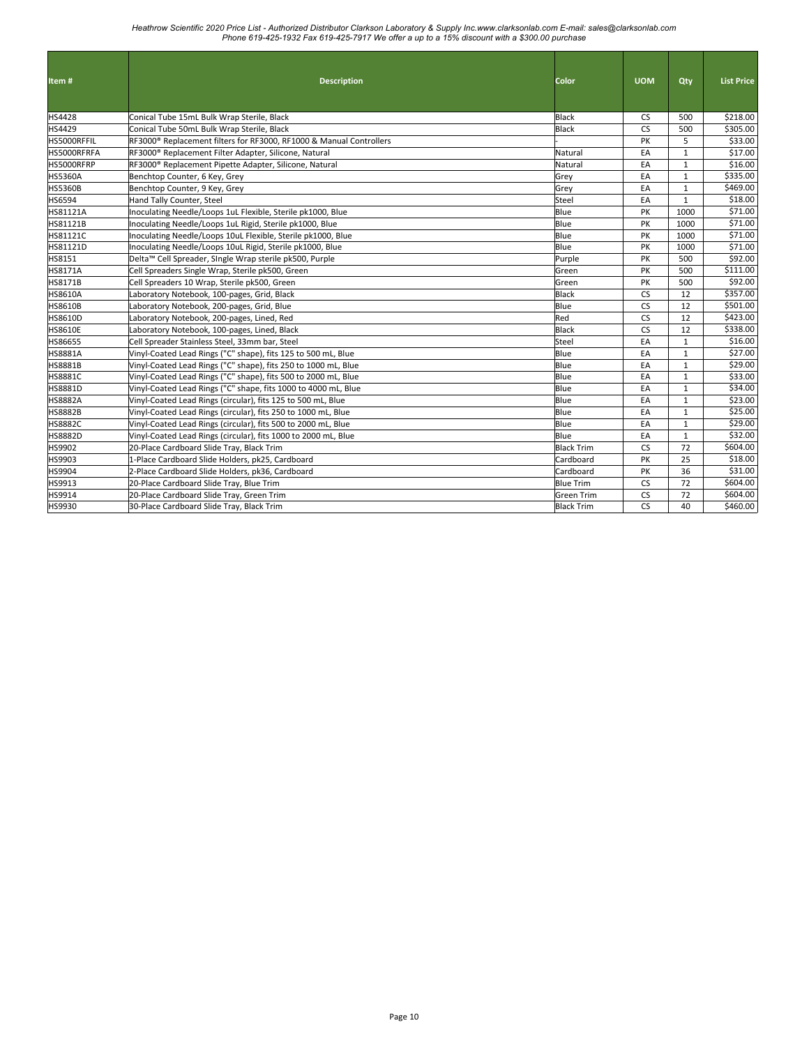| Item#          | <b>Description</b>                                                  | Color             | <b>UOM</b> | Qty          | <b>List Price</b> |
|----------------|---------------------------------------------------------------------|-------------------|------------|--------------|-------------------|
| HS4428         | Conical Tube 15mL Bulk Wrap Sterile, Black                          | Black             | <b>CS</b>  | 500          | \$218.00          |
| HS4429         | Conical Tube 50mL Bulk Wrap Sterile, Black                          | Black             | <b>CS</b>  | 500          | \$305.00          |
| HS5000RFFIL    | RF3000® Replacement filters for RF3000, RF1000 & Manual Controllers |                   | PK         | 5            | \$33.00           |
| HS5000RFRFA    | RF3000 <sup>®</sup> Replacement Filter Adapter, Silicone, Natural   | Natural           | EA         | $\mathbf{1}$ | \$17.00           |
| HS5000RFRP     | RF3000 <sup>®</sup> Replacement Pipette Adapter, Silicone, Natural  | Natural           | EA         | $\mathbf{1}$ | \$16.00           |
| <b>HS5360A</b> | Benchtop Counter, 6 Key, Grey                                       | Grey              | EA         | $\mathbf{1}$ | \$335.00          |
| <b>HS5360B</b> | Benchtop Counter, 9 Key, Grey                                       | Grey              | EA         | 1            | \$469.00          |
| <b>HS6594</b>  | Hand Tally Counter, Steel                                           | Steel             | EA         | $\mathbf{1}$ | \$18.00           |
| HS81121A       | Inoculating Needle/Loops 1uL Flexible, Sterile pk1000, Blue         | Blue              | PK         | 1000         | \$71.00           |
| HS81121B       | Inoculating Needle/Loops 1uL Rigid, Sterile pk1000, Blue            | Blue              | PK         | 1000         | \$71.00           |
| HS81121C       | Inoculating Needle/Loops 10uL Flexible, Sterile pk1000, Blue        | Blue              | PK         | 1000         | \$71.00           |
| HS81121D       | Inoculating Needle/Loops 10uL Rigid, Sterile pk1000, Blue           | Blue              | PK         | 1000         | \$71.00           |
| HS8151         | Delta™ Cell Spreader, Single Wrap sterile pk500, Purple             | Purple            | PK         | 500          | \$92.00           |
| HS8171A        | Cell Spreaders Single Wrap, Sterile pk500, Green                    | Green             | PK         | 500          | \$111.00          |
| <b>HS8171B</b> | Cell Spreaders 10 Wrap, Sterile pk500, Green                        | Green             | PK         | 500          | \$92.00           |
| <b>HS8610A</b> | Laboratory Notebook, 100-pages, Grid, Black                         | Black             | <b>CS</b>  | 12           | \$357.00          |
| <b>HS8610B</b> | Laboratory Notebook, 200-pages, Grid, Blue                          | Blue              | <b>CS</b>  | 12           | \$501.00          |
| <b>HS8610D</b> | Laboratory Notebook, 200-pages, Lined, Red                          | Red               | <b>CS</b>  | 12           | \$423.00          |
| <b>HS8610E</b> | Laboratory Notebook, 100-pages, Lined, Black                        | Black             | <b>CS</b>  | 12           | \$338.00          |
| <b>HS86655</b> | Cell Spreader Stainless Steel, 33mm bar, Steel                      | Steel             | EA         | $\mathbf{1}$ | \$16.00           |
| <b>HS8881A</b> | Vinyl-Coated Lead Rings ("C" shape), fits 125 to 500 mL, Blue       | Blue              | EA         | $\mathbf{1}$ | \$27.00           |
| <b>HS8881B</b> | Vinyl-Coated Lead Rings ("C" shape), fits 250 to 1000 mL, Blue      | Blue              | EA         | $\mathbf{1}$ | \$29.00           |
| <b>HS8881C</b> | Vinyl-Coated Lead Rings ("C" shape), fits 500 to 2000 mL, Blue      | Blue              | EA         | $\mathbf{1}$ | \$33.00           |
| HS8881D        | Vinyl-Coated Lead Rings ("C" shape, fits 1000 to 4000 mL, Blue      | Blue              | EA         | $\mathbf{1}$ | \$34.00           |
| <b>HS8882A</b> | Vinyl-Coated Lead Rings (circular), fits 125 to 500 mL, Blue        | Blue              | EA         | $\mathbf{1}$ | \$23.00           |
| <b>HS8882B</b> | Vinyl-Coated Lead Rings (circular), fits 250 to 1000 mL, Blue       | Blue              | EA         | $\mathbf{1}$ | \$25.00           |
| <b>HS8882C</b> | Vinyl-Coated Lead Rings (circular), fits 500 to 2000 mL, Blue       | Blue              | EA         | $\mathbf{1}$ | \$29.00           |
| HS8882D        | Vinyl-Coated Lead Rings (circular), fits 1000 to 2000 mL, Blue      | Blue              | EA         | $\mathbf{1}$ | \$32.00           |
| <b>HS9902</b>  | 20-Place Cardboard Slide Tray, Black Trim                           | <b>Black Trim</b> | <b>CS</b>  | 72           | \$604.00          |
| HS9903         | 1-Place Cardboard Slide Holders, pk25, Cardboard                    | Cardboard         | PK         | 25           | \$18.00           |
| HS9904         | 2-Place Cardboard Slide Holders, pk36, Cardboard                    | Cardboard         | PK         | 36           | \$31.00           |
| HS9913         | 20-Place Cardboard Slide Tray, Blue Trim                            | <b>Blue Trim</b>  | <b>CS</b>  | 72           | \$604.00          |
| HS9914         | 20-Place Cardboard Slide Tray, Green Trim                           | Green Trim        | <b>CS</b>  | 72           | \$604.00          |
| HS9930         | 30-Place Cardboard Slide Tray, Black Trim                           | <b>Black Trim</b> | <b>CS</b>  | 40           | \$460.00          |